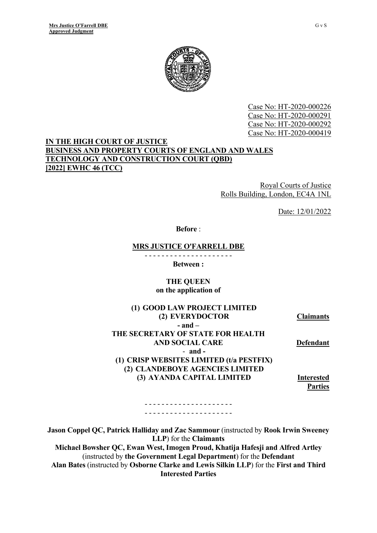

Case No: HT-2020-000226 Case No: HT-2020-000291 Case No: HT-2020-000292 Case No: HT-2020-000419

#### **IN THE HIGH COURT OF JUSTICE BUSINESS AND PROPERTY COURTS OF ENGLAND AND WALES TECHNOLOGY AND CONSTRUCTION COURT (QBD) [2022] EWHC 46 (TCC)**

Royal Courts of Justice Rolls Building, London, EC4A 1NL

Date: 12/01/2022

**Before** :

#### **MRS JUSTICE O'FARRELL DBE**

- - - - - - - - - - - - - - - - - - - - -

**Between :**

#### **THE QUEEN on the application of**

| (1) GOOD LAW PROJECT LIMITED             |                   |
|------------------------------------------|-------------------|
| (2) EVERYDOCTOR                          | <b>Claimants</b>  |
| $-$ and $-$                              |                   |
| THE SECRETARY OF STATE FOR HEALTH        |                   |
| <b>AND SOCIAL CARE</b>                   | <b>Defendant</b>  |
| $-$ and $-$                              |                   |
| (1) CRISP WEBSITES LIMITED (t/a PESTFIX) |                   |
| (2) CLANDEBOYE AGENCIES LIMITED          |                   |
| (3) AYANDA CAPITAL LIMITED               | <b>Interested</b> |
|                                          | <b>Parties</b>    |

- - - - - - - - - - - - - - - - - - - - - - - - - - - - - - - - - - - - - - - - - -

**Jason Coppel QC, Patrick Halliday and Zac Sammour** (instructed by **Rook Irwin Sweeney LLP**) for the **Claimants**

**Michael Bowsher QC, Ewan West, Imogen Proud, Khatija Hafesji and Alfred Artley**  (instructed by **the Government Legal Department**) for the **Defendant Alan Bates** (instructed by **Osborne Clarke and Lewis Silkin LLP**) for the **First and Third Interested Parties**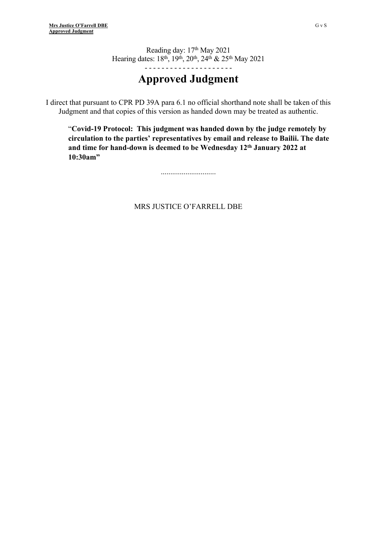Reading day: 17th May 2021 Hearing dates: 18<sup>th</sup>, 19<sup>th</sup>, 20<sup>th</sup>, 24<sup>th</sup> & 25<sup>th</sup> May 2021

- - - - - - - - - - - - - - - - - - - - -

## **Approved Judgment**

I direct that pursuant to CPR PD 39A para 6.1 no official shorthand note shall be taken of this Judgment and that copies of this version as handed down may be treated as authentic.

"**Covid-19 Protocol: This judgment was handed down by the judge remotely by circulation to the parties' representatives by email and release to Bailii. The date and time for hand-down is deemed to be Wednesday 12th January 2022 at 10:30am"**

.............................

#### MRS JUSTICE O'FARRELL DBE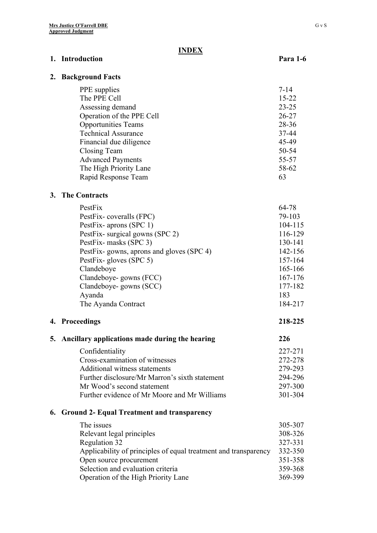#### **INDEX**

#### **1. Introduction** Para 1-6

#### **2. Background Facts**

| PPE supplies               | $7 - 14$  |
|----------------------------|-----------|
| The PPE Cell               | $15 - 22$ |
| Assessing demand           | $23 - 25$ |
| Operation of the PPE Cell  | $26 - 27$ |
| <b>Opportunities Teams</b> | $28 - 36$ |
| <b>Technical Assurance</b> | 37-44     |
| Financial due diligence    | 45-49     |
| Closing Team               | 50-54     |
| <b>Advanced Payments</b>   | 55-57     |
| The High Priority Lane     | 58-62     |
| Rapid Response Team        | 63        |
|                            |           |

#### **3. The Contracts**

| PestFix                                  | 64-78   |
|------------------------------------------|---------|
| PestFix-coveralls (FPC)                  | 79-103  |
| PestFix-aprons (SPC 1)                   | 104-115 |
| PestFix-surgical gowns (SPC 2)           | 116-129 |
| PestFix-masks (SPC 3)                    | 130-141 |
| PestFix-gowns, aprons and gloves (SPC 4) | 142-156 |
| PestFix-gloves (SPC 5)                   | 157-164 |
| Clandeboye                               | 165-166 |
| Clandeboye-gowns (FCC)                   | 167-176 |
| Clandeboye-gowns (SCC)                   | 177-182 |
| Ayanda                                   | 183     |
| The Ayanda Contract                      | 184-217 |

#### **4. Proceedings 218-225**

# **5. Ancillary applications made during the hearing 226**

| Confidentiality                                | 227-271 |
|------------------------------------------------|---------|
| Cross-examination of witnesses                 | 272-278 |
| Additional witness statements                  | 279-293 |
| Further disclosure/Mr Marron's sixth statement | 294-296 |
| Mr Wood's second statement                     | 297-300 |
| Further evidence of Mr Moore and Mr Williams   | 301-304 |

#### **6. Ground 2- Equal Treatment and transparency**

| The issues                                                      | 305-307 |
|-----------------------------------------------------------------|---------|
| Relevant legal principles                                       | 308-326 |
| Regulation 32                                                   | 327-331 |
| Applicability of principles of equal treatment and transparency | 332-350 |
| Open source procurement                                         | 351-358 |
| Selection and evaluation criteria                               | 359-368 |
| Operation of the High Priority Lane                             | 369-399 |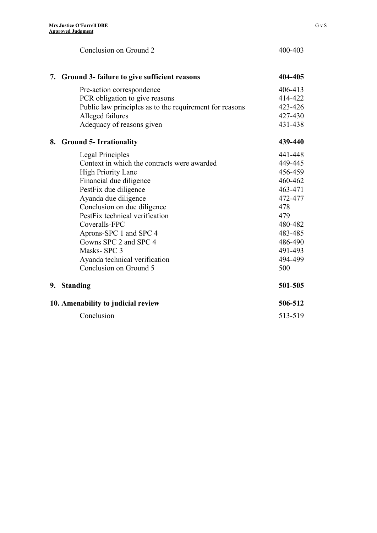|    | Conclusion on Ground 2                                  | 400-403 |
|----|---------------------------------------------------------|---------|
|    | 7. Ground 3- failure to give sufficient reasons         | 404-405 |
|    | Pre-action correspondence                               | 406-413 |
|    | PCR obligation to give reasons                          | 414-422 |
|    | Public law principles as to the requirement for reasons | 423-426 |
|    | Alleged failures                                        | 427-430 |
|    | Adequacy of reasons given                               | 431-438 |
| 8. | <b>Ground 5- Irrationality</b>                          | 439-440 |
|    | Legal Principles                                        | 441-448 |
|    | Context in which the contracts were awarded             | 449-445 |
|    | <b>High Priority Lane</b>                               | 456-459 |
|    | Financial due diligence                                 | 460-462 |
|    | PestFix due diligence                                   | 463-471 |
|    | Ayanda due diligence                                    | 472-477 |
|    | Conclusion on due diligence                             | 478     |
|    | PestFix technical verification                          | 479     |
|    | Coveralls-FPC                                           | 480-482 |
|    | Aprons-SPC 1 and SPC 4                                  | 483-485 |
|    | Gowns SPC 2 and SPC 4                                   | 486-490 |
|    | Masks-SPC 3                                             | 491-493 |
|    | Ayanda technical verification                           | 494-499 |
|    | Conclusion on Ground 5                                  | 500     |
|    | 9. Standing                                             | 501-505 |
|    | 10. Amenability to judicial review                      | 506-512 |
|    | Conclusion                                              | 513-519 |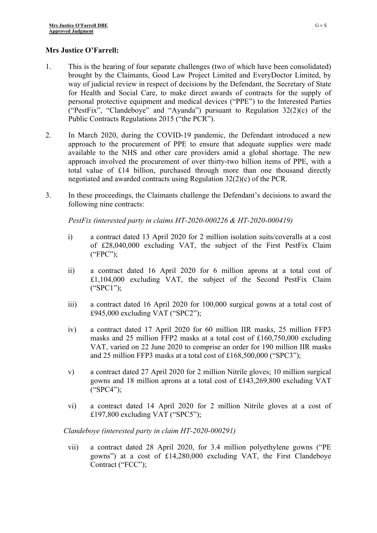#### **Mrs Justice O'Farrell:**

- 1. This is the hearing of four separate challenges (two of which have been consolidated) brought by the Claimants, Good Law Project Limited and EveryDoctor Limited, by way of judicial review in respect of decisions by the Defendant, the Secretary of State for Health and Social Care, to make direct awards of contracts for the supply of personal protective equipment and medical devices ("PPE") to the Interested Parties ("PestFix", "Clandeboye" and "Ayanda") pursuant to Regulation 32(2)(c) of the Public Contracts Regulations 2015 ("the PCR").
- 2. In March 2020, during the COVID-19 pandemic, the Defendant introduced a new approach to the procurement of PPE to ensure that adequate supplies were made available to the NHS and other care providers amid a global shortage. The new approach involved the procurement of over thirty-two billion items of PPE, with a total value of £14 billion, purchased through more than one thousand directly negotiated and awarded contracts using Regulation 32(2)(c) of the PCR.
- 3. In these proceedings, the Claimants challenge the Defendant's decisions to award the following nine contracts:

*PestFix (interested party in claims HT-2020-000226 & HT-2020-000419)*

- i) a contract dated 13 April 2020 for 2 million isolation suits/coveralls at a cost of £28,040,000 excluding VAT, the subject of the First PestFix Claim ("FPC");
- ii) a contract dated 16 April 2020 for 6 million aprons at a total cost of £1,104,000 excluding VAT, the subject of the Second PestFix Claim ("SPC1");
- iii) a contract dated 16 April 2020 for 100,000 surgical gowns at a total cost of £945,000 excluding VAT ("SPC2");
- iv) a contract dated 17 April 2020 for 60 million IIR masks, 25 million FFP3 masks and 25 million FFP2 masks at a total cost of £160,750,000 excluding VAT, varied on 22 June 2020 to comprise an order for 190 million IIR masks and 25 million FFP3 masks at a total cost of £168,500,000 ("SPC3");
- v) a contract dated 27 April 2020 for 2 million Nitrile gloves; 10 million surgical gowns and 18 million aprons at a total cost of £143,269,800 excluding VAT ("SPC4");
- vi) a contract dated 14 April 2020 for 2 million Nitrile gloves at a cost of £197,800 excluding VAT ("SPC5");

#### *Clandeboye (interested party in claim HT-2020-000291)*

vii) a contract dated 28 April 2020, for 3.4 million polyethylene gowns ("PE gowns") at a cost of £14,280,000 excluding VAT, the First Clandeboye Contract ("FCC");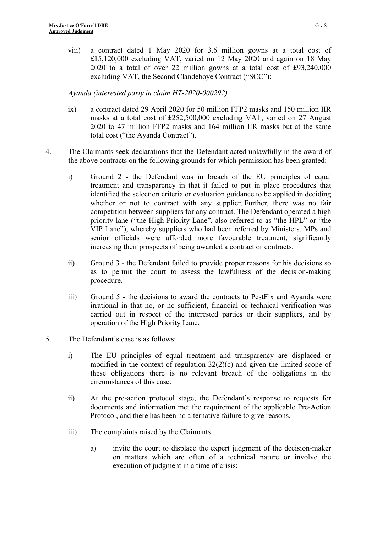viii) a contract dated 1 May 2020 for 3.6 million gowns at a total cost of £15,120,000 excluding VAT, varied on 12 May 2020 and again on 18 May 2020 to a total of over 22 million gowns at a total cost of £93,240,000 excluding VAT, the Second Clandeboye Contract ("SCC");

*Ayanda (interested party in claim HT-2020-000292)*

- ix) a contract dated 29 April 2020 for 50 million FFP2 masks and 150 million IIR masks at a total cost of £252,500,000 excluding VAT, varied on 27 August 2020 to 47 million FFP2 masks and 164 million IIR masks but at the same total cost ("the Ayanda Contract").
- 4. The Claimants seek declarations that the Defendant acted unlawfully in the award of the above contracts on the following grounds for which permission has been granted:
	- i) Ground 2 the Defendant was in breach of the EU principles of equal treatment and transparency in that it failed to put in place procedures that identified the selection criteria or evaluation guidance to be applied in deciding whether or not to contract with any supplier. Further, there was no fair competition between suppliers for any contract. The Defendant operated a high priority lane ("the High Priority Lane", also referred to as "the HPL" or "the VIP Lane"), whereby suppliers who had been referred by Ministers, MPs and senior officials were afforded more favourable treatment, significantly increasing their prospects of being awarded a contract or contracts.
	- ii) Ground 3 the Defendant failed to provide proper reasons for his decisions so as to permit the court to assess the lawfulness of the decision-making procedure.
	- iii) Ground 5 the decisions to award the contracts to PestFix and Ayanda were irrational in that no, or no sufficient, financial or technical verification was carried out in respect of the interested parties or their suppliers, and by operation of the High Priority Lane.
- 5. The Defendant's case is as follows:
	- i) The EU principles of equal treatment and transparency are displaced or modified in the context of regulation 32(2)(c) and given the limited scope of these obligations there is no relevant breach of the obligations in the circumstances of this case.
	- ii) At the pre-action protocol stage, the Defendant's response to requests for documents and information met the requirement of the applicable Pre-Action Protocol, and there has been no alternative failure to give reasons.
	- iii) The complaints raised by the Claimants:
		- a) invite the court to displace the expert judgment of the decision-maker on matters which are often of a technical nature or involve the execution of judgment in a time of crisis;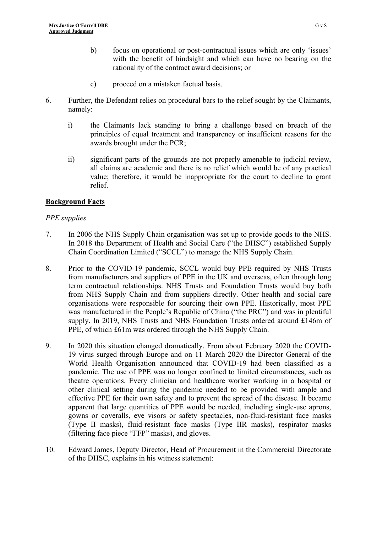- b) focus on operational or post-contractual issues which are only 'issues' with the benefit of hindsight and which can have no bearing on the rationality of the contract award decisions; or
- c) proceed on a mistaken factual basis.
- 6. Further, the Defendant relies on procedural bars to the relief sought by the Claimants, namely:
	- i) the Claimants lack standing to bring a challenge based on breach of the principles of equal treatment and transparency or insufficient reasons for the awards brought under the PCR;
	- ii) significant parts of the grounds are not properly amenable to judicial review, all claims are academic and there is no relief which would be of any practical value; therefore, it would be inappropriate for the court to decline to grant relief.

### **Background Facts**

### *PPE supplies*

- 7. In 2006 the NHS Supply Chain organisation was set up to provide goods to the NHS. In 2018 the Department of Health and Social Care ("the DHSC") established Supply Chain Coordination Limited ("SCCL") to manage the NHS Supply Chain.
- 8. Prior to the COVID-19 pandemic, SCCL would buy PPE required by NHS Trusts from manufacturers and suppliers of PPE in the UK and overseas, often through long term contractual relationships. NHS Trusts and Foundation Trusts would buy both from NHS Supply Chain and from suppliers directly. Other health and social care organisations were responsible for sourcing their own PPE. Historically, most PPE was manufactured in the People's Republic of China ("the PRC") and was in plentiful supply. In 2019, NHS Trusts and NHS Foundation Trusts ordered around £146m of PPE, of which £61m was ordered through the NHS Supply Chain.
- 9. In 2020 this situation changed dramatically. From about February 2020 the COVID-19 virus surged through Europe and on 11 March 2020 the Director General of the World Health Organisation announced that COVID-19 had been classified as a pandemic. The use of PPE was no longer confined to limited circumstances, such as theatre operations. Every clinician and healthcare worker working in a hospital or other clinical setting during the pandemic needed to be provided with ample and effective PPE for their own safety and to prevent the spread of the disease. It became apparent that large quantities of PPE would be needed, including single-use aprons, gowns or coveralls, eye visors or safety spectacles, non-fluid-resistant face masks (Type II masks), fluid-resistant face masks (Type IIR masks), respirator masks (filtering face piece "FFP" masks), and gloves.
- 10. Edward James, Deputy Director, Head of Procurement in the Commercial Directorate of the DHSC, explains in his witness statement: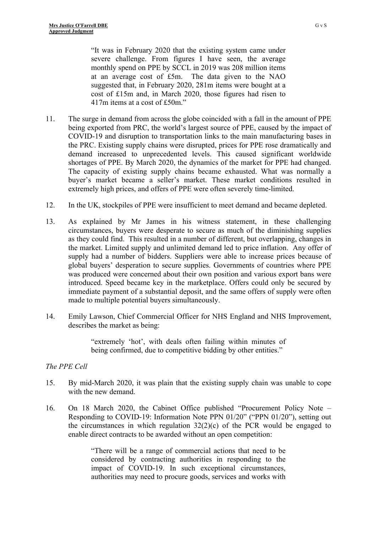"It was in February 2020 that the existing system came under severe challenge. From figures I have seen, the average monthly spend on PPE by SCCL in 2019 was 208 million items at an average cost of £5m. The data given to the NAO suggested that, in February 2020, 281m items were bought at a cost of £15m and, in March 2020, those figures had risen to 417m items at a cost of £50m."

- 11. The surge in demand from across the globe coincided with a fall in the amount of PPE being exported from PRC, the world's largest source of PPE, caused by the impact of COVID-19 and disruption to transportation links to the main manufacturing bases in the PRC. Existing supply chains were disrupted, prices for PPE rose dramatically and demand increased to unprecedented levels. This caused significant worldwide shortages of PPE. By March 2020, the dynamics of the market for PPE had changed. The capacity of existing supply chains became exhausted. What was normally a buyer's market became a seller's market. These market conditions resulted in extremely high prices, and offers of PPE were often severely time-limited.
- 12. In the UK, stockpiles of PPE were insufficient to meet demand and became depleted.
- 13. As explained by Mr James in his witness statement, in these challenging circumstances, buyers were desperate to secure as much of the diminishing supplies as they could find. This resulted in a number of different, but overlapping, changes in the market. Limited supply and unlimited demand led to price inflation. Any offer of supply had a number of bidders. Suppliers were able to increase prices because of global buyers' desperation to secure supplies. Governments of countries where PPE was produced were concerned about their own position and various export bans were introduced. Speed became key in the marketplace. Offers could only be secured by immediate payment of a substantial deposit, and the same offers of supply were often made to multiple potential buyers simultaneously.
- 14. Emily Lawson, Chief Commercial Officer for NHS England and NHS Improvement, describes the market as being:

"extremely 'hot', with deals often failing within minutes of being confirmed, due to competitive bidding by other entities."

#### *The PPE Cell*

- 15. By mid-March 2020, it was plain that the existing supply chain was unable to cope with the new demand.
- 16. On 18 March 2020, the Cabinet Office published "Procurement Policy Note Responding to COVID-19: Information Note PPN 01/20" ("PPN 01/20"), setting out the circumstances in which regulation  $32(2)(c)$  of the PCR would be engaged to enable direct contracts to be awarded without an open competition:

"There will be a range of commercial actions that need to be considered by contracting authorities in responding to the impact of COVID-19. In such exceptional circumstances, authorities may need to procure goods, services and works with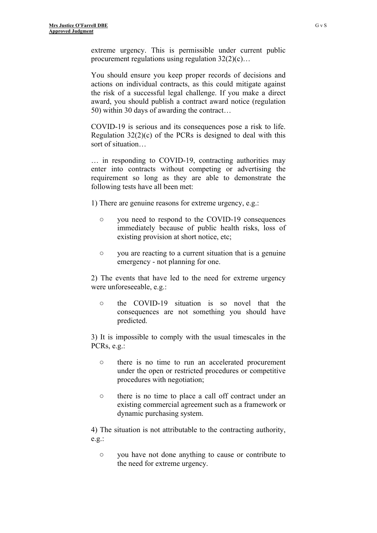extreme urgency. This is permissible under current public procurement regulations using regulation  $32(2)(c)$ …

You should ensure you keep proper records of decisions and actions on individual contracts, as this could mitigate against the risk of a successful legal challenge. If you make a direct award, you should publish a contract award notice (regulation 50) within 30 days of awarding the contract…

COVID-19 is serious and its consequences pose a risk to life. Regulation 32(2)(c) of the PCRs is designed to deal with this sort of situation…

… in responding to COVID-19, contracting authorities may enter into contracts without competing or advertising the requirement so long as they are able to demonstrate the following tests have all been met:

1) There are genuine reasons for extreme urgency, e.g.:

- you need to respond to the COVID-19 consequences immediately because of public health risks, loss of existing provision at short notice, etc;
- you are reacting to a current situation that is a genuine emergency - not planning for one.

2) The events that have led to the need for extreme urgency were unforeseeable, e.g.:

○ the COVID-19 situation is so novel that the consequences are not something you should have predicted.

3) It is impossible to comply with the usual timescales in the PCRs, e.g.:

- there is no time to run an accelerated procurement under the open or restricted procedures or competitive procedures with negotiation;
- there is no time to place a call off contract under an existing commercial agreement such as a framework or dynamic purchasing system.

4) The situation is not attributable to the contracting authority, e.g.:

○ you have not done anything to cause or contribute to the need for extreme urgency.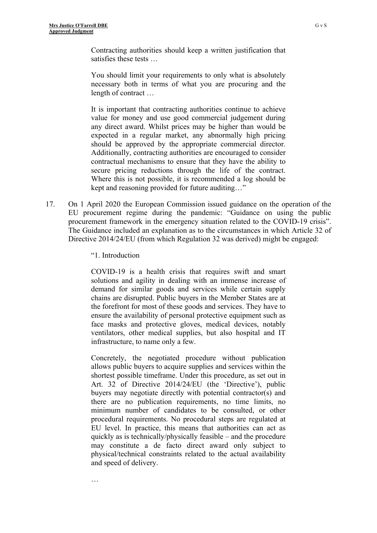Contracting authorities should keep a written justification that satisfies these tests …

You should limit your requirements to only what is absolutely necessary both in terms of what you are procuring and the length of contract …

It is important that contracting authorities continue to achieve value for money and use good commercial judgement during any direct award. Whilst prices may be higher than would be expected in a regular market, any abnormally high pricing should be approved by the appropriate commercial director. Additionally, contracting authorities are encouraged to consider contractual mechanisms to ensure that they have the ability to secure pricing reductions through the life of the contract. Where this is not possible, it is recommended a log should be kept and reasoning provided for future auditing…"

- 17. On 1 April 2020 the European Commission issued guidance on the operation of the EU procurement regime during the pandemic: "Guidance on using the public procurement framework in the emergency situation related to the COVID-19 crisis". The Guidance included an explanation as to the circumstances in which Article 32 of Directive 2014/24/EU (from which Regulation 32 was derived) might be engaged:
	- "1. Introduction

…

COVID-19 is a health crisis that requires swift and smart solutions and agility in dealing with an immense increase of demand for similar goods and services while certain supply chains are disrupted. Public buyers in the Member States are at the forefront for most of these goods and services. They have to ensure the availability of personal protective equipment such as face masks and protective gloves, medical devices, notably ventilators, other medical supplies, but also hospital and IT infrastructure, to name only a few.

Concretely, the negotiated procedure without publication allows public buyers to acquire supplies and services within the shortest possible timeframe. Under this procedure, as set out in Art. 32 of Directive 2014/24/EU (the 'Directive'), public buyers may negotiate directly with potential contractor(s) and there are no publication requirements, no time limits, no minimum number of candidates to be consulted, or other procedural requirements. No procedural steps are regulated at EU level. In practice, this means that authorities can act as quickly as is technically/physically feasible – and the procedure may constitute a de facto direct award only subject to physical/technical constraints related to the actual availability and speed of delivery.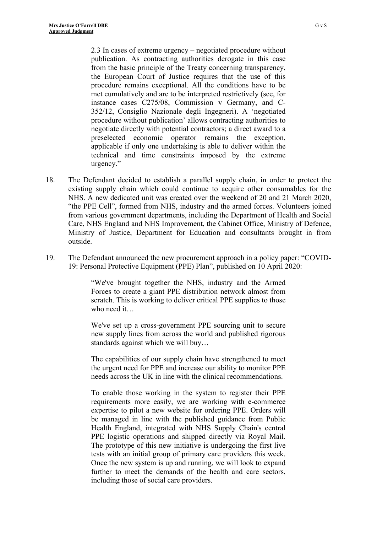2.3 In cases of extreme urgency – negotiated procedure without publication. As contracting authorities derogate in this case from the basic principle of the Treaty concerning transparency, the European Court of Justice requires that the use of this procedure remains exceptional. All the conditions have to be met cumulatively and are to be interpreted restrictively (see, for instance cases C275/08, Commission v Germany, and C-352/12, Consiglio Nazionale degli Ingegneri). A 'negotiated procedure without publication' allows contracting authorities to negotiate directly with potential contractors; a direct award to a preselected economic operator remains the exception, applicable if only one undertaking is able to deliver within the technical and time constraints imposed by the extreme urgency."

- 18. The Defendant decided to establish a parallel supply chain, in order to protect the existing supply chain which could continue to acquire other consumables for the NHS. A new dedicated unit was created over the weekend of 20 and 21 March 2020, "the PPE Cell", formed from NHS, industry and the armed forces. Volunteers joined from various government departments, including the Department of Health and Social Care, NHS England and NHS Improvement, the Cabinet Office, Ministry of Defence, Ministry of Justice, Department for Education and consultants brought in from outside.
- 19. The Defendant announced the new procurement approach in a policy paper: "COVID-19: Personal Protective Equipment (PPE) Plan", published on 10 April 2020:

"We've brought together the NHS, industry and the Armed Forces to create a giant PPE distribution network almost from scratch. This is working to deliver critical PPE supplies to those who need it…

We've set up a cross-government PPE sourcing unit to secure new supply lines from across the world and published rigorous standards against which we will buy…

The capabilities of our supply chain have strengthened to meet the urgent need for PPE and increase our ability to monitor PPE needs across the UK in line with the clinical recommendations.

To enable those working in the system to register their PPE requirements more easily, we are working with e-commerce expertise to pilot a new website for ordering PPE. Orders will be managed in line with the published guidance from Public Health England, integrated with NHS Supply Chain's central PPE logistic operations and shipped directly via Royal Mail. The prototype of this new initiative is undergoing the first live tests with an initial group of primary care providers this week. Once the new system is up and running, we will look to expand further to meet the demands of the health and care sectors, including those of social care providers.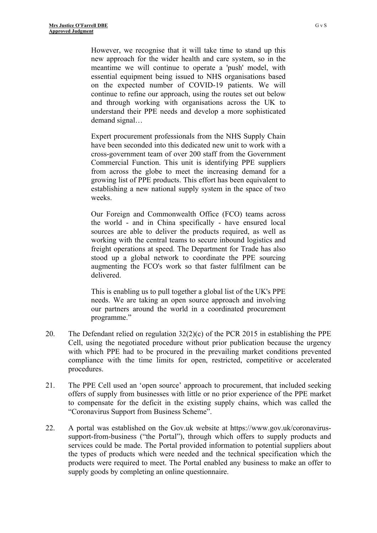However, we recognise that it will take time to stand up this new approach for the wider health and care system, so in the meantime we will continue to operate a 'push' model, with essential equipment being issued to NHS organisations based on the expected number of COVID-19 patients. We will continue to refine our approach, using the routes set out below and through working with organisations across the UK to understand their PPE needs and develop a more sophisticated demand signal…

Expert procurement professionals from the NHS Supply Chain have been seconded into this dedicated new unit to work with a cross-government team of over 200 staff from the Government Commercial Function. This unit is identifying PPE suppliers from across the globe to meet the increasing demand for a growing list of PPE products. This effort has been equivalent to establishing a new national supply system in the space of two weeks.

Our Foreign and Commonwealth Office (FCO) teams across the world - and in China specifically - have ensured local sources are able to deliver the products required, as well as working with the central teams to secure inbound logistics and freight operations at speed. The Department for Trade has also stood up a global network to coordinate the PPE sourcing augmenting the FCO's work so that faster fulfilment can be delivered.

This is enabling us to pull together a global list of the UK's PPE needs. We are taking an open source approach and involving our partners around the world in a coordinated procurement programme."

- 20. The Defendant relied on regulation  $32(2)(c)$  of the PCR 2015 in establishing the PPE Cell, using the negotiated procedure without prior publication because the urgency with which PPE had to be procured in the prevailing market conditions prevented compliance with the time limits for open, restricted, competitive or accelerated procedures.
- 21. The PPE Cell used an 'open source' approach to procurement, that included seeking offers of supply from businesses with little or no prior experience of the PPE market to compensate for the deficit in the existing supply chains, which was called the "Coronavirus Support from Business Scheme".
- 22. A portal was established on the Gov.uk website at https://www.gov.uk/coronavirussupport-from-business ("the Portal"), through which offers to supply products and services could be made. The Portal provided information to potential suppliers about the types of products which were needed and the technical specification which the products were required to meet. The Portal enabled any business to make an offer to supply goods by completing an online questionnaire.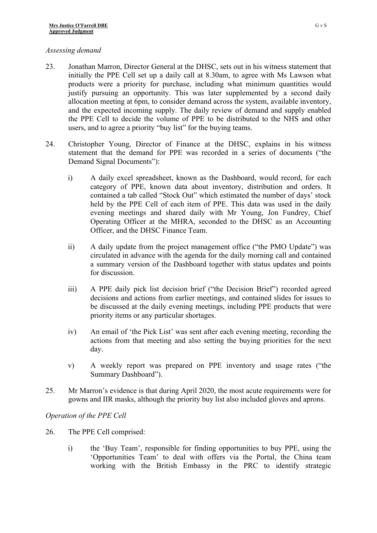#### *Assessing demand*

- 23. Jonathan Marron, Director General at the DHSC, sets out in his witness statement that initially the PPE Cell set up a daily call at 8.30am, to agree with Ms Lawson what products were a priority for purchase, including what minimum quantities would justify pursuing an opportunity. This was later supplemented by a second daily allocation meeting at 6pm, to consider demand across the system, available inventory, and the expected incoming supply. The daily review of demand and supply enabled the PPE Cell to decide the volume of PPE to be distributed to the NHS and other users, and to agree a priority "buy list" for the buying teams.
- 24. Christopher Young, Director of Finance at the DHSC, explains in his witness statement that the demand for PPE was recorded in a series of documents ("the Demand Signal Documents"):
	- i) A daily excel spreadsheet, known as the Dashboard, would record, for each category of PPE, known data about inventory, distribution and orders. It contained a tab called "Stock Out" which estimated the number of days' stock held by the PPE Cell of each item of PPE. This data was used in the daily evening meetings and shared daily with Mr Young, Jon Fundrey, Chief Operating Officer at the MHRA, seconded to the DHSC as an Accounting Officer, and the DHSC Finance Team.
	- ii) A daily update from the project management office ("the PMO Update") was circulated in advance with the agenda for the daily morning call and contained a summary version of the Dashboard together with status updates and points for discussion.
	- iii) A PPE daily pick list decision brief ("the Decision Brief") recorded agreed decisions and actions from earlier meetings, and contained slides for issues to be discussed at the daily evening meetings, including PPE products that were priority items or any particular shortages.
	- iv) An email of 'the Pick List' was sent after each evening meeting, recording the actions from that meeting and also setting the buying priorities for the next day.
	- v) A weekly report was prepared on PPE inventory and usage rates ("the Summary Dashboard").
- 25. Mr Marron's evidence is that during April 2020, the most acute requirements were for gowns and IIR masks, although the priority buy list also included gloves and aprons.

*Operation of the PPE Cell*

- 26. The PPE Cell comprised:
	- i) the 'Buy Team', responsible for finding opportunities to buy PPE, using the 'Opportunities Team' to deal with offers via the Portal, the China team working with the British Embassy in the PRC to identify strategic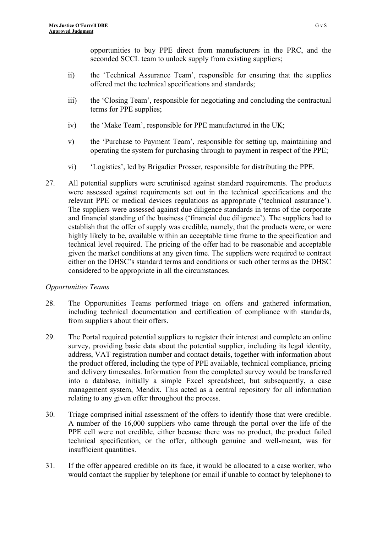opportunities to buy PPE direct from manufacturers in the PRC, and the seconded SCCL team to unlock supply from existing suppliers;

- ii) the 'Technical Assurance Team', responsible for ensuring that the supplies offered met the technical specifications and standards;
- iii) the 'Closing Team', responsible for negotiating and concluding the contractual terms for PPE supplies;
- iv) the 'Make Team', responsible for PPE manufactured in the UK;
- v) the 'Purchase to Payment Team', responsible for setting up, maintaining and operating the system for purchasing through to payment in respect of the PPE;
- vi) 'Logistics', led by Brigadier Prosser, responsible for distributing the PPE.
- 27. All potential suppliers were scrutinised against standard requirements. The products were assessed against requirements set out in the technical specifications and the relevant PPE or medical devices regulations as appropriate ('technical assurance'). The suppliers were assessed against due diligence standards in terms of the corporate and financial standing of the business ('financial due diligence'). The suppliers had to establish that the offer of supply was credible, namely, that the products were, or were highly likely to be, available within an acceptable time frame to the specification and technical level required. The pricing of the offer had to be reasonable and acceptable given the market conditions at any given time. The suppliers were required to contract either on the DHSC's standard terms and conditions or such other terms as the DHSC considered to be appropriate in all the circumstances.

#### *Opportunities Teams*

- 28. The Opportunities Teams performed triage on offers and gathered information, including technical documentation and certification of compliance with standards, from suppliers about their offers.
- 29. The Portal required potential suppliers to register their interest and complete an online survey, providing basic data about the potential supplier, including its legal identity, address, VAT registration number and contact details, together with information about the product offered, including the type of PPE available, technical compliance, pricing and delivery timescales. Information from the completed survey would be transferred into a database, initially a simple Excel spreadsheet, but subsequently, a case management system, Mendix. This acted as a central repository for all information relating to any given offer throughout the process.
- 30. Triage comprised initial assessment of the offers to identify those that were credible. A number of the 16,000 suppliers who came through the portal over the life of the PPE cell were not credible, either because there was no product, the product failed technical specification, or the offer, although genuine and well-meant, was for insufficient quantities.
- 31. If the offer appeared credible on its face, it would be allocated to a case worker, who would contact the supplier by telephone (or email if unable to contact by telephone) to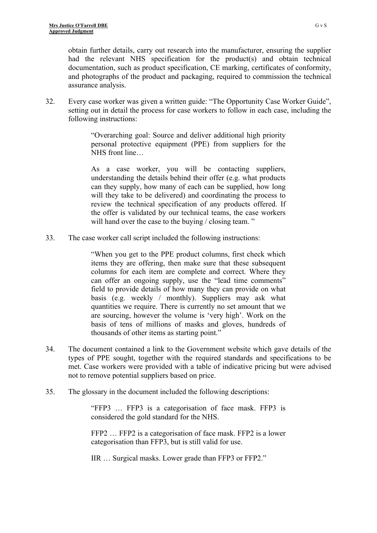obtain further details, carry out research into the manufacturer, ensuring the supplier had the relevant NHS specification for the product(s) and obtain technical documentation, such as product specification, CE marking, certificates of conformity, and photographs of the product and packaging, required to commission the technical assurance analysis.

32. Every case worker was given a written guide: "The Opportunity Case Worker Guide", setting out in detail the process for case workers to follow in each case, including the following instructions:

> "Overarching goal: Source and deliver additional high priority personal protective equipment (PPE) from suppliers for the NHS front line…

> As a case worker, you will be contacting suppliers, understanding the details behind their offer (e.g. what products can they supply, how many of each can be supplied, how long will they take to be delivered) and coordinating the process to review the technical specification of any products offered. If the offer is validated by our technical teams, the case workers will hand over the case to the buying / closing team."

33. The case worker call script included the following instructions:

"When you get to the PPE product columns, first check which items they are offering, then make sure that these subsequent columns for each item are complete and correct. Where they can offer an ongoing supply, use the "lead time comments" field to provide details of how many they can provide on what basis (e.g. weekly / monthly). Suppliers may ask what quantities we require. There is currently no set amount that we are sourcing, however the volume is 'very high'. Work on the basis of tens of millions of masks and gloves, hundreds of thousands of other items as starting point."

- 34. The document contained a link to the Government website which gave details of the types of PPE sought, together with the required standards and specifications to be met. Case workers were provided with a table of indicative pricing but were advised not to remove potential suppliers based on price.
- 35. The glossary in the document included the following descriptions:

"FFP3 … FFP3 is a categorisation of face mask. FFP3 is considered the gold standard for the NHS.

FFP2 … FFP2 is a categorisation of face mask. FFP2 is a lower categorisation than FFP3, but is still valid for use.

IIR … Surgical masks. Lower grade than FFP3 or FFP2."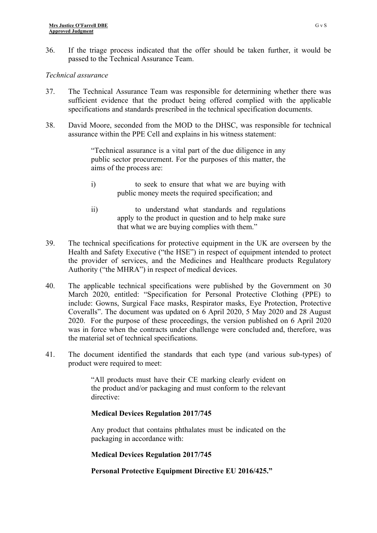36. If the triage process indicated that the offer should be taken further, it would be passed to the Technical Assurance Team.

#### *Technical assurance*

- 37. The Technical Assurance Team was responsible for determining whether there was sufficient evidence that the product being offered complied with the applicable specifications and standards prescribed in the technical specification documents.
- 38. David Moore, seconded from the MOD to the DHSC, was responsible for technical assurance within the PPE Cell and explains in his witness statement:

"Technical assurance is a vital part of the due diligence in any public sector procurement. For the purposes of this matter, the aims of the process are:

- i) to seek to ensure that what we are buying with public money meets the required specification; and
- ii) to understand what standards and regulations apply to the product in question and to help make sure that what we are buying complies with them."
- 39. The technical specifications for protective equipment in the UK are overseen by the Health and Safety Executive ("the HSE") in respect of equipment intended to protect the provider of services, and the Medicines and Healthcare products Regulatory Authority ("the MHRA") in respect of medical devices.
- 40. The applicable technical specifications were published by the Government on 30 March 2020, entitled: "Specification for Personal Protective Clothing (PPE) to include: Gowns, Surgical Face masks, Respirator masks, Eye Protection, Protective Coveralls". The document was updated on 6 April 2020, 5 May 2020 and 28 August 2020. For the purpose of these proceedings, the version published on 6 April 2020 was in force when the contracts under challenge were concluded and, therefore, was the material set of technical specifications.
- 41. The document identified the standards that each type (and various sub-types) of product were required to meet:

"All products must have their CE marking clearly evident on the product and/or packaging and must conform to the relevant directive:

#### **Medical Devices Regulation 2017/745**

Any product that contains phthalates must be indicated on the packaging in accordance with:

#### **Medical Devices Regulation 2017/745**

#### **Personal Protective Equipment Directive EU 2016/425."**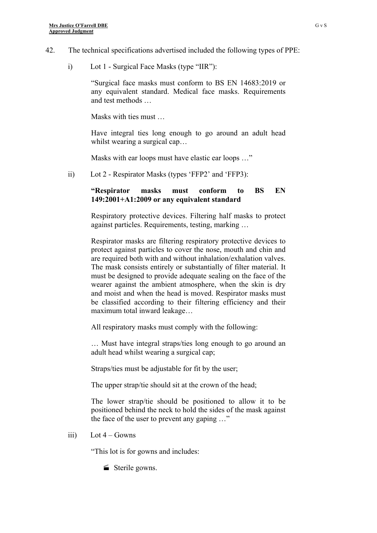- 42. The technical specifications advertised included the following types of PPE:
	- i) Lot 1 Surgical Face Masks (type "IIR"):

"Surgical face masks must conform to BS EN 14683:2019 or any equivalent standard. Medical face masks. Requirements and test methods …

Masks with ties must …

Have integral ties long enough to go around an adult head whilst wearing a surgical cap...

Masks with ear loops must have elastic ear loops …"

ii) Lot 2 - Respirator Masks (types 'FFP2' and 'FFP3):

#### **"Respirator masks must conform to BS EN 149:2001+A1:2009 or any equivalent standard**

Respiratory protective devices. Filtering half masks to protect against particles. Requirements, testing, marking …

Respirator masks are filtering respiratory protective devices to protect against particles to cover the nose, mouth and chin and are required both with and without inhalation/exhalation valves. The mask consists entirely or substantially of filter material. It must be designed to provide adequate sealing on the face of the wearer against the ambient atmosphere, when the skin is dry and moist and when the head is moved. Respirator masks must be classified according to their filtering efficiency and their maximum total inward leakage…

All respiratory masks must comply with the following:

… Must have integral straps/ties long enough to go around an adult head whilst wearing a surgical cap;

Straps/ties must be adjustable for fit by the user;

The upper strap/tie should sit at the crown of the head;

The lower strap/tie should be positioned to allow it to be positioned behind the neck to hold the sides of the mask against the face of the user to prevent any gaping …"

iii)  $\qquad \qquad$  Lot 4 – Gowns

"This lot is for gowns and includes:

Sterile gowns.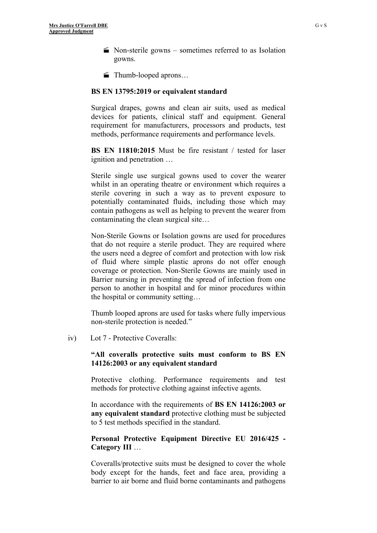- $\blacktriangleright$  Non-sterile gowns sometimes referred to as Isolation gowns.
- Thumb-looped aprons…

#### **BS EN 13795:2019 or equivalent standard**

Surgical drapes, gowns and clean air suits, used as medical devices for patients, clinical staff and equipment. General requirement for manufacturers, processors and products, test methods, performance requirements and performance levels.

**BS EN 11810:2015** Must be fire resistant / tested for laser ignition and penetration …

Sterile single use surgical gowns used to cover the wearer whilst in an operating theatre or environment which requires a sterile covering in such a way as to prevent exposure to potentially contaminated fluids, including those which may contain pathogens as well as helping to prevent the wearer from contaminating the clean surgical site…

Non-Sterile Gowns or Isolation gowns are used for procedures that do not require a sterile product. They are required where the users need a degree of comfort and protection with low risk of fluid where simple plastic aprons do not offer enough coverage or protection. Non-Sterile Gowns are mainly used in Barrier nursing in preventing the spread of infection from one person to another in hospital and for minor procedures within the hospital or community setting…

Thumb looped aprons are used for tasks where fully impervious non-sterile protection is needed."

iv) Lot 7 - Protective Coveralls:

#### **"All coveralls protective suits must conform to BS EN 14126:2003 or any equivalent standard**

Protective clothing. Performance requirements and test methods for protective clothing against infective agents.

In accordance with the requirements of **BS EN 14126:2003 or any equivalent standard** protective clothing must be subjected to 5 test methods specified in the standard.

#### **Personal Protective Equipment Directive EU 2016/425 - Category III** …

Coveralls/protective suits must be designed to cover the whole body except for the hands, feet and face area, providing a barrier to air borne and fluid borne contaminants and pathogens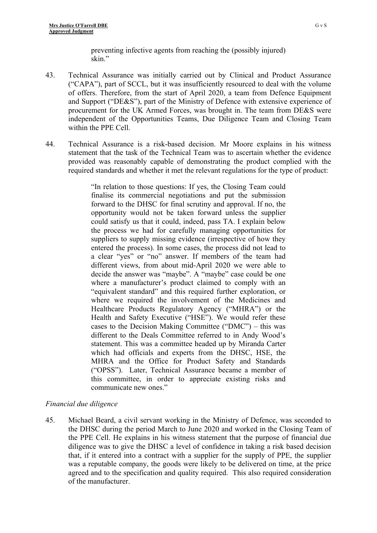preventing infective agents from reaching the (possibly injured) skin"

- 43. Technical Assurance was initially carried out by Clinical and Product Assurance ("CAPA"), part of SCCL, but it was insufficiently resourced to deal with the volume of offers. Therefore, from the start of April 2020, a team from Defence Equipment and Support ("DE&S"), part of the Ministry of Defence with extensive experience of procurement for the UK Armed Forces, was brought in. The team from DE&S were independent of the Opportunities Teams, Due Diligence Team and Closing Team within the PPE Cell.
- 44. Technical Assurance is a risk-based decision. Mr Moore explains in his witness statement that the task of the Technical Team was to ascertain whether the evidence provided was reasonably capable of demonstrating the product complied with the required standards and whether it met the relevant regulations for the type of product:

"In relation to those questions: If yes, the Closing Team could finalise its commercial negotiations and put the submission forward to the DHSC for final scrutiny and approval. If no, the opportunity would not be taken forward unless the supplier could satisfy us that it could, indeed, pass TA. I explain below the process we had for carefully managing opportunities for suppliers to supply missing evidence (irrespective of how they entered the process). In some cases, the process did not lead to a clear "yes" or "no" answer. If members of the team had different views, from about mid-April 2020 we were able to decide the answer was "maybe". A "maybe" case could be one where a manufacturer's product claimed to comply with an "equivalent standard" and this required further exploration, or where we required the involvement of the Medicines and Healthcare Products Regulatory Agency ("MHRA") or the Health and Safety Executive ("HSE"). We would refer these cases to the Decision Making Committee ("DMC") – this was different to the Deals Committee referred to in Andy Wood's statement. This was a committee headed up by Miranda Carter which had officials and experts from the DHSC, HSE, the MHRA and the Office for Product Safety and Standards ("OPSS"). Later, Technical Assurance became a member of this committee, in order to appreciate existing risks and communicate new ones."

#### *Financial due diligence*

45. Michael Beard, a civil servant working in the Ministry of Defence, was seconded to the DHSC during the period March to June 2020 and worked in the Closing Team of the PPE Cell. He explains in his witness statement that the purpose of financial due diligence was to give the DHSC a level of confidence in taking a risk based decision that, if it entered into a contract with a supplier for the supply of PPE, the supplier was a reputable company, the goods were likely to be delivered on time, at the price agreed and to the specification and quality required. This also required consideration of the manufacturer.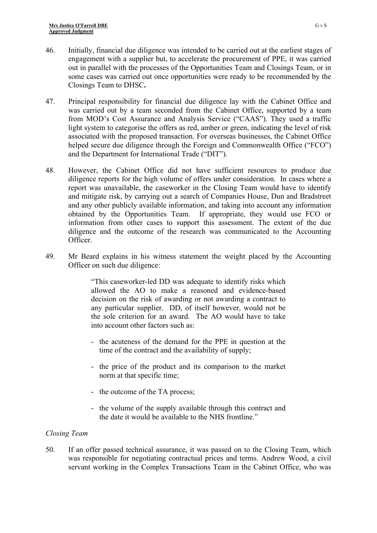- 46. Initially, financial due diligence was intended to be carried out at the earliest stages of engagement with a supplier but, to accelerate the procurement of PPE, it was carried out in parallel with the processes of the Opportunities Team and Closings Team, or in some cases was carried out once opportunities were ready to be recommended by the Closings Team to DHSC**.**
- 47. Principal responsibility for financial due diligence lay with the Cabinet Office and was carried out by a team seconded from the Cabinet Office, supported by a team from MOD's Cost Assurance and Analysis Service ("CAAS"). They used a traffic light system to categorise the offers as red, amber or green, indicating the level of risk associated with the proposed transaction. For overseas businesses, the Cabinet Office helped secure due diligence through the Foreign and Commonwealth Office ("FCO") and the Department for International Trade ("DIT").
- 48. However, the Cabinet Office did not have sufficient resources to produce due diligence reports for the high volume of offers under consideration. In cases where a report was unavailable, the caseworker in the Closing Team would have to identify and mitigate risk, by carrying out a search of Companies House, Dun and Bradstreet and any other publicly available information, and taking into account any information obtained by the Opportunities Team. If appropriate, they would use FCO or information from other cases to support this assessment. The extent of the due diligence and the outcome of the research was communicated to the Accounting Officer.
- 49. Mr Beard explains in his witness statement the weight placed by the Accounting Officer on such due diligence:

"This caseworker-led DD was adequate to identify risks which allowed the AO to make a reasoned and evidence-based decision on the risk of awarding or not awarding a contract to any particular supplier. DD, of itself however, would not be the sole criterion for an award. The AO would have to take into account other factors such as:

- the acuteness of the demand for the PPE in question at the time of the contract and the availability of supply;
- the price of the product and its comparison to the market norm at that specific time;
- the outcome of the TA process;
- the volume of the supply available through this contract and the date it would be available to the NHS frontline."

#### *Closing Team*

50. If an offer passed technical assurance, it was passed on to the Closing Team, which was responsible for negotiating contractual prices and terms. Andrew Wood, a civil servant working in the Complex Transactions Team in the Cabinet Office, who was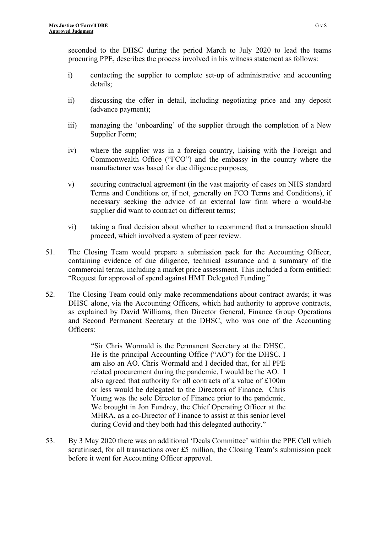seconded to the DHSC during the period March to July 2020 to lead the teams procuring PPE, describes the process involved in his witness statement as follows:

- i) contacting the supplier to complete set-up of administrative and accounting details;
- ii) discussing the offer in detail, including negotiating price and any deposit (advance payment);
- iii) managing the 'onboarding' of the supplier through the completion of a New Supplier Form;
- iv) where the supplier was in a foreign country, liaising with the Foreign and Commonwealth Office ("FCO") and the embassy in the country where the manufacturer was based for due diligence purposes;
- v) securing contractual agreement (in the vast majority of cases on NHS standard Terms and Conditions or, if not, generally on FCO Terms and Conditions), if necessary seeking the advice of an external law firm where a would-be supplier did want to contract on different terms;
- vi) taking a final decision about whether to recommend that a transaction should proceed, which involved a system of peer review.
- 51. The Closing Team would prepare a submission pack for the Accounting Officer, containing evidence of due diligence, technical assurance and a summary of the commercial terms, including a market price assessment. This included a form entitled: "Request for approval of spend against HMT Delegated Funding."
- 52. The Closing Team could only make recommendations about contract awards; it was DHSC alone, via the Accounting Officers, which had authority to approve contracts, as explained by David Williams, then Director General, Finance Group Operations and Second Permanent Secretary at the DHSC, who was one of the Accounting Officers:

"Sir Chris Wormald is the Permanent Secretary at the DHSC. He is the principal Accounting Office ("AO") for the DHSC. I am also an AO. Chris Wormald and I decided that, for all PPE related procurement during the pandemic, I would be the AO. I also agreed that authority for all contracts of a value of £100m or less would be delegated to the Directors of Finance. Chris Young was the sole Director of Finance prior to the pandemic. We brought in Jon Fundrey, the Chief Operating Officer at the MHRA, as a co-Director of Finance to assist at this senior level during Covid and they both had this delegated authority."

53. By 3 May 2020 there was an additional 'Deals Committee' within the PPE Cell which scrutinised, for all transactions over £5 million, the Closing Team's submission pack before it went for Accounting Officer approval.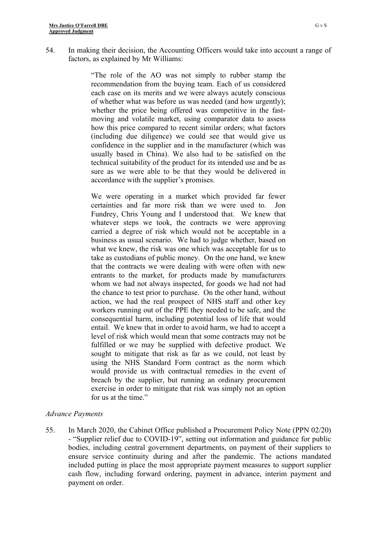54. In making their decision, the Accounting Officers would take into account a range of factors, as explained by Mr Williams:

> "The role of the AO was not simply to rubber stamp the recommendation from the buying team. Each of us considered each case on its merits and we were always acutely conscious of whether what was before us was needed (and how urgently); whether the price being offered was competitive in the fastmoving and volatile market, using comparator data to assess how this price compared to recent similar orders; what factors (including due diligence) we could see that would give us confidence in the supplier and in the manufacturer (which was usually based in China). We also had to be satisfied on the technical suitability of the product for its intended use and be as sure as we were able to be that they would be delivered in accordance with the supplier's promises.

> We were operating in a market which provided far fewer certainties and far more risk than we were used to. Jon Fundrey, Chris Young and I understood that. We knew that whatever steps we took, the contracts we were approving carried a degree of risk which would not be acceptable in a business as usual scenario. We had to judge whether, based on what we knew, the risk was one which was acceptable for us to take as custodians of public money. On the one hand, we knew that the contracts we were dealing with were often with new entrants to the market, for products made by manufacturers whom we had not always inspected, for goods we had not had the chance to test prior to purchase. On the other hand, without action, we had the real prospect of NHS staff and other key workers running out of the PPE they needed to be safe, and the consequential harm, including potential loss of life that would entail. We knew that in order to avoid harm, we had to accept a level of risk which would mean that some contracts may not be fulfilled or we may be supplied with defective product. We sought to mitigate that risk as far as we could, not least by using the NHS Standard Form contract as the norm which would provide us with contractual remedies in the event of breach by the supplier, but running an ordinary procurement exercise in order to mitigate that risk was simply not an option for us at the time."

#### *Advance Payments*

55. In March 2020, the Cabinet Office published a Procurement Policy Note (PPN 02/20) - "Supplier relief due to COVID-19", setting out information and guidance for public bodies, including central government departments, on payment of their suppliers to ensure service continuity during and after the pandemic. The actions mandated included putting in place the most appropriate payment measures to support supplier cash flow, including forward ordering, payment in advance, interim payment and payment on order.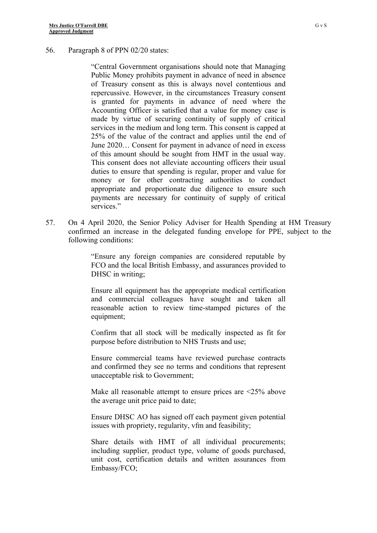#### 56. Paragraph 8 of PPN 02/20 states:

"Central Government organisations should note that Managing Public Money prohibits payment in advance of need in absence of Treasury consent as this is always novel contentious and repercussive. However, in the circumstances Treasury consent is granted for payments in advance of need where the Accounting Officer is satisfied that a value for money case is made by virtue of securing continuity of supply of critical services in the medium and long term. This consent is capped at 25% of the value of the contract and applies until the end of June 2020… Consent for payment in advance of need in excess of this amount should be sought from HMT in the usual way. This consent does not alleviate accounting officers their usual duties to ensure that spending is regular, proper and value for money or for other contracting authorities to conduct appropriate and proportionate due diligence to ensure such payments are necessary for continuity of supply of critical services."

57. On 4 April 2020, the Senior Policy Adviser for Health Spending at HM Treasury confirmed an increase in the delegated funding envelope for PPE, subject to the following conditions:

> "Ensure any foreign companies are considered reputable by FCO and the local British Embassy, and assurances provided to DHSC in writing;

> Ensure all equipment has the appropriate medical certification and commercial colleagues have sought and taken all reasonable action to review time-stamped pictures of the equipment;

> Confirm that all stock will be medically inspected as fit for purpose before distribution to NHS Trusts and use;

> Ensure commercial teams have reviewed purchase contracts and confirmed they see no terms and conditions that represent unacceptable risk to Government;

> Make all reasonable attempt to ensure prices are <25% above the average unit price paid to date;

> Ensure DHSC AO has signed off each payment given potential issues with propriety, regularity, vfm and feasibility;

> Share details with HMT of all individual procurements; including supplier, product type, volume of goods purchased, unit cost, certification details and written assurances from Embassy/FCO;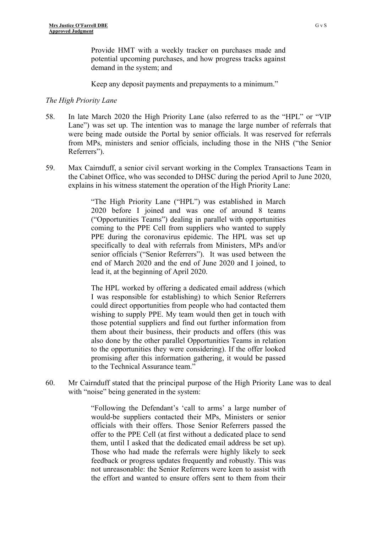Provide HMT with a weekly tracker on purchases made and potential upcoming purchases, and how progress tracks against demand in the system; and

Keep any deposit payments and prepayments to a minimum."

#### *The High Priority Lane*

- 58. In late March 2020 the High Priority Lane (also referred to as the "HPL" or "VIP Lane") was set up. The intention was to manage the large number of referrals that were being made outside the Portal by senior officials. It was reserved for referrals from MPs, ministers and senior officials, including those in the NHS ("the Senior Referrers").
- 59. Max Cairnduff, a senior civil servant working in the Complex Transactions Team in the Cabinet Office, who was seconded to DHSC during the period April to June 2020, explains in his witness statement the operation of the High Priority Lane:

"The High Priority Lane ("HPL") was established in March 2020 before I joined and was one of around 8 teams ("Opportunities Teams") dealing in parallel with opportunities coming to the PPE Cell from suppliers who wanted to supply PPE during the coronavirus epidemic. The HPL was set up specifically to deal with referrals from Ministers, MPs and/or senior officials ("Senior Referrers"). It was used between the end of March 2020 and the end of June 2020 and I joined, to lead it, at the beginning of April 2020.

The HPL worked by offering a dedicated email address (which I was responsible for establishing) to which Senior Referrers could direct opportunities from people who had contacted them wishing to supply PPE. My team would then get in touch with those potential suppliers and find out further information from them about their business, their products and offers (this was also done by the other parallel Opportunities Teams in relation to the opportunities they were considering). If the offer looked promising after this information gathering, it would be passed to the Technical Assurance team."

60. Mr Cairnduff stated that the principal purpose of the High Priority Lane was to deal with "noise" being generated in the system:

> "Following the Defendant's 'call to arms' a large number of would-be suppliers contacted their MPs, Ministers or senior officials with their offers. Those Senior Referrers passed the offer to the PPE Cell (at first without a dedicated place to send them, until I asked that the dedicated email address be set up). Those who had made the referrals were highly likely to seek feedback or progress updates frequently and robustly. This was not unreasonable: the Senior Referrers were keen to assist with the effort and wanted to ensure offers sent to them from their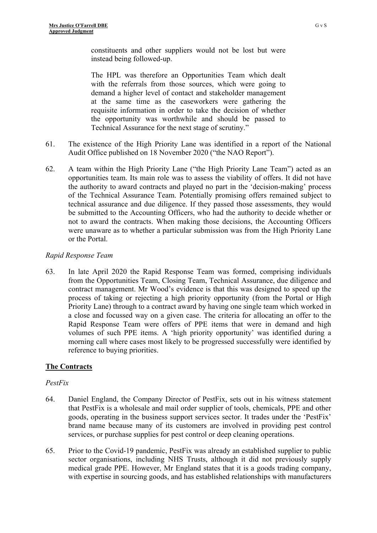constituents and other suppliers would not be lost but were instead being followed-up.

The HPL was therefore an Opportunities Team which dealt with the referrals from those sources, which were going to demand a higher level of contact and stakeholder management at the same time as the caseworkers were gathering the requisite information in order to take the decision of whether the opportunity was worthwhile and should be passed to Technical Assurance for the next stage of scrutiny."

- 61. The existence of the High Priority Lane was identified in a report of the National Audit Office published on 18 November 2020 ("the NAO Report").
- 62. A team within the High Priority Lane ("the High Priority Lane Team") acted as an opportunities team. Its main role was to assess the viability of offers. It did not have the authority to award contracts and played no part in the 'decision-making' process of the Technical Assurance Team. Potentially promising offers remained subject to technical assurance and due diligence. If they passed those assessments, they would be submitted to the Accounting Officers, who had the authority to decide whether or not to award the contracts. When making those decisions, the Accounting Officers were unaware as to whether a particular submission was from the High Priority Lane or the Portal.

#### *Rapid Response Team*

63. In late April 2020 the Rapid Response Team was formed, comprising individuals from the Opportunities Team, Closing Team, Technical Assurance, due diligence and contract management. Mr Wood's evidence is that this was designed to speed up the process of taking or rejecting a high priority opportunity (from the Portal or High Priority Lane) through to a contract award by having one single team which worked in a close and focussed way on a given case. The criteria for allocating an offer to the Rapid Response Team were offers of PPE items that were in demand and high volumes of such PPE items. A 'high priority opportunity' was identified during a morning call where cases most likely to be progressed successfully were identified by reference to buying priorities.

#### **The Contracts**

#### *PestFix*

- 64. Daniel England, the Company Director of PestFix, sets out in his witness statement that PestFix is a wholesale and mail order supplier of tools, chemicals, PPE and other goods, operating in the business support services sector. It trades under the 'PestFix' brand name because many of its customers are involved in providing pest control services, or purchase supplies for pest control or deep cleaning operations.
- 65. Prior to the Covid-19 pandemic, PestFix was already an established supplier to public sector organisations, including NHS Trusts, although it did not previously supply medical grade PPE. However, Mr England states that it is a goods trading company, with expertise in sourcing goods, and has established relationships with manufacturers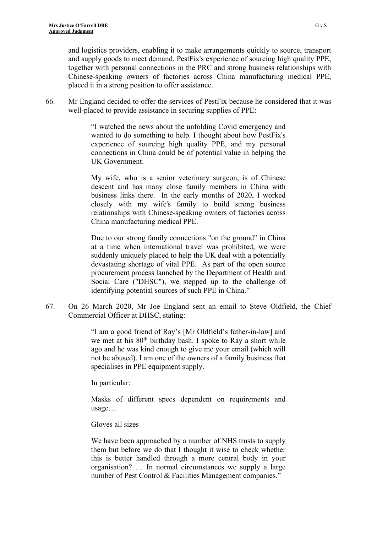and logistics providers, enabling it to make arrangements quickly to source, transport and supply goods to meet demand. PestFix's experience of sourcing high quality PPE, together with personal connections in the PRC and strong business relationships with Chinese-speaking owners of factories across China manufacturing medical PPE, placed it in a strong position to offer assistance.

66. Mr England decided to offer the services of PestFix because he considered that it was well-placed to provide assistance in securing supplies of PPE:

> "I watched the news about the unfolding Covid emergency and wanted to do something to help. I thought about how PestFix's experience of sourcing high quality PPE, and my personal connections in China could be of potential value in helping the UK Government.

> My wife, who is a senior veterinary surgeon, is of Chinese descent and has many close family members in China with business links there. In the early months of 2020, I worked closely with my wife's family to build strong business relationships with Chinese-speaking owners of factories across China manufacturing medical PPE.

> Due to our strong family connections "on the ground" in China at a time when international travel was prohibited, we were suddenly uniquely placed to help the UK deal with a potentially devastating shortage of vital PPE. As part of the open source procurement process launched by the Department of Health and Social Care ("DHSC"), we stepped up to the challenge of identifying potential sources of such PPE in China."

67. On 26 March 2020, Mr Joe England sent an email to Steve Oldfield, the Chief Commercial Officer at DHSC, stating:

> "I am a good friend of Ray's [Mr Oldfield's father-in-law] and we met at his 80<sup>th</sup> birthday bash. I spoke to Ray a short while ago and he was kind enough to give me your email (which will not be abused). I am one of the owners of a family business that specialises in PPE equipment supply.

In particular:

Masks of different specs dependent on requirements and usage…

#### Gloves all sizes

We have been approached by a number of NHS trusts to supply them but before we do that I thought it wise to check whether this is better handled through a more central body in your organisation? … In normal circumstances we supply a large number of Pest Control & Facilities Management companies."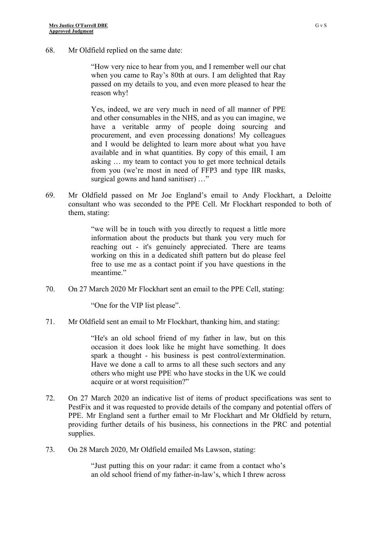68. Mr Oldfield replied on the same date:

"How very nice to hear from you, and I remember well our chat when you came to Ray's 80th at ours. I am delighted that Ray passed on my details to you, and even more pleased to hear the reason why!

Yes, indeed, we are very much in need of all manner of PPE and other consumables in the NHS, and as you can imagine, we have a veritable army of people doing sourcing and procurement, and even processing donations! My colleagues and I would be delighted to learn more about what you have available and in what quantities. By copy of this email, I am asking … my team to contact you to get more technical details from you (we're most in need of FFP3 and type IIR masks, surgical gowns and hand sanitiser) …"

69. Mr Oldfield passed on Mr Joe England's email to Andy Flockhart, a Deloitte consultant who was seconded to the PPE Cell. Mr Flockhart responded to both of them, stating:

> "we will be in touch with you directly to request a little more information about the products but thank you very much for reaching out - it's genuinely appreciated. There are teams working on this in a dedicated shift pattern but do please feel free to use me as a contact point if you have questions in the meantime."

70. On 27 March 2020 Mr Flockhart sent an email to the PPE Cell, stating:

"One for the VIP list please".

71. Mr Oldfield sent an email to Mr Flockhart, thanking him, and stating:

"He's an old school friend of my father in law, but on this occasion it does look like he might have something. It does spark a thought - his business is pest control/extermination. Have we done a call to arms to all these such sectors and any others who might use PPE who have stocks in the UK we could acquire or at worst requisition?"

- 72. On 27 March 2020 an indicative list of items of product specifications was sent to PestFix and it was requested to provide details of the company and potential offers of PPE. Mr England sent a further email to Mr Flockhart and Mr Oldfield by return, providing further details of his business, his connections in the PRC and potential supplies.
- 73. On 28 March 2020, Mr Oldfield emailed Ms Lawson, stating:

"Just putting this on your radar: it came from a contact who's an old school friend of my father-in-law's, which I threw across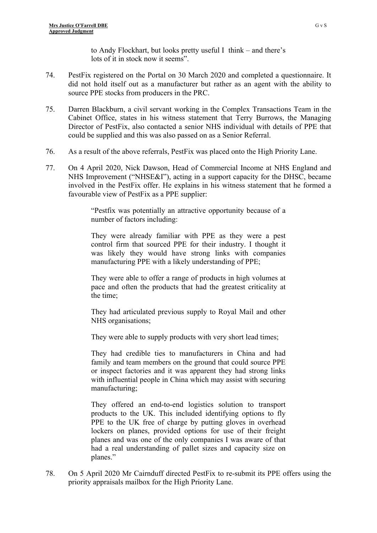to Andy Flockhart, but looks pretty useful I think – and there's lots of it in stock now it seems".

- 74. PestFix registered on the Portal on 30 March 2020 and completed a questionnaire. It did not hold itself out as a manufacturer but rather as an agent with the ability to source PPE stocks from producers in the PRC.
- 75. Darren Blackburn, a civil servant working in the Complex Transactions Team in the Cabinet Office, states in his witness statement that Terry Burrows, the Managing Director of PestFix, also contacted a senior NHS individual with details of PPE that could be supplied and this was also passed on as a Senior Referral.
- 76. As a result of the above referrals, PestFix was placed onto the High Priority Lane.
- 77. On 4 April 2020, Nick Dawson, Head of Commercial Income at NHS England and NHS Improvement ("NHSE&I"), acting in a support capacity for the DHSC, became involved in the PestFix offer. He explains in his witness statement that he formed a favourable view of PestFix as a PPE supplier:

"Pestfix was potentially an attractive opportunity because of a number of factors including:

They were already familiar with PPE as they were a pest control firm that sourced PPE for their industry. I thought it was likely they would have strong links with companies manufacturing PPE with a likely understanding of PPE;

They were able to offer a range of products in high volumes at pace and often the products that had the greatest criticality at the time;

They had articulated previous supply to Royal Mail and other NHS organisations;

They were able to supply products with very short lead times;

They had credible ties to manufacturers in China and had family and team members on the ground that could source PPE or inspect factories and it was apparent they had strong links with influential people in China which may assist with securing manufacturing;

They offered an end-to-end logistics solution to transport products to the UK. This included identifying options to fly PPE to the UK free of charge by putting gloves in overhead lockers on planes, provided options for use of their freight planes and was one of the only companies I was aware of that had a real understanding of pallet sizes and capacity size on planes."

78. On 5 April 2020 Mr Cairnduff directed PestFix to re-submit its PPE offers using the priority appraisals mailbox for the High Priority Lane.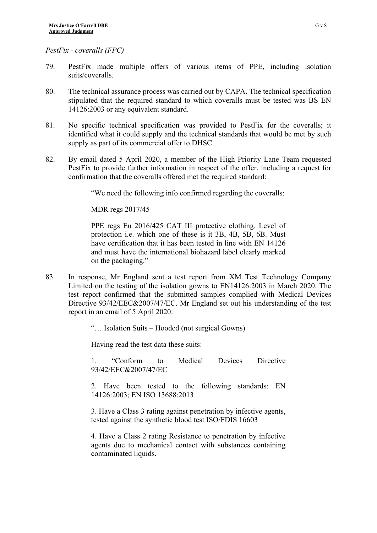*PestFix - coveralls (FPC)*

- 79. PestFix made multiple offers of various items of PPE, including isolation suits/coveralls.
- 80. The technical assurance process was carried out by CAPA. The technical specification stipulated that the required standard to which coveralls must be tested was BS EN 14126:2003 or any equivalent standard.
- 81. No specific technical specification was provided to PestFix for the coveralls; it identified what it could supply and the technical standards that would be met by such supply as part of its commercial offer to DHSC.
- 82. By email dated 5 April 2020, a member of the High Priority Lane Team requested PestFix to provide further information in respect of the offer, including a request for confirmation that the coveralls offered met the required standard:

"We need the following info confirmed regarding the coveralls:

MDR regs 2017/45

PPE regs Eu 2016/425 CAT III protective clothing. Level of protection i.e. which one of these is it 3B, 4B, 5B, 6B. Must have certification that it has been tested in line with EN 14126 and must have the international biohazard label clearly marked on the packaging."

- 83. In response, Mr England sent a test report from XM Test Technology Company Limited on the testing of the isolation gowns to EN14126:2003 in March 2020. The test report confirmed that the submitted samples complied with Medical Devices Directive 93/42/EEC&2007/47/EC. Mr England set out his understanding of the test report in an email of 5 April 2020:
	- "… Isolation Suits Hooded (not surgical Gowns)

Having read the test data these suits:

1. "Conform to Medical Devices Directive 93/42/EEC&2007/47/EC

2. Have been tested to the following standards: EN 14126:2003; EN ISO 13688:2013

3. Have a Class 3 rating against penetration by infective agents, tested against the synthetic blood test ISO/FDIS 16603

4. Have a Class 2 rating Resistance to penetration by infective agents due to mechanical contact with substances containing contaminated liquids.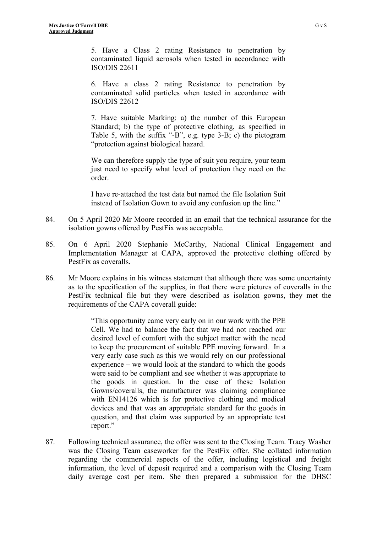5. Have a Class 2 rating Resistance to penetration by contaminated liquid aerosols when tested in accordance with ISO/DIS 22611

6. Have a class 2 rating Resistance to penetration by contaminated solid particles when tested in accordance with ISO/DIS 22612

7. Have suitable Marking: a) the number of this European Standard; b) the type of protective clothing, as specified in Table 5, with the suffix "-B", e.g. type 3-B; c) the pictogram "protection against biological hazard.

We can therefore supply the type of suit you require, your team just need to specify what level of protection they need on the order.

I have re-attached the test data but named the file Isolation Suit instead of Isolation Gown to avoid any confusion up the line."

- 84. On 5 April 2020 Mr Moore recorded in an email that the technical assurance for the isolation gowns offered by PestFix was acceptable.
- 85. On 6 April 2020 Stephanie McCarthy, National Clinical Engagement and Implementation Manager at CAPA, approved the protective clothing offered by PestFix as coveralls.
- 86. Mr Moore explains in his witness statement that although there was some uncertainty as to the specification of the supplies, in that there were pictures of coveralls in the PestFix technical file but they were described as isolation gowns, they met the requirements of the CAPA coverall guide:

"This opportunity came very early on in our work with the PPE Cell. We had to balance the fact that we had not reached our desired level of comfort with the subject matter with the need to keep the procurement of suitable PPE moving forward. In a very early case such as this we would rely on our professional experience – we would look at the standard to which the goods were said to be compliant and see whether it was appropriate to the goods in question. In the case of these Isolation Gowns/coveralls, the manufacturer was claiming compliance with EN14126 which is for protective clothing and medical devices and that was an appropriate standard for the goods in question, and that claim was supported by an appropriate test report."

87. Following technical assurance, the offer was sent to the Closing Team. Tracy Washer was the Closing Team caseworker for the PestFix offer. She collated information regarding the commercial aspects of the offer, including logistical and freight information, the level of deposit required and a comparison with the Closing Team daily average cost per item. She then prepared a submission for the DHSC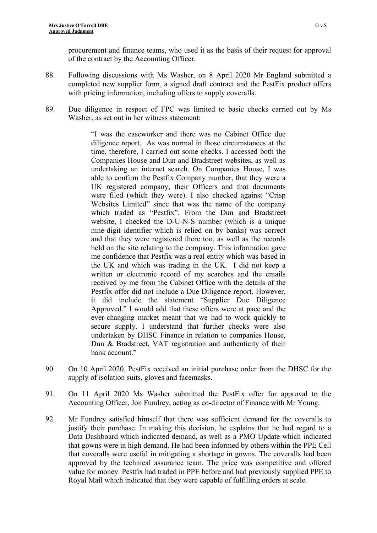procurement and finance teams, who used it as the basis of their request for approval of the contract by the Accounting Officer.

- 88. Following discussions with Ms Washer, on 8 April 2020 Mr England submitted a completed new supplier form, a signed draft contract and the PestFix product offers with pricing information, including offers to supply coveralls.
- 89. Due diligence in respect of FPC was limited to basic checks carried out by Ms Washer, as set out in her witness statement:

"I was the caseworker and there was no Cabinet Office due diligence report. As was normal in those circumstances at the time, therefore, I carried out some checks. I accessed both the Companies House and Dun and Bradstreet websites, as well as undertaking an internet search. On Companies House, I was able to confirm the Pestfix Company number, that they were a UK registered company, their Officers and that documents were filed (which they were). I also checked against "Crisp Websites Limited" since that was the name of the company which traded as "Pestfix". From the Dun and Bradstreet website, I checked the D-U-N-S number (which is a unique nine-digit identifier which is relied on by banks) was correct and that they were registered there too, as well as the records held on the site relating to the company. This information gave me confidence that Pestfix was a real entity which was based in the UK and which was trading in the UK. I did not keep a written or electronic record of my searches and the emails received by me from the Cabinet Office with the details of the Pestfix offer did not include a Due Diligence report. However, it did include the statement "Supplier Due Diligence Approved." I would add that these offers were at pace and the ever-changing market meant that we had to work quickly to secure supply. I understand that further checks were also undertaken by DHSC Finance in relation to companies House, Dun & Bradstreet, VAT registration and authenticity of their bank account."

- 90. On 10 April 2020, PestFix received an initial purchase order from the DHSC for the supply of isolation suits, gloves and facemasks.
- 91. On 11 April 2020 Ms Washer submitted the PestFix offer for approval to the Accounting Officer, Jon Fundrey, acting as co-director of Finance with Mr Young.
- 92. Mr Fundrey satisfied himself that there was sufficient demand for the coveralls to justify their purchase. In making this decision, he explains that he had regard to a Data Dashboard which indicated demand, as well as a PMO Update which indicated that gowns were in high demand. He had been informed by others within the PPE Cell that coveralls were useful in mitigating a shortage in gowns. The coveralls had been approved by the technical assurance team. The price was competitive and offered value for money. Pestfix had traded in PPE before and had previously supplied PPE to Royal Mail which indicated that they were capable of fulfilling orders at scale.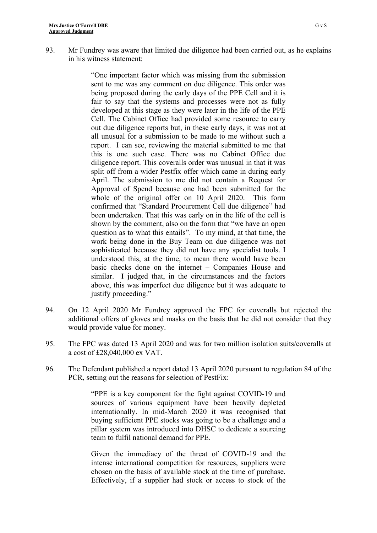93. Mr Fundrey was aware that limited due diligence had been carried out, as he explains in his witness statement:

> "One important factor which was missing from the submission sent to me was any comment on due diligence. This order was being proposed during the early days of the PPE Cell and it is fair to say that the systems and processes were not as fully developed at this stage as they were later in the life of the PPE Cell. The Cabinet Office had provided some resource to carry out due diligence reports but, in these early days, it was not at all unusual for a submission to be made to me without such a report. I can see, reviewing the material submitted to me that this is one such case. There was no Cabinet Office due diligence report. This coveralls order was unusual in that it was split off from a wider Pestfix offer which came in during early April. The submission to me did not contain a Request for Approval of Spend because one had been submitted for the whole of the original offer on 10 April 2020. This form confirmed that "Standard Procurement Cell due diligence" had been undertaken. That this was early on in the life of the cell is shown by the comment, also on the form that "we have an open question as to what this entails". To my mind, at that time, the work being done in the Buy Team on due diligence was not sophisticated because they did not have any specialist tools. I understood this, at the time, to mean there would have been basic checks done on the internet – Companies House and similar. I judged that, in the circumstances and the factors above, this was imperfect due diligence but it was adequate to justify proceeding."

- 94. On 12 April 2020 Mr Fundrey approved the FPC for coveralls but rejected the additional offers of gloves and masks on the basis that he did not consider that they would provide value for money.
- 95. The FPC was dated 13 April 2020 and was for two million isolation suits/coveralls at a cost of £28,040,000 ex VAT.
- 96. The Defendant published a report dated 13 April 2020 pursuant to regulation 84 of the PCR, setting out the reasons for selection of PestFix:

"PPE is a key component for the fight against COVID-19 and sources of various equipment have been heavily depleted internationally. In mid-March 2020 it was recognised that buying sufficient PPE stocks was going to be a challenge and a pillar system was introduced into DHSC to dedicate a sourcing team to fulfil national demand for PPE.

Given the immediacy of the threat of COVID-19 and the intense international competition for resources, suppliers were chosen on the basis of available stock at the time of purchase. Effectively, if a supplier had stock or access to stock of the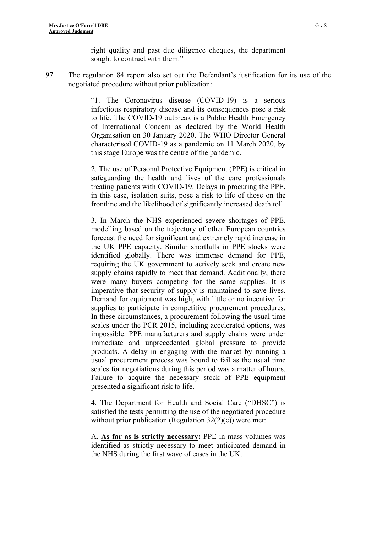right quality and past due diligence cheques, the department sought to contract with them."

97. The regulation 84 report also set out the Defendant's justification for its use of the negotiated procedure without prior publication:

> "1. The Coronavirus disease (COVID-19) is a serious infectious respiratory disease and its consequences pose a risk to life. The COVID-19 outbreak is a Public Health Emergency of International Concern as declared by the World Health Organisation on 30 January 2020. The WHO Director General characterised COVID-19 as a pandemic on 11 March 2020, by this stage Europe was the centre of the pandemic.

> 2. The use of Personal Protective Equipment (PPE) is critical in safeguarding the health and lives of the care professionals treating patients with COVID-19. Delays in procuring the PPE, in this case, isolation suits, pose a risk to life of those on the frontline and the likelihood of significantly increased death toll.

> 3. In March the NHS experienced severe shortages of PPE, modelling based on the trajectory of other European countries forecast the need for significant and extremely rapid increase in the UK PPE capacity. Similar shortfalls in PPE stocks were identified globally. There was immense demand for PPE, requiring the UK government to actively seek and create new supply chains rapidly to meet that demand. Additionally, there were many buyers competing for the same supplies. It is imperative that security of supply is maintained to save lives. Demand for equipment was high, with little or no incentive for supplies to participate in competitive procurement procedures. In these circumstances, a procurement following the usual time scales under the PCR 2015, including accelerated options, was impossible. PPE manufacturers and supply chains were under immediate and unprecedented global pressure to provide products. A delay in engaging with the market by running a usual procurement process was bound to fail as the usual time scales for negotiations during this period was a matter of hours. Failure to acquire the necessary stock of PPE equipment presented a significant risk to life.

> 4. The Department for Health and Social Care ("DHSC") is satisfied the tests permitting the use of the negotiated procedure without prior publication (Regulation  $32(2)(c)$ ) were met:

> A. **As far as is strictly necessary:** PPE in mass volumes was identified as strictly necessary to meet anticipated demand in the NHS during the first wave of cases in the UK.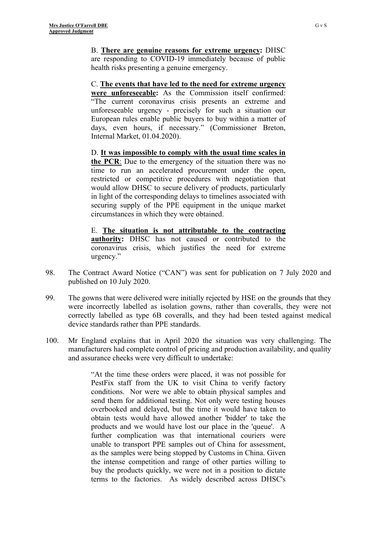B. **There are genuine reasons for extreme urgency:** DHSC are responding to COVID-19 immediately because of public health risks presenting a genuine emergency.

C. **The events that have led to the need for extreme urgency were unforeseeable:** As the Commission itself confirmed: "The current coronavirus crisis presents an extreme and unforeseeable urgency - precisely for such a situation our European rules enable public buyers to buy within a matter of days, even hours, if necessary." (Commissioner Breton, Internal Market, 01.04.2020).

D. **It was impossible to comply with the usual time scales in the PCR**: Due to the emergency of the situation there was no time to run an accelerated procurement under the open, restricted or competitive procedures with negotiation that would allow DHSC to secure delivery of products, particularly in light of the corresponding delays to timelines associated with securing supply of the PPE equipment in the unique market circumstances in which they were obtained.

E. **The situation is not attributable to the contracting authority:** DHSC has not caused or contributed to the coronavirus crisis, which justifies the need for extreme urgency."

- 98. The Contract Award Notice ("CAN") was sent for publication on 7 July 2020 and published on 10 July 2020.
- 99. The gowns that were delivered were initially rejected by HSE on the grounds that they were incorrectly labelled as isolation gowns, rather than coveralls, they were not correctly labelled as type 6B coveralls, and they had been tested against medical device standards rather than PPE standards.
- 100. Mr England explains that in April 2020 the situation was very challenging. The manufacturers had complete control of pricing and production availability, and quality and assurance checks were very difficult to undertake:

"At the time these orders were placed, it was not possible for PestFix staff from the UK to visit China to verify factory conditions. Nor were we able to obtain physical samples and send them for additional testing. Not only were testing houses overbooked and delayed, but the time it would have taken to obtain tests would have allowed another 'bidder' to take the products and we would have lost our place in the 'queue'. A further complication was that international couriers were unable to transport PPE samples out of China for assessment, as the samples were being stopped by Customs in China. Given the intense competition and range of other parties willing to buy the products quickly, we were not in a position to dictate terms to the factories. As widely described across DHSC's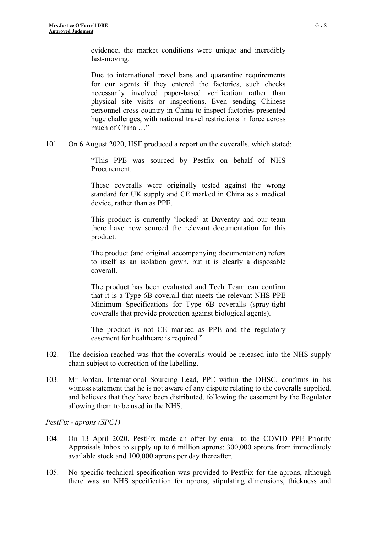evidence, the market conditions were unique and incredibly fast-moving.

Due to international travel bans and quarantine requirements for our agents if they entered the factories, such checks necessarily involved paper-based verification rather than physical site visits or inspections. Even sending Chinese personnel cross-country in China to inspect factories presented huge challenges, with national travel restrictions in force across much of China …"

101. On 6 August 2020, HSE produced a report on the coveralls, which stated:

"This PPE was sourced by Pestfix on behalf of NHS Procurement.

These coveralls were originally tested against the wrong standard for UK supply and CE marked in China as a medical device, rather than as PPE.

This product is currently 'locked' at Daventry and our team there have now sourced the relevant documentation for this product.

The product (and original accompanying documentation) refers to itself as an isolation gown, but it is clearly a disposable coverall.

The product has been evaluated and Tech Team can confirm that it is a Type 6B coverall that meets the relevant NHS PPE Minimum Specifications for Type 6B coveralls (spray-tight coveralls that provide protection against biological agents).

The product is not CE marked as PPE and the regulatory easement for healthcare is required."

- 102. The decision reached was that the coveralls would be released into the NHS supply chain subject to correction of the labelling.
- 103. Mr Jordan, International Sourcing Lead, PPE within the DHSC, confirms in his witness statement that he is not aware of any dispute relating to the coveralls supplied, and believes that they have been distributed, following the easement by the Regulator allowing them to be used in the NHS.

*PestFix - aprons (SPC1)*

- 104. On 13 April 2020, PestFix made an offer by email to the COVID PPE Priority Appraisals Inbox to supply up to 6 million aprons: 300,000 aprons from immediately available stock and 100,000 aprons per day thereafter.
- 105. No specific technical specification was provided to PestFix for the aprons, although there was an NHS specification for aprons, stipulating dimensions, thickness and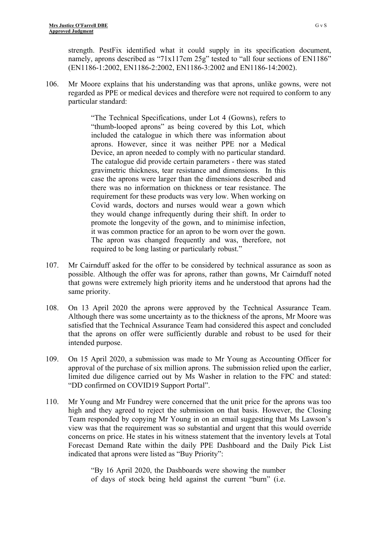strength. PestFix identified what it could supply in its specification document, namely, aprons described as "71x117cm 25g" tested to "all four sections of EN1186" (EN1186-1:2002, EN1186-2:2002, EN1186-3:2002 and EN1186-14:2002).

106. Mr Moore explains that his understanding was that aprons, unlike gowns, were not regarded as PPE or medical devices and therefore were not required to conform to any particular standard:

> "The Technical Specifications, under Lot 4 (Gowns), refers to "thumb-looped aprons" as being covered by this Lot, which included the catalogue in which there was information about aprons. However, since it was neither PPE nor a Medical Device, an apron needed to comply with no particular standard. The catalogue did provide certain parameters - there was stated gravimetric thickness, tear resistance and dimensions. In this case the aprons were larger than the dimensions described and there was no information on thickness or tear resistance. The requirement for these products was very low. When working on Covid wards, doctors and nurses would wear a gown which they would change infrequently during their shift. In order to promote the longevity of the gown, and to minimise infection, it was common practice for an apron to be worn over the gown. The apron was changed frequently and was, therefore, not required to be long lasting or particularly robust."

- 107. Mr Cairnduff asked for the offer to be considered by technical assurance as soon as possible. Although the offer was for aprons, rather than gowns, Mr Cairnduff noted that gowns were extremely high priority items and he understood that aprons had the same priority.
- 108. On 13 April 2020 the aprons were approved by the Technical Assurance Team. Although there was some uncertainty as to the thickness of the aprons, Mr Moore was satisfied that the Technical Assurance Team had considered this aspect and concluded that the aprons on offer were sufficiently durable and robust to be used for their intended purpose.
- 109. On 15 April 2020, a submission was made to Mr Young as Accounting Officer for approval of the purchase of six million aprons. The submission relied upon the earlier, limited due diligence carried out by Ms Washer in relation to the FPC and stated: "DD confirmed on COVID19 Support Portal".
- 110. Mr Young and Mr Fundrey were concerned that the unit price for the aprons was too high and they agreed to reject the submission on that basis. However, the Closing Team responded by copying Mr Young in on an email suggesting that Ms Lawson's view was that the requirement was so substantial and urgent that this would override concerns on price. He states in his witness statement that the inventory levels at Total Forecast Demand Rate within the daily PPE Dashboard and the Daily Pick List indicated that aprons were listed as "Buy Priority":

"By 16 April 2020, the Dashboards were showing the number of days of stock being held against the current "burn" (i.e.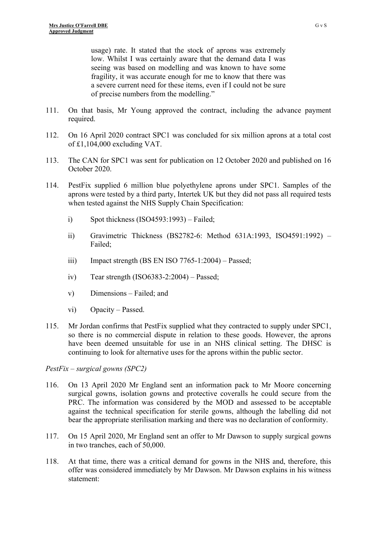usage) rate. It stated that the stock of aprons was extremely low. Whilst I was certainly aware that the demand data I was seeing was based on modelling and was known to have some fragility, it was accurate enough for me to know that there was a severe current need for these items, even if I could not be sure of precise numbers from the modelling."

- 111. On that basis, Mr Young approved the contract, including the advance payment required.
- 112. On 16 April 2020 contract SPC1 was concluded for six million aprons at a total cost of £1,104,000 excluding VAT.
- 113. The CAN for SPC1 was sent for publication on 12 October 2020 and published on 16 October 2020.
- 114. PestFix supplied 6 million blue polyethylene aprons under SPC1. Samples of the aprons were tested by a third party, Intertek UK but they did not pass all required tests when tested against the NHS Supply Chain Specification:
	- i) Spot thickness (ISO4593:1993) Failed;
	- ii) Gravimetric Thickness (BS2782-6: Method 631A:1993, ISO4591:1992) Failed;
	- iii) Impact strength (BS EN ISO 7765-1:2004) Passed;
	- iv) Tear strength  $(ISO6383-2:2004)$  Passed;
	- v) Dimensions Failed; and
	- vi) Opacity Passed.
- 115. Mr Jordan confirms that PestFix supplied what they contracted to supply under SPC1, so there is no commercial dispute in relation to these goods. However, the aprons have been deemed unsuitable for use in an NHS clinical setting. The DHSC is continuing to look for alternative uses for the aprons within the public sector.

#### *PestFix – surgical gowns (SPC2)*

- 116. On 13 April 2020 Mr England sent an information pack to Mr Moore concerning surgical gowns, isolation gowns and protective coveralls he could secure from the PRC. The information was considered by the MOD and assessed to be acceptable against the technical specification for sterile gowns, although the labelling did not bear the appropriate sterilisation marking and there was no declaration of conformity.
- 117. On 15 April 2020, Mr England sent an offer to Mr Dawson to supply surgical gowns in two tranches, each of 50,000.
- 118. At that time, there was a critical demand for gowns in the NHS and, therefore, this offer was considered immediately by Mr Dawson. Mr Dawson explains in his witness statement: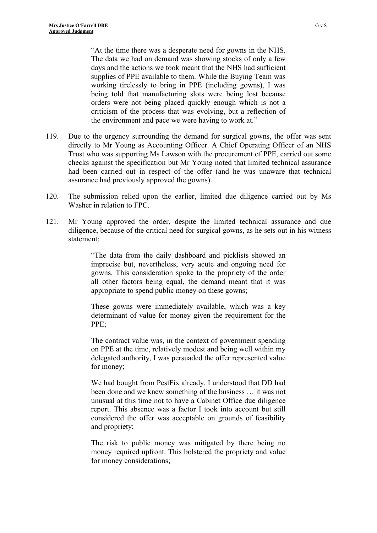"At the time there was a desperate need for gowns in the NHS. The data we had on demand was showing stocks of only a few days and the actions we took meant that the NHS had sufficient supplies of PPE available to them. While the Buying Team was working tirelessly to bring in PPE (including gowns), I was being told that manufacturing slots were being lost because orders were not being placed quickly enough which is not a criticism of the process that was evolving, but a reflection of the environment and pace we were having to work at."

- 119. Due to the urgency surrounding the demand for surgical gowns, the offer was sent directly to Mr Young as Accounting Officer. A Chief Operating Officer of an NHS Trust who was supporting Ms Lawson with the procurement of PPE, carried out some checks against the specification but Mr Young noted that limited technical assurance had been carried out in respect of the offer (and he was unaware that technical assurance had previously approved the gowns).
- 120. The submission relied upon the earlier, limited due diligence carried out by Ms Washer in relation to FPC.
- 121. Mr Young approved the order, despite the limited technical assurance and due diligence, because of the critical need for surgical gowns, as he sets out in his witness statement:

"The data from the daily dashboard and picklists showed an imprecise but, nevertheless, very acute and ongoing need for gowns. This consideration spoke to the propriety of the order all other factors being equal, the demand meant that it was appropriate to spend public money on these gowns;

These gowns were immediately available, which was a key determinant of value for money given the requirement for the PPE;

The contract value was, in the context of government spending on PPE at the time, relatively modest and being well within my delegated authority, I was persuaded the offer represented value for money;

We had bought from PestFix already. I understood that DD had been done and we knew something of the business … it was not unusual at this time not to have a Cabinet Office due diligence report. This absence was a factor I took into account but still considered the offer was acceptable on grounds of feasibility and propriety;

The risk to public money was mitigated by there being no money required upfront. This bolstered the propriety and value for money considerations;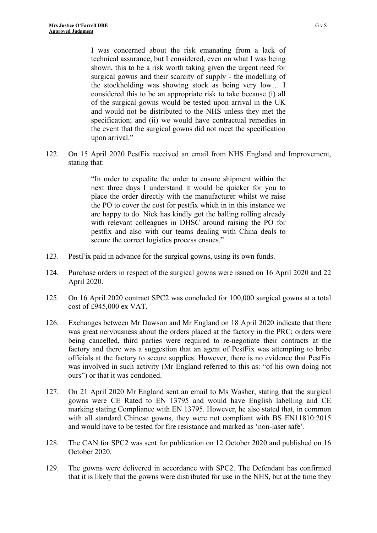I was concerned about the risk emanating from a lack of technical assurance, but I considered, even on what I was being shown, this to be a risk worth taking given the urgent need for surgical gowns and their scarcity of supply - the modelling of the stockholding was showing stock as being very low… I considered this to be an appropriate risk to take because (i) all of the surgical gowns would be tested upon arrival in the UK and would not be distributed to the NHS unless they met the specification; and (ii) we would have contractual remedies in the event that the surgical gowns did not meet the specification upon arrival."

122. On 15 April 2020 PestFix received an email from NHS England and Improvement, stating that:

> "In order to expedite the order to ensure shipment within the next three days I understand it would be quicker for you to place the order directly with the manufacturer whilst we raise the PO to cover the cost for pestfix which in in this instance we are happy to do. Nick has kindly got the balling rolling already with relevant colleagues in DHSC around raising the PO for pestfix and also with our teams dealing with China deals to secure the correct logistics process ensues."

- 123. PestFix paid in advance for the surgical gowns, using its own funds.
- 124. Purchase orders in respect of the surgical gowns were issued on 16 April 2020 and 22 April 2020.
- 125. On 16 April 2020 contract SPC2 was concluded for 100,000 surgical gowns at a total cost of £945,000 ex VAT.
- 126. Exchanges between Mr Dawson and Mr England on 18 April 2020 indicate that there was great nervousness about the orders placed at the factory in the PRC; orders were being cancelled, third parties were required to re-negotiate their contracts at the factory and there was a suggestion that an agent of PestFix was attempting to bribe officials at the factory to secure supplies. However, there is no evidence that PestFix was involved in such activity (Mr England referred to this as: "of his own doing not ours") or that it was condoned.
- 127. On 21 April 2020 Mr England sent an email to Ms Washer, stating that the surgical gowns were CE Rated to EN 13795 and would have English labelling and CE marking stating Compliance with EN 13795. However, he also stated that, in common with all standard Chinese gowns, they were not compliant with BS EN11810:2015 and would have to be tested for fire resistance and marked as 'non-laser safe'.
- 128. The CAN for SPC2 was sent for publication on 12 October 2020 and published on 16 October 2020.
- 129. The gowns were delivered in accordance with SPC2. The Defendant has confirmed that it is likely that the gowns were distributed for use in the NHS, but at the time they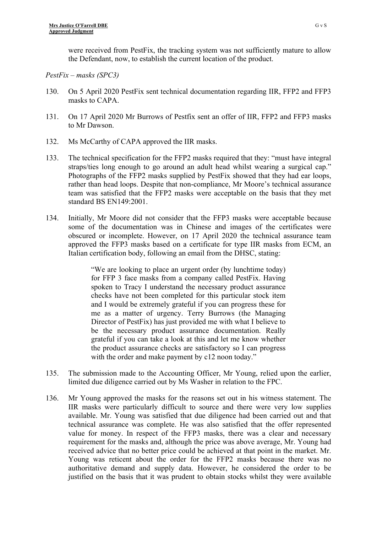were received from PestFix, the tracking system was not sufficiently mature to allow the Defendant, now, to establish the current location of the product.

## *PestFix – masks (SPC3)*

- 130. On 5 April 2020 PestFix sent technical documentation regarding IIR, FFP2 and FFP3 masks to CAPA.
- 131. On 17 April 2020 Mr Burrows of Pestfix sent an offer of IIR, FFP2 and FFP3 masks to Mr Dawson.
- 132. Ms McCarthy of CAPA approved the IIR masks.
- 133. The technical specification for the FFP2 masks required that they: "must have integral straps/ties long enough to go around an adult head whilst wearing a surgical cap." Photographs of the FFP2 masks supplied by PestFix showed that they had ear loops, rather than head loops. Despite that non-compliance, Mr Moore's technical assurance team was satisfied that the FFP2 masks were acceptable on the basis that they met standard BS EN149:2001.
- 134. Initially, Mr Moore did not consider that the FFP3 masks were acceptable because some of the documentation was in Chinese and images of the certificates were obscured or incomplete. However, on 17 April 2020 the technical assurance team approved the FFP3 masks based on a certificate for type IIR masks from ECM, an Italian certification body, following an email from the DHSC, stating:

"We are looking to place an urgent order (by lunchtime today) for FFP 3 face masks from a company called PestFix. Having spoken to Tracy I understand the necessary product assurance checks have not been completed for this particular stock item and I would be extremely grateful if you can progress these for me as a matter of urgency. Terry Burrows (the Managing Director of PestFix) has just provided me with what I believe to be the necessary product assurance documentation. Really grateful if you can take a look at this and let me know whether the product assurance checks are satisfactory so I can progress with the order and make payment by c12 noon today."

- 135. The submission made to the Accounting Officer, Mr Young, relied upon the earlier, limited due diligence carried out by Ms Washer in relation to the FPC.
- 136. Mr Young approved the masks for the reasons set out in his witness statement. The IIR masks were particularly difficult to source and there were very low supplies available. Mr. Young was satisfied that due diligence had been carried out and that technical assurance was complete. He was also satisfied that the offer represented value for money. In respect of the FFP3 masks, there was a clear and necessary requirement for the masks and, although the price was above average, Mr. Young had received advice that no better price could be achieved at that point in the market. Mr. Young was reticent about the order for the FFP2 masks because there was no authoritative demand and supply data. However, he considered the order to be justified on the basis that it was prudent to obtain stocks whilst they were available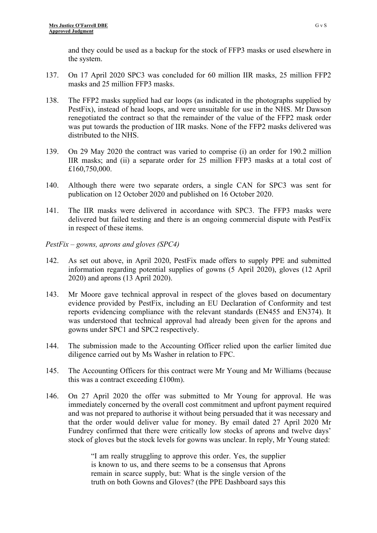and they could be used as a backup for the stock of FFP3 masks or used elsewhere in the system.

- 137. On 17 April 2020 SPC3 was concluded for 60 million IIR masks, 25 million FFP2 masks and 25 million FFP3 masks.
- 138. The FFP2 masks supplied had ear loops (as indicated in the photographs supplied by PestFix), instead of head loops, and were unsuitable for use in the NHS. Mr Dawson renegotiated the contract so that the remainder of the value of the FFP2 mask order was put towards the production of IIR masks. None of the FFP2 masks delivered was distributed to the NHS.
- 139. On 29 May 2020 the contract was varied to comprise (i) an order for 190.2 million IIR masks; and (ii) a separate order for 25 million FFP3 masks at a total cost of £160,750,000.
- 140. Although there were two separate orders, a single CAN for SPC3 was sent for publication on 12 October 2020 and published on 16 October 2020.
- 141. The IIR masks were delivered in accordance with SPC3. The FFP3 masks were delivered but failed testing and there is an ongoing commercial dispute with PestFix in respect of these items.
- *PestFix gowns, aprons and gloves (SPC4)*
- 142. As set out above, in April 2020, PestFix made offers to supply PPE and submitted information regarding potential supplies of gowns (5 April 2020), gloves (12 April 2020) and aprons (13 April 2020).
- 143. Mr Moore gave technical approval in respect of the gloves based on documentary evidence provided by PestFix, including an EU Declaration of Conformity and test reports evidencing compliance with the relevant standards (EN455 and EN374). It was understood that technical approval had already been given for the aprons and gowns under SPC1 and SPC2 respectively.
- 144. The submission made to the Accounting Officer relied upon the earlier limited due diligence carried out by Ms Washer in relation to FPC.
- 145. The Accounting Officers for this contract were Mr Young and Mr Williams (because this was a contract exceeding £100m).
- 146. On 27 April 2020 the offer was submitted to Mr Young for approval. He was immediately concerned by the overall cost commitment and upfront payment required and was not prepared to authorise it without being persuaded that it was necessary and that the order would deliver value for money. By email dated 27 April 2020 Mr Fundrey confirmed that there were critically low stocks of aprons and twelve days' stock of gloves but the stock levels for gowns was unclear. In reply, Mr Young stated:

"I am really struggling to approve this order. Yes, the supplier is known to us, and there seems to be a consensus that Aprons remain in scarce supply, but: What is the single version of the truth on both Gowns and Gloves? (the PPE Dashboard says this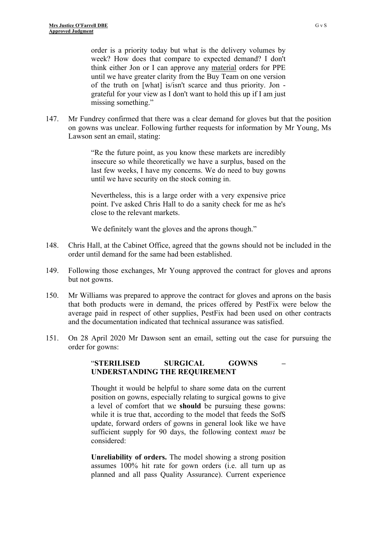order is a priority today but what is the delivery volumes by week? How does that compare to expected demand? I don't think either Jon or I can approve any material orders for PPE until we have greater clarity from the Buy Team on one version of the truth on [what] is/isn't scarce and thus priority. Jon grateful for your view as I don't want to hold this up if I am just missing something."

147. Mr Fundrey confirmed that there was a clear demand for gloves but that the position on gowns was unclear. Following further requests for information by Mr Young, Ms Lawson sent an email, stating:

> "Re the future point, as you know these markets are incredibly insecure so while theoretically we have a surplus, based on the last few weeks, I have my concerns. We do need to buy gowns until we have security on the stock coming in.

> Nevertheless, this is a large order with a very expensive price point. I've asked Chris Hall to do a sanity check for me as he's close to the relevant markets.

We definitely want the gloves and the aprons though."

- 148. Chris Hall, at the Cabinet Office, agreed that the gowns should not be included in the order until demand for the same had been established.
- 149. Following those exchanges, Mr Young approved the contract for gloves and aprons but not gowns.
- 150. Mr Williams was prepared to approve the contract for gloves and aprons on the basis that both products were in demand, the prices offered by PestFix were below the average paid in respect of other supplies, PestFix had been used on other contracts and the documentation indicated that technical assurance was satisfied.
- 151. On 28 April 2020 Mr Dawson sent an email, setting out the case for pursuing the order for gowns:

### "**STERILISED SURGICAL GOWNS – UNDERSTANDING THE REQUIREMENT**

Thought it would be helpful to share some data on the current position on gowns, especially relating to surgical gowns to give a level of comfort that we **should** be pursuing these gowns: while it is true that, according to the model that feeds the SofS update, forward orders of gowns in general look like we have sufficient supply for 90 days, the following context *must* be considered:

**Unreliability of orders.** The model showing a strong position assumes 100% hit rate for gown orders (i.e. all turn up as planned and all pass Quality Assurance). Current experience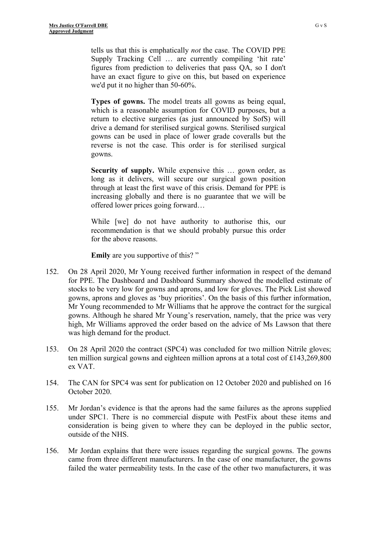tells us that this is emphatically *not* the case. The COVID PPE Supply Tracking Cell … are currently compiling 'hit rate' figures from prediction to deliveries that pass QA, so I don't have an exact figure to give on this, but based on experience we'd put it no higher than 50-60%.

**Types of gowns.** The model treats all gowns as being equal, which is a reasonable assumption for COVID purposes, but a return to elective surgeries (as just announced by SofS) will drive a demand for sterilised surgical gowns. Sterilised surgical gowns can be used in place of lower grade coveralls but the reverse is not the case. This order is for sterilised surgical gowns.

**Security of supply.** While expensive this ... gown order, as long as it delivers, will secure our surgical gown position through at least the first wave of this crisis. Demand for PPE is increasing globally and there is no guarantee that we will be offered lower prices going forward…

While [we] do not have authority to authorise this, our recommendation is that we should probably pursue this order for the above reasons.

**Emily** are you supportive of this?"

- 152. On 28 April 2020, Mr Young received further information in respect of the demand for PPE. The Dashboard and Dashboard Summary showed the modelled estimate of stocks to be very low for gowns and aprons, and low for gloves. The Pick List showed gowns, aprons and gloves as 'buy priorities'. On the basis of this further information, Mr Young recommended to Mr Williams that he approve the contract for the surgical gowns. Although he shared Mr Young's reservation, namely, that the price was very high, Mr Williams approved the order based on the advice of Ms Lawson that there was high demand for the product.
- 153. On 28 April 2020 the contract (SPC4) was concluded for two million Nitrile gloves; ten million surgical gowns and eighteen million aprons at a total cost of £143,269,800 ex VAT.
- 154. The CAN for SPC4 was sent for publication on 12 October 2020 and published on 16 October 2020.
- 155. Mr Jordan's evidence is that the aprons had the same failures as the aprons supplied under SPC1. There is no commercial dispute with PestFix about these items and consideration is being given to where they can be deployed in the public sector, outside of the NHS.
- 156. Mr Jordan explains that there were issues regarding the surgical gowns. The gowns came from three different manufacturers. In the case of one manufacturer, the gowns failed the water permeability tests. In the case of the other two manufacturers, it was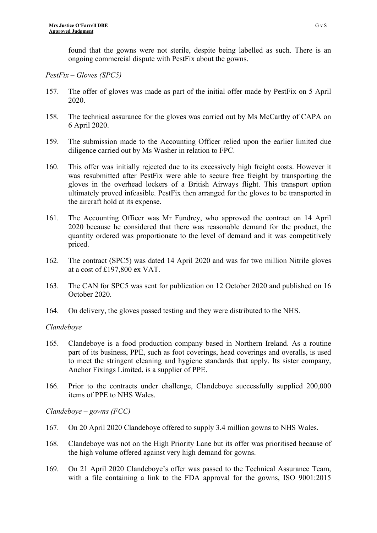found that the gowns were not sterile, despite being labelled as such. There is an ongoing commercial dispute with PestFix about the gowns.

## *PestFix – Gloves (SPC5)*

- 157. The offer of gloves was made as part of the initial offer made by PestFix on 5 April 2020.
- 158. The technical assurance for the gloves was carried out by Ms McCarthy of CAPA on 6 April 2020.
- 159. The submission made to the Accounting Officer relied upon the earlier limited due diligence carried out by Ms Washer in relation to FPC.
- 160. This offer was initially rejected due to its excessively high freight costs. However it was resubmitted after PestFix were able to secure free freight by transporting the gloves in the overhead lockers of a British Airways flight. This transport option ultimately proved infeasible. PestFix then arranged for the gloves to be transported in the aircraft hold at its expense.
- 161. The Accounting Officer was Mr Fundrey, who approved the contract on 14 April 2020 because he considered that there was reasonable demand for the product, the quantity ordered was proportionate to the level of demand and it was competitively priced.
- 162. The contract (SPC5) was dated 14 April 2020 and was for two million Nitrile gloves at a cost of £197,800 ex VAT.
- 163. The CAN for SPC5 was sent for publication on 12 October 2020 and published on 16 October 2020.
- 164. On delivery, the gloves passed testing and they were distributed to the NHS.

## *Clandeboye*

- 165. Clandeboye is a food production company based in Northern Ireland. As a routine part of its business, PPE, such as foot coverings, head coverings and overalls, is used to meet the stringent cleaning and hygiene standards that apply. Its sister company, Anchor Fixings Limited, is a supplier of PPE.
- 166. Prior to the contracts under challenge, Clandeboye successfully supplied 200,000 items of PPE to NHS Wales.

*Clandeboye – gowns (FCC)*

- 167. On 20 April 2020 Clandeboye offered to supply 3.4 million gowns to NHS Wales.
- 168. Clandeboye was not on the High Priority Lane but its offer was prioritised because of the high volume offered against very high demand for gowns.
- 169. On 21 April 2020 Clandeboye's offer was passed to the Technical Assurance Team, with a file containing a link to the FDA approval for the gowns, ISO 9001:2015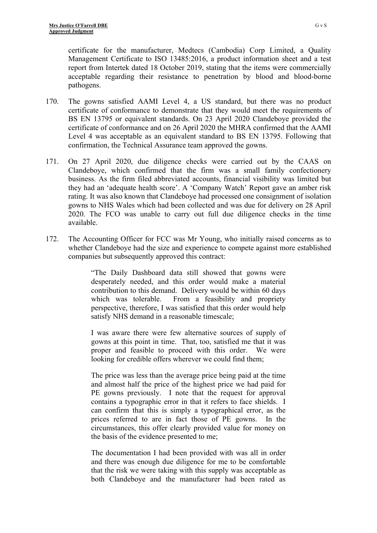certificate for the manufacturer, Medtecs (Cambodia) Corp Limited, a Quality Management Certificate to ISO 13485:2016, a product information sheet and a test report from Intertek dated 18 October 2019, stating that the items were commercially acceptable regarding their resistance to penetration by blood and blood-borne pathogens.

- 170. The gowns satisfied AAMI Level 4, a US standard, but there was no product certificate of conformance to demonstrate that they would meet the requirements of BS EN 13795 or equivalent standards. On 23 April 2020 Clandeboye provided the certificate of conformance and on 26 April 2020 the MHRA confirmed that the AAMI Level 4 was acceptable as an equivalent standard to BS EN 13795. Following that confirmation, the Technical Assurance team approved the gowns.
- 171. On 27 April 2020, due diligence checks were carried out by the CAAS on Clandeboye, which confirmed that the firm was a small family confectionery business. As the firm filed abbreviated accounts, financial visibility was limited but they had an 'adequate health score'. A 'Company Watch' Report gave an amber risk rating. It was also known that Clandeboye had processed one consignment of isolation gowns to NHS Wales which had been collected and was due for delivery on 28 April 2020. The FCO was unable to carry out full due diligence checks in the time available.
- 172. The Accounting Officer for FCC was Mr Young, who initially raised concerns as to whether Clandeboye had the size and experience to compete against more established companies but subsequently approved this contract:

"The Daily Dashboard data still showed that gowns were desperately needed, and this order would make a material contribution to this demand. Delivery would be within 60 days which was tolerable. From a feasibility and propriety perspective, therefore, I was satisfied that this order would help satisfy NHS demand in a reasonable timescale;

I was aware there were few alternative sources of supply of gowns at this point in time. That, too, satisfied me that it was proper and feasible to proceed with this order. We were looking for credible offers wherever we could find them;

The price was less than the average price being paid at the time and almost half the price of the highest price we had paid for PE gowns previously. I note that the request for approval contains a typographic error in that it refers to face shields. I can confirm that this is simply a typographical error, as the prices referred to are in fact those of PE gowns. In the circumstances, this offer clearly provided value for money on the basis of the evidence presented to me;

The documentation I had been provided with was all in order and there was enough due diligence for me to be comfortable that the risk we were taking with this supply was acceptable as both Clandeboye and the manufacturer had been rated as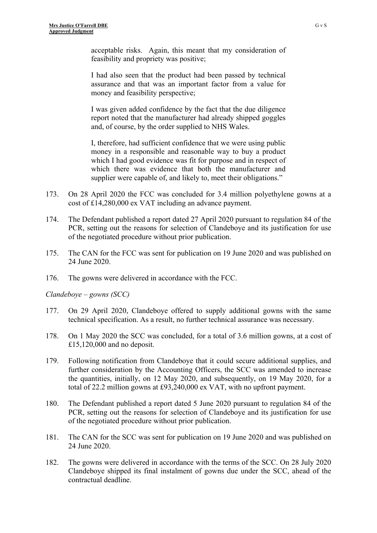acceptable risks. Again, this meant that my consideration of feasibility and propriety was positive;

I had also seen that the product had been passed by technical assurance and that was an important factor from a value for money and feasibility perspective;

I was given added confidence by the fact that the due diligence report noted that the manufacturer had already shipped goggles and, of course, by the order supplied to NHS Wales.

I, therefore, had sufficient confidence that we were using public money in a responsible and reasonable way to buy a product which I had good evidence was fit for purpose and in respect of which there was evidence that both the manufacturer and supplier were capable of, and likely to, meet their obligations."

- 173. On 28 April 2020 the FCC was concluded for 3.4 million polyethylene gowns at a cost of £14,280,000 ex VAT including an advance payment.
- 174. The Defendant published a report dated 27 April 2020 pursuant to regulation 84 of the PCR, setting out the reasons for selection of Clandeboye and its justification for use of the negotiated procedure without prior publication.
- 175. The CAN for the FCC was sent for publication on 19 June 2020 and was published on 24 June 2020.
- 176. The gowns were delivered in accordance with the FCC.

*Clandeboye – gowns (SCC)*

- 177. On 29 April 2020, Clandeboye offered to supply additional gowns with the same technical specification. As a result, no further technical assurance was necessary.
- 178. On 1 May 2020 the SCC was concluded, for a total of 3.6 million gowns, at a cost of £15,120,000 and no deposit.
- 179. Following notification from Clandeboye that it could secure additional supplies, and further consideration by the Accounting Officers, the SCC was amended to increase the quantities, initially, on 12 May 2020, and subsequently, on 19 May 2020, for a total of 22.2 million gowns at £93,240,000 ex VAT, with no upfront payment.
- 180. The Defendant published a report dated 5 June 2020 pursuant to regulation 84 of the PCR, setting out the reasons for selection of Clandeboye and its justification for use of the negotiated procedure without prior publication.
- 181. The CAN for the SCC was sent for publication on 19 June 2020 and was published on 24 June 2020.
- 182. The gowns were delivered in accordance with the terms of the SCC. On 28 July 2020 Clandeboye shipped its final instalment of gowns due under the SCC, ahead of the contractual deadline.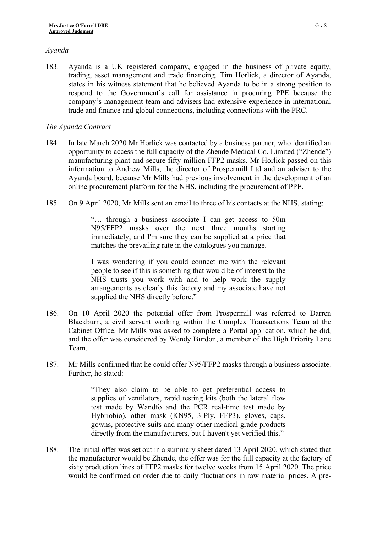### *Ayanda*

183. Ayanda is a UK registered company, engaged in the business of private equity, trading, asset management and trade financing. Tim Horlick, a director of Ayanda, states in his witness statement that he believed Ayanda to be in a strong position to respond to the Government's call for assistance in procuring PPE because the company's management team and advisers had extensive experience in international trade and finance and global connections, including connections with the PRC.

## *The Ayanda Contract*

- 184. In late March 2020 Mr Horlick was contacted by a business partner, who identified an opportunity to access the full capacity of the Zhende Medical Co. Limited ("Zhende") manufacturing plant and secure fifty million FFP2 masks. Mr Horlick passed on this information to Andrew Mills, the director of Prospermill Ltd and an adviser to the Ayanda board, because Mr Mills had previous involvement in the development of an online procurement platform for the NHS, including the procurement of PPE.
- 185. On 9 April 2020, Mr Mills sent an email to three of his contacts at the NHS, stating:

"… through a business associate I can get access to 50m N95/FFP2 masks over the next three months starting immediately, and I'm sure they can be supplied at a price that matches the prevailing rate in the catalogues you manage.

I was wondering if you could connect me with the relevant people to see if this is something that would be of interest to the NHS trusts you work with and to help work the supply arrangements as clearly this factory and my associate have not supplied the NHS directly before."

- 186. On 10 April 2020 the potential offer from Prospermill was referred to Darren Blackburn, a civil servant working within the Complex Transactions Team at the Cabinet Office. Mr Mills was asked to complete a Portal application, which he did, and the offer was considered by Wendy Burdon, a member of the High Priority Lane Team.
- 187. Mr Mills confirmed that he could offer N95/FFP2 masks through a business associate. Further, he stated:

"They also claim to be able to get preferential access to supplies of ventilators, rapid testing kits (both the lateral flow test made by Wandfo and the PCR real-time test made by Hybriobio), other mask (KN95, 3-Ply, FFP3), gloves, caps, gowns, protective suits and many other medical grade products directly from the manufacturers, but I haven't yet verified this."

188. The initial offer was set out in a summary sheet dated 13 April 2020, which stated that the manufacturer would be Zhende, the offer was for the full capacity at the factory of sixty production lines of FFP2 masks for twelve weeks from 15 April 2020. The price would be confirmed on order due to daily fluctuations in raw material prices. A pre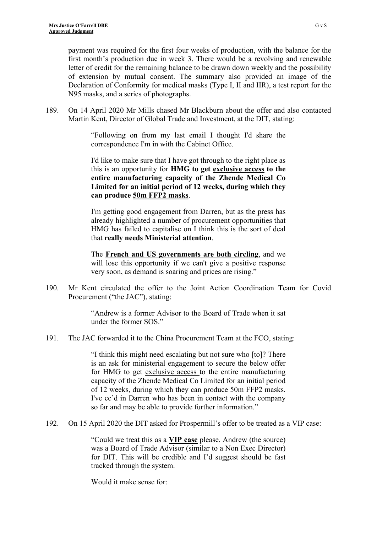payment was required for the first four weeks of production, with the balance for the first month's production due in week 3. There would be a revolving and renewable letter of credit for the remaining balance to be drawn down weekly and the possibility of extension by mutual consent. The summary also provided an image of the Declaration of Conformity for medical masks (Type I, II and IIR), a test report for the N95 masks, and a series of photographs.

189. On 14 April 2020 Mr Mills chased Mr Blackburn about the offer and also contacted Martin Kent, Director of Global Trade and Investment, at the DIT, stating:

> "Following on from my last email I thought I'd share the correspondence I'm in with the Cabinet Office.

> I'd like to make sure that I have got through to the right place as this is an opportunity for **HMG to get exclusive access to the entire manufacturing capacity of the Zhende Medical Co Limited for an initial period of 12 weeks, during which they can produce 50m FFP2 masks**.

> I'm getting good engagement from Darren, but as the press has already highlighted a number of procurement opportunities that HMG has failed to capitalise on I think this is the sort of deal that **really needs Ministerial attention**.

> The **French and US governments are both circling**, and we will lose this opportunity if we can't give a positive response very soon, as demand is soaring and prices are rising."

190. Mr Kent circulated the offer to the Joint Action Coordination Team for Covid Procurement ("the JAC"), stating:

> "Andrew is a former Advisor to the Board of Trade when it sat under the former SOS."

191. The JAC forwarded it to the China Procurement Team at the FCO, stating:

"I think this might need escalating but not sure who [to]? There is an ask for ministerial engagement to secure the below offer for HMG to get exclusive access to the entire manufacturing capacity of the Zhende Medical Co Limited for an initial period of 12 weeks, during which they can produce 50m FFP2 masks. I've cc'd in Darren who has been in contact with the company so far and may be able to provide further information."

192. On 15 April 2020 the DIT asked for Prospermill's offer to be treated as a VIP case:

"Could we treat this as a **VIP case** please. Andrew (the source) was a Board of Trade Advisor (similar to a Non Exec Director) for DIT. This will be credible and I'd suggest should be fast tracked through the system.

Would it make sense for: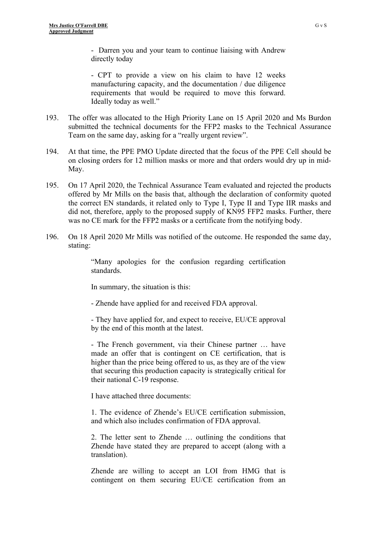- Darren you and your team to continue liaising with Andrew directly today

- CPT to provide a view on his claim to have 12 weeks manufacturing capacity, and the documentation / due diligence requirements that would be required to move this forward. Ideally today as well."

- 193. The offer was allocated to the High Priority Lane on 15 April 2020 and Ms Burdon submitted the technical documents for the FFP2 masks to the Technical Assurance Team on the same day, asking for a "really urgent review".
- 194. At that time, the PPE PMO Update directed that the focus of the PPE Cell should be on closing orders for 12 million masks or more and that orders would dry up in mid-May.
- 195. On 17 April 2020, the Technical Assurance Team evaluated and rejected the products offered by Mr Mills on the basis that, although the declaration of conformity quoted the correct EN standards, it related only to Type I, Type II and Type IIR masks and did not, therefore, apply to the proposed supply of KN95 FFP2 masks. Further, there was no CE mark for the FFP2 masks or a certificate from the notifying body.
- 196. On 18 April 2020 Mr Mills was notified of the outcome. He responded the same day, stating:

"Many apologies for the confusion regarding certification standards.

In summary, the situation is this:

- Zhende have applied for and received FDA approval.

- They have applied for, and expect to receive, EU/CE approval by the end of this month at the latest.

- The French government, via their Chinese partner … have made an offer that is contingent on CE certification, that is higher than the price being offered to us, as they are of the view that securing this production capacity is strategically critical for their national C-19 response.

I have attached three documents:

1. The evidence of Zhende's EU/CE certification submission, and which also includes confirmation of FDA approval.

2. The letter sent to Zhende … outlining the conditions that Zhende have stated they are prepared to accept (along with a translation).

Zhende are willing to accept an LOI from HMG that is contingent on them securing EU/CE certification from an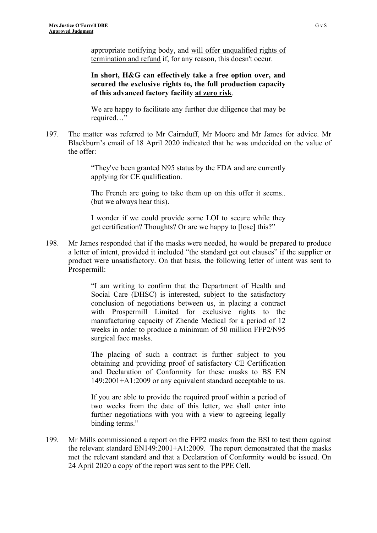appropriate notifying body, and will offer unqualified rights of termination and refund if, for any reason, this doesn't occur.

**In short, H&G can effectively take a free option over, and secured the exclusive rights to, the full production capacity of this advanced factory facility at zero risk**.

We are happy to facilitate any further due diligence that may be required…"

197. The matter was referred to Mr Cairnduff, Mr Moore and Mr James for advice. Mr Blackburn's email of 18 April 2020 indicated that he was undecided on the value of the offer:

> "They've been granted N95 status by the FDA and are currently applying for CE qualification.

> The French are going to take them up on this offer it seems... (but we always hear this).

> I wonder if we could provide some LOI to secure while they get certification? Thoughts? Or are we happy to [lose] this?"

198. Mr James responded that if the masks were needed, he would be prepared to produce a letter of intent, provided it included "the standard get out clauses" if the supplier or product were unsatisfactory. On that basis, the following letter of intent was sent to Prospermill:

> "I am writing to confirm that the Department of Health and Social Care (DHSC) is interested, subject to the satisfactory conclusion of negotiations between us, in placing a contract with Prospermill Limited for exclusive rights to the manufacturing capacity of Zhende Medical for a period of 12 weeks in order to produce a minimum of 50 million FFP2/N95 surgical face masks.

> The placing of such a contract is further subject to you obtaining and providing proof of satisfactory CE Certification and Declaration of Conformity for these masks to BS EN 149:2001+A1:2009 or any equivalent standard acceptable to us.

> If you are able to provide the required proof within a period of two weeks from the date of this letter, we shall enter into further negotiations with you with a view to agreeing legally binding terms."

199. Mr Mills commissioned a report on the FFP2 masks from the BSI to test them against the relevant standard EN149:2001+A1:2009. The report demonstrated that the masks met the relevant standard and that a Declaration of Conformity would be issued. On 24 April 2020 a copy of the report was sent to the PPE Cell.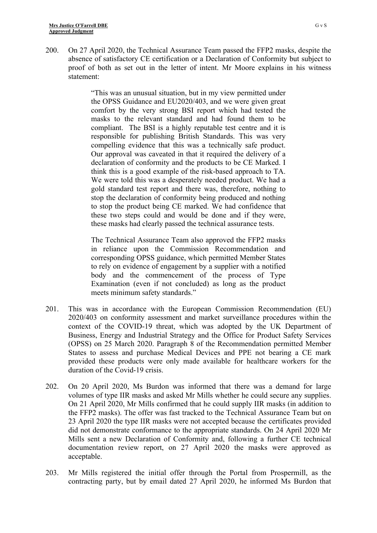200. On 27 April 2020, the Technical Assurance Team passed the FFP2 masks, despite the absence of satisfactory CE certification or a Declaration of Conformity but subject to proof of both as set out in the letter of intent. Mr Moore explains in his witness statement:

> "This was an unusual situation, but in my view permitted under the OPSS Guidance and EU2020/403, and we were given great comfort by the very strong BSI report which had tested the masks to the relevant standard and had found them to be compliant. The BSI is a highly reputable test centre and it is responsible for publishing British Standards. This was very compelling evidence that this was a technically safe product. Our approval was caveated in that it required the delivery of a declaration of conformity and the products to be CE Marked. I think this is a good example of the risk-based approach to TA. We were told this was a desperately needed product. We had a gold standard test report and there was, therefore, nothing to stop the declaration of conformity being produced and nothing to stop the product being CE marked. We had confidence that these two steps could and would be done and if they were, these masks had clearly passed the technical assurance tests.

> The Technical Assurance Team also approved the FFP2 masks in reliance upon the Commission Recommendation and corresponding OPSS guidance, which permitted Member States to rely on evidence of engagement by a supplier with a notified body and the commencement of the process of Type Examination (even if not concluded) as long as the product meets minimum safety standards."

- 201. This was in accordance with the European Commission Recommendation (EU) 2020/403 on conformity assessment and market surveillance procedures within the context of the COVID-19 threat, which was adopted by the UK Department of Business, Energy and Industrial Strategy and the Office for Product Safety Services (OPSS) on 25 March 2020. Paragraph 8 of the Recommendation permitted Member States to assess and purchase Medical Devices and PPE not bearing a CE mark provided these products were only made available for healthcare workers for the duration of the Covid-19 crisis.
- 202. On 20 April 2020, Ms Burdon was informed that there was a demand for large volumes of type IIR masks and asked Mr Mills whether he could secure any supplies. On 21 April 2020, Mr Mills confirmed that he could supply IIR masks (in addition to the FFP2 masks). The offer was fast tracked to the Technical Assurance Team but on 23 April 2020 the type IIR masks were not accepted because the certificates provided did not demonstrate conformance to the appropriate standards. On 24 April 2020 Mr Mills sent a new Declaration of Conformity and, following a further CE technical documentation review report, on 27 April 2020 the masks were approved as acceptable.
- 203. Mr Mills registered the initial offer through the Portal from Prospermill, as the contracting party, but by email dated 27 April 2020, he informed Ms Burdon that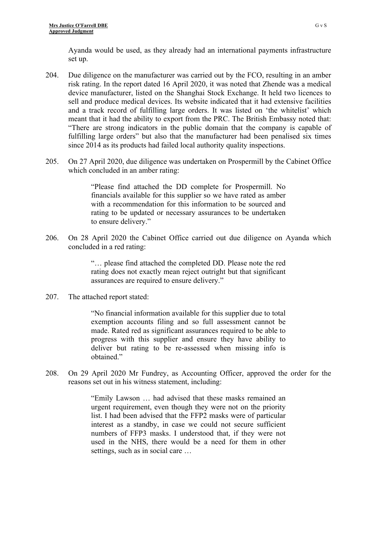Ayanda would be used, as they already had an international payments infrastructure set up.

- 204. Due diligence on the manufacturer was carried out by the FCO, resulting in an amber risk rating. In the report dated 16 April 2020, it was noted that Zhende was a medical device manufacturer, listed on the Shanghai Stock Exchange. It held two licences to sell and produce medical devices. Its website indicated that it had extensive facilities and a track record of fulfilling large orders. It was listed on 'the whitelist' which meant that it had the ability to export from the PRC. The British Embassy noted that: "There are strong indicators in the public domain that the company is capable of fulfilling large orders" but also that the manufacturer had been penalised six times since 2014 as its products had failed local authority quality inspections.
- 205. On 27 April 2020, due diligence was undertaken on Prospermill by the Cabinet Office which concluded in an amber rating:

"Please find attached the DD complete for Prospermill. No financials available for this supplier so we have rated as amber with a recommendation for this information to be sourced and rating to be updated or necessary assurances to be undertaken to ensure delivery."

206. On 28 April 2020 the Cabinet Office carried out due diligence on Ayanda which concluded in a red rating:

> "… please find attached the completed DD. Please note the red rating does not exactly mean reject outright but that significant assurances are required to ensure delivery."

207. The attached report stated:

"No financial information available for this supplier due to total exemption accounts filing and so full assessment cannot be made. Rated red as significant assurances required to be able to progress with this supplier and ensure they have ability to deliver but rating to be re-assessed when missing info is obtained."

208. On 29 April 2020 Mr Fundrey, as Accounting Officer, approved the order for the reasons set out in his witness statement, including:

> "Emily Lawson … had advised that these masks remained an urgent requirement, even though they were not on the priority list. I had been advised that the FFP2 masks were of particular interest as a standby, in case we could not secure sufficient numbers of FFP3 masks. I understood that, if they were not used in the NHS, there would be a need for them in other settings, such as in social care …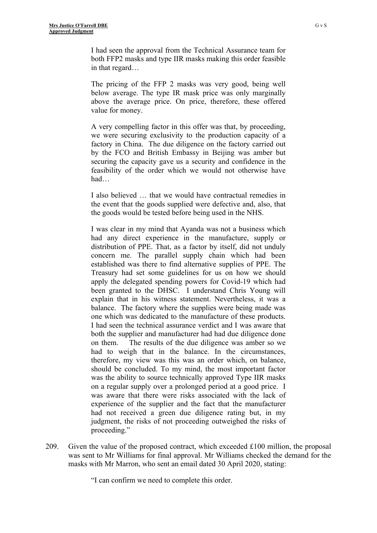I had seen the approval from the Technical Assurance team for both FFP2 masks and type IIR masks making this order feasible in that regard…

The pricing of the FFP 2 masks was very good, being well below average. The type IR mask price was only marginally above the average price. On price, therefore, these offered value for money.

A very compelling factor in this offer was that, by proceeding, we were securing exclusivity to the production capacity of a factory in China. The due diligence on the factory carried out by the FCO and British Embassy in Beijing was amber but securing the capacity gave us a security and confidence in the feasibility of the order which we would not otherwise have had…

I also believed … that we would have contractual remedies in the event that the goods supplied were defective and, also, that the goods would be tested before being used in the NHS.

I was clear in my mind that Ayanda was not a business which had any direct experience in the manufacture, supply or distribution of PPE. That, as a factor by itself, did not unduly concern me. The parallel supply chain which had been established was there to find alternative supplies of PPE. The Treasury had set some guidelines for us on how we should apply the delegated spending powers for Covid-19 which had been granted to the DHSC. I understand Chris Young will explain that in his witness statement. Nevertheless, it was a balance. The factory where the supplies were being made was one which was dedicated to the manufacture of these products. I had seen the technical assurance verdict and I was aware that both the supplier and manufacturer had had due diligence done on them. The results of the due diligence was amber so we had to weigh that in the balance. In the circumstances, therefore, my view was this was an order which, on balance, should be concluded. To my mind, the most important factor was the ability to source technically approved Type IIR masks on a regular supply over a prolonged period at a good price. I was aware that there were risks associated with the lack of experience of the supplier and the fact that the manufacturer had not received a green due diligence rating but, in my judgment, the risks of not proceeding outweighed the risks of proceeding."

209. Given the value of the proposed contract, which exceeded  $\pounds 100$  million, the proposal was sent to Mr Williams for final approval. Mr Williams checked the demand for the masks with Mr Marron, who sent an email dated 30 April 2020, stating:

"I can confirm we need to complete this order.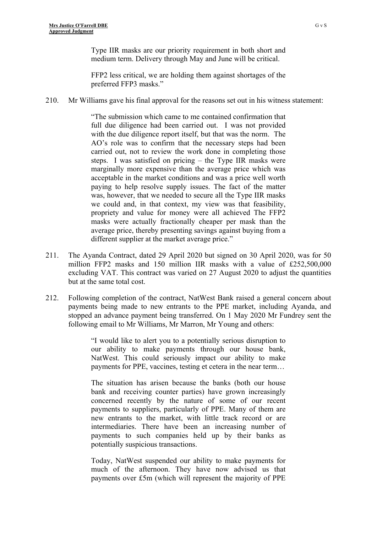Type IIR masks are our priority requirement in both short and medium term. Delivery through May and June will be critical.

FFP2 less critical, we are holding them against shortages of the preferred FFP3 masks."

210. Mr Williams gave his final approval for the reasons set out in his witness statement:

"The submission which came to me contained confirmation that full due diligence had been carried out. I was not provided with the due diligence report itself, but that was the norm. The AO's role was to confirm that the necessary steps had been carried out, not to review the work done in completing those steps. I was satisfied on pricing – the Type IIR masks were marginally more expensive than the average price which was acceptable in the market conditions and was a price well worth paying to help resolve supply issues. The fact of the matter was, however, that we needed to secure all the Type IIR masks we could and, in that context, my view was that feasibility, propriety and value for money were all achieved The FFP2 masks were actually fractionally cheaper per mask than the average price, thereby presenting savings against buying from a different supplier at the market average price."

- 211. The Ayanda Contract, dated 29 April 2020 but signed on 30 April 2020, was for 50 million FFP2 masks and 150 million IIR masks with a value of £252,500,000 excluding VAT. This contract was varied on 27 August 2020 to adjust the quantities but at the same total cost.
- 212. Following completion of the contract, NatWest Bank raised a general concern about payments being made to new entrants to the PPE market, including Ayanda, and stopped an advance payment being transferred. On 1 May 2020 Mr Fundrey sent the following email to Mr Williams, Mr Marron, Mr Young and others:

"I would like to alert you to a potentially serious disruption to our ability to make payments through our house bank, NatWest. This could seriously impact our ability to make payments for PPE, vaccines, testing et cetera in the near term…

The situation has arisen because the banks (both our house bank and receiving counter parties) have grown increasingly concerned recently by the nature of some of our recent payments to suppliers, particularly of PPE. Many of them are new entrants to the market, with little track record or are intermediaries. There have been an increasing number of payments to such companies held up by their banks as potentially suspicious transactions.

Today, NatWest suspended our ability to make payments for much of the afternoon. They have now advised us that payments over £5m (which will represent the majority of PPE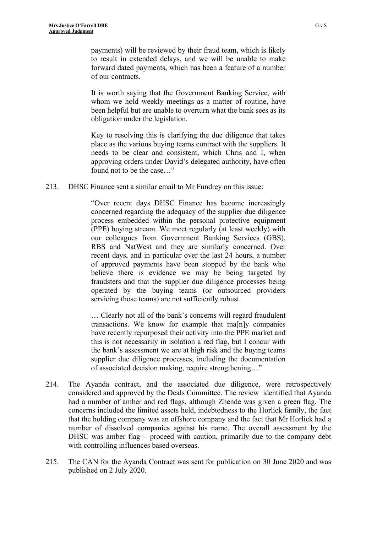payments) will be reviewed by their fraud team, which is likely to result in extended delays, and we will be unable to make forward dated payments, which has been a feature of a number of our contracts.

It is worth saying that the Government Banking Service, with whom we hold weekly meetings as a matter of routine, have been helpful but are unable to overturn what the bank sees as its obligation under the legislation.

Key to resolving this is clarifying the due diligence that takes place as the various buying teams contract with the suppliers. It needs to be clear and consistent, which Chris and I, when approving orders under David's delegated authority, have often found not to be the case…"

213. DHSC Finance sent a similar email to Mr Fundrey on this issue:

"Over recent days DHSC Finance has become increasingly concerned regarding the adequacy of the supplier due diligence process embedded within the personal protective equipment (PPE) buying stream. We meet regularly (at least weekly) with our colleagues from Government Banking Services (GBS), RBS and NatWest and they are similarly concerned. Over recent days, and in particular over the last 24 hours, a number of approved payments have been stopped by the bank who believe there is evidence we may be being targeted by fraudsters and that the supplier due diligence processes being operated by the buying teams (or outsourced providers servicing those teams) are not sufficiently robust.

… Clearly not all of the bank's concerns will regard fraudulent transactions. We know for example that ma[n]y companies have recently repurposed their activity into the PPE market and this is not necessarily in isolation a red flag, but I concur with the bank's assessment we are at high risk and the buying teams supplier due diligence processes, including the documentation of associated decision making, require strengthening…"

- 214. The Ayanda contract, and the associated due diligence, were retrospectively considered and approved by the Deals Committee. The review identified that Ayanda had a number of amber and red flags, although Zhende was given a green flag. The concerns included the limited assets held, indebtedness to the Horlick family, the fact that the holding company was an offshore company and the fact that Mr Horlick had a number of dissolved companies against his name. The overall assessment by the DHSC was amber flag – proceed with caution, primarily due to the company debt with controlling influences based overseas.
- 215. The CAN for the Ayanda Contract was sent for publication on 30 June 2020 and was published on 2 July 2020.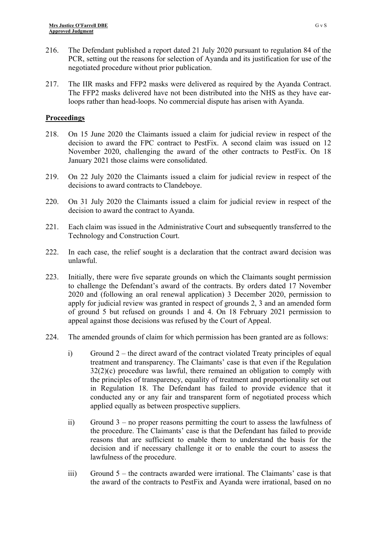- 216. The Defendant published a report dated 21 July 2020 pursuant to regulation 84 of the PCR, setting out the reasons for selection of Ayanda and its justification for use of the negotiated procedure without prior publication.
- 217. The IIR masks and FFP2 masks were delivered as required by the Ayanda Contract. The FFP2 masks delivered have not been distributed into the NHS as they have earloops rather than head-loops. No commercial dispute has arisen with Ayanda.

# **Proceedings**

- 218. On 15 June 2020 the Claimants issued a claim for judicial review in respect of the decision to award the FPC contract to PestFix. A second claim was issued on 12 November 2020, challenging the award of the other contracts to PestFix. On 18 January 2021 those claims were consolidated.
- 219. On 22 July 2020 the Claimants issued a claim for judicial review in respect of the decisions to award contracts to Clandeboye.
- 220. On 31 July 2020 the Claimants issued a claim for judicial review in respect of the decision to award the contract to Ayanda.
- 221. Each claim was issued in the Administrative Court and subsequently transferred to the Technology and Construction Court.
- 222. In each case, the relief sought is a declaration that the contract award decision was unlawful.
- 223. Initially, there were five separate grounds on which the Claimants sought permission to challenge the Defendant's award of the contracts. By orders dated 17 November 2020 and (following an oral renewal application) 3 December 2020, permission to apply for judicial review was granted in respect of grounds 2, 3 and an amended form of ground 5 but refused on grounds 1 and 4. On 18 February 2021 permission to appeal against those decisions was refused by the Court of Appeal.
- 224. The amended grounds of claim for which permission has been granted are as follows:
	- i) Ground 2 the direct award of the contract violated Treaty principles of equal treatment and transparency. The Claimants' case is that even if the Regulation 32(2)(c) procedure was lawful, there remained an obligation to comply with the principles of transparency, equality of treatment and proportionality set out in Regulation 18. The Defendant has failed to provide evidence that it conducted any or any fair and transparent form of negotiated process which applied equally as between prospective suppliers.
	- ii) Ground 3 no proper reasons permitting the court to assess the lawfulness of the procedure. The Claimants' case is that the Defendant has failed to provide reasons that are sufficient to enable them to understand the basis for the decision and if necessary challenge it or to enable the court to assess the lawfulness of the procedure.
	- iii) Ground 5 the contracts awarded were irrational. The Claimants' case is that the award of the contracts to PestFix and Ayanda were irrational, based on no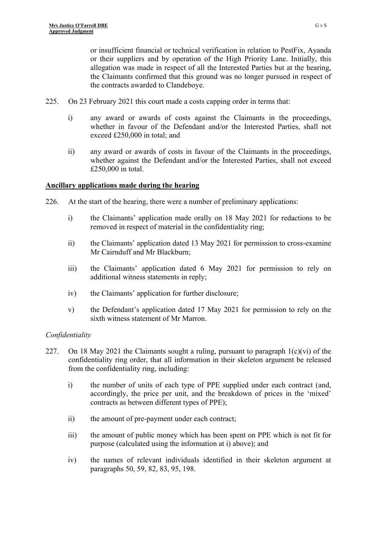or insufficient financial or technical verification in relation to PestFix, Ayanda or their suppliers and by operation of the High Priority Lane. Initially, this allegation was made in respect of all the Interested Parties but at the hearing, the Claimants confirmed that this ground was no longer pursued in respect of the contracts awarded to Clandeboye.

- 225. On 23 February 2021 this court made a costs capping order in terms that:
	- i) any award or awards of costs against the Claimants in the proceedings, whether in favour of the Defendant and/or the Interested Parties, shall not exceed £250,000 in total; and
	- ii) any award or awards of costs in favour of the Claimants in the proceedings, whether against the Defendant and/or the Interested Parties, shall not exceed £250,000 in total.

### **Ancillary applications made during the hearing**

- 226. At the start of the hearing, there were a number of preliminary applications:
	- i) the Claimants' application made orally on 18 May 2021 for redactions to be removed in respect of material in the confidentiality ring;
	- ii) the Claimants' application dated 13 May 2021 for permission to cross-examine Mr Cairnduff and Mr Blackburn;
	- iii) the Claimants' application dated 6 May 2021 for permission to rely on additional witness statements in reply;
	- iv) the Claimants' application for further disclosure;
	- v) the Defendant's application dated 17 May 2021 for permission to rely on the sixth witness statement of Mr Marron.

## *Confidentiality*

- 227. On 18 May 2021 the Claimants sought a ruling, pursuant to paragraph  $1(c)(vi)$  of the confidentiality ring order, that all information in their skeleton argument be released from the confidentiality ring, including:
	- i) the number of units of each type of PPE supplied under each contract (and, accordingly, the price per unit, and the breakdown of prices in the 'mixed' contracts as between different types of PPE);
	- ii) the amount of pre-payment under each contract;
	- iii) the amount of public money which has been spent on PPE which is not fit for purpose (calculated using the information at i) above); and
	- iv) the names of relevant individuals identified in their skeleton argument at paragraphs 50, 59, 82, 83, 95, 198.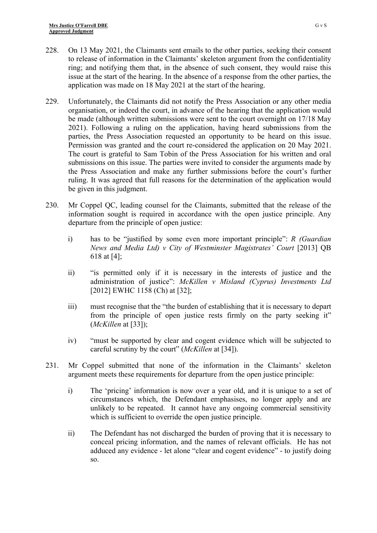- 228. On 13 May 2021, the Claimants sent emails to the other parties, seeking their consent to release of information in the Claimants' skeleton argument from the confidentiality ring; and notifying them that, in the absence of such consent, they would raise this issue at the start of the hearing. In the absence of a response from the other parties, the application was made on 18 May 2021 at the start of the hearing.
- 229. Unfortunately, the Claimants did not notify the Press Association or any other media organisation, or indeed the court, in advance of the hearing that the application would be made (although written submissions were sent to the court overnight on 17/18 May 2021). Following a ruling on the application, having heard submissions from the parties, the Press Association requested an opportunity to be heard on this issue. Permission was granted and the court re-considered the application on 20 May 2021. The court is grateful to Sam Tobin of the Press Association for his written and oral submissions on this issue. The parties were invited to consider the arguments made by the Press Association and make any further submissions before the court's further ruling. It was agreed that full reasons for the determination of the application would be given in this judgment.
- 230. Mr Coppel QC, leading counsel for the Claimants, submitted that the release of the information sought is required in accordance with the open justice principle. Any departure from the principle of open justice:
	- i) has to be "justified by some even more important principle": *R (Guardian News and Media Ltd) v City of Westminster Magistrates' Court* [2013] QB 618 at [4];
	- ii) "is permitted only if it is necessary in the interests of justice and the administration of justice": *McKillen v Misland (Cyprus) Investments Ltd* [2012] EWHC 1158 (Ch) at [32];
	- iii) must recognise that the "the burden of establishing that it is necessary to depart from the principle of open justice rests firmly on the party seeking it" (*McKillen* at [33]);
	- iv) "must be supported by clear and cogent evidence which will be subjected to careful scrutiny by the court" (*McKillen* at [34]).
- 231. Mr Coppel submitted that none of the information in the Claimants' skeleton argument meets these requirements for departure from the open justice principle:
	- i) The 'pricing' information is now over a year old, and it is unique to a set of circumstances which, the Defendant emphasises, no longer apply and are unlikely to be repeated. It cannot have any ongoing commercial sensitivity which is sufficient to override the open justice principle.
	- ii) The Defendant has not discharged the burden of proving that it is necessary to conceal pricing information, and the names of relevant officials. He has not adduced any evidence - let alone "clear and cogent evidence" - to justify doing so.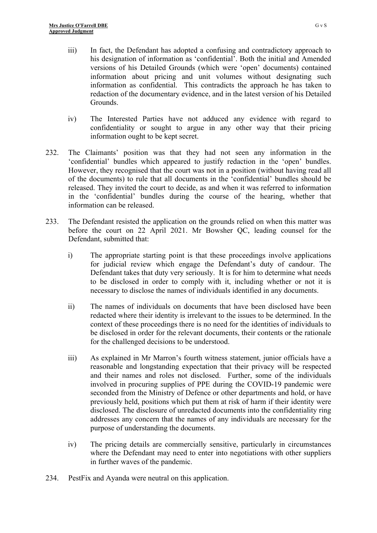- iii) In fact, the Defendant has adopted a confusing and contradictory approach to his designation of information as 'confidential'. Both the initial and Amended versions of his Detailed Grounds (which were 'open' documents) contained information about pricing and unit volumes without designating such information as confidential. This contradicts the approach he has taken to redaction of the documentary evidence, and in the latest version of his Detailed Grounds.
- iv) The Interested Parties have not adduced any evidence with regard to confidentiality or sought to argue in any other way that their pricing information ought to be kept secret.
- 232. The Claimants' position was that they had not seen any information in the 'confidential' bundles which appeared to justify redaction in the 'open' bundles. However, they recognised that the court was not in a position (without having read all of the documents) to rule that all documents in the 'confidential' bundles should be released. They invited the court to decide, as and when it was referred to information in the 'confidential' bundles during the course of the hearing, whether that information can be released.
- 233. The Defendant resisted the application on the grounds relied on when this matter was before the court on 22 April 2021. Mr Bowsher QC, leading counsel for the Defendant, submitted that:
	- i) The appropriate starting point is that these proceedings involve applications for judicial review which engage the Defendant's duty of candour. The Defendant takes that duty very seriously. It is for him to determine what needs to be disclosed in order to comply with it, including whether or not it is necessary to disclose the names of individuals identified in any documents.
	- ii) The names of individuals on documents that have been disclosed have been redacted where their identity is irrelevant to the issues to be determined. In the context of these proceedings there is no need for the identities of individuals to be disclosed in order for the relevant documents, their contents or the rationale for the challenged decisions to be understood.
	- iii) As explained in Mr Marron's fourth witness statement, junior officials have a reasonable and longstanding expectation that their privacy will be respected and their names and roles not disclosed. Further, some of the individuals involved in procuring supplies of PPE during the COVID-19 pandemic were seconded from the Ministry of Defence or other departments and hold, or have previously held, positions which put them at risk of harm if their identity were disclosed. The disclosure of unredacted documents into the confidentiality ring addresses any concern that the names of any individuals are necessary for the purpose of understanding the documents.
	- iv) The pricing details are commercially sensitive, particularly in circumstances where the Defendant may need to enter into negotiations with other suppliers in further waves of the pandemic.
- 234. PestFix and Ayanda were neutral on this application.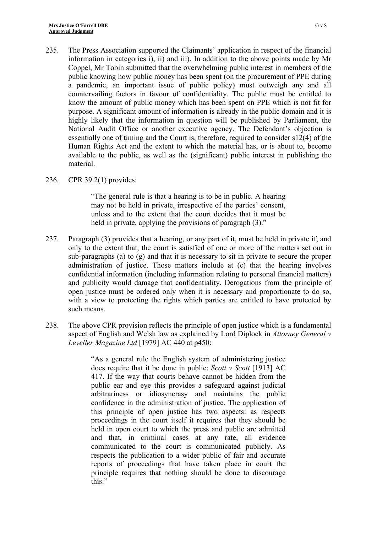- 235. The Press Association supported the Claimants' application in respect of the financial information in categories i), ii) and iii). In addition to the above points made by Mr Coppel, Mr Tobin submitted that the overwhelming public interest in members of the public knowing how public money has been spent (on the procurement of PPE during a pandemic, an important issue of public policy) must outweigh any and all countervailing factors in favour of confidentiality. The public must be entitled to know the amount of public money which has been spent on PPE which is not fit for purpose. A significant amount of information is already in the public domain and it is highly likely that the information in question will be published by Parliament, the National Audit Office or another executive agency. The Defendant's objection is essentially one of timing and the Court is, therefore, required to consider s12(4) of the Human Rights Act and the extent to which the material has, or is about to, become available to the public, as well as the (significant) public interest in publishing the material.
- 236. CPR 39.2(1) provides:

"The general rule is that a hearing is to be in public. A hearing may not be held in private, irrespective of the parties' consent, unless and to the extent that the court decides that it must be held in private, applying the provisions of paragraph (3)."

- 237. Paragraph (3) provides that a hearing, or any part of it, must be held in private if, and only to the extent that, the court is satisfied of one or more of the matters set out in sub-paragraphs (a) to (g) and that it is necessary to sit in private to secure the proper administration of justice. Those matters include at (c) that the hearing involves confidential information (including information relating to personal financial matters) and publicity would damage that confidentiality. Derogations from the principle of open justice must be ordered only when it is necessary and proportionate to do so, with a view to protecting the rights which parties are entitled to have protected by such means.
- 238. The above CPR provision reflects the principle of open justice which is a fundamental aspect of English and Welsh law as explained by Lord Diplock in *Attorney General v Leveller Magazine Ltd* [1979] AC 440 at p450:

"As a general rule the English system of administering justice does require that it be done in public: *Scott v Scott* [1913] AC 417. If the way that courts behave cannot be hidden from the public ear and eye this provides a safeguard against judicial arbitrariness or idiosyncrasy and maintains the public confidence in the administration of justice. The application of this principle of open justice has two aspects: as respects proceedings in the court itself it requires that they should be held in open court to which the press and public are admitted and that, in criminal cases at any rate, all evidence communicated to the court is communicated publicly. As respects the publication to a wider public of fair and accurate reports of proceedings that have taken place in court the principle requires that nothing should be done to discourage this."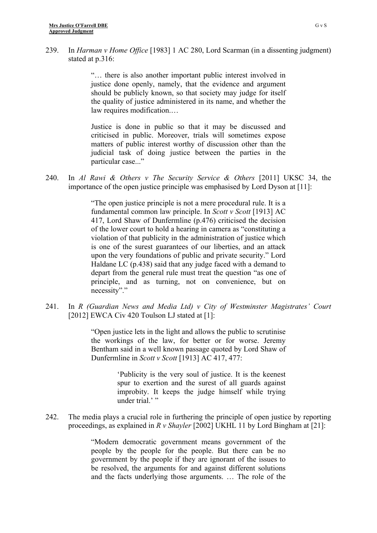239. In *Harman v Home Office* [1983] 1 AC 280, Lord Scarman (in a dissenting judgment) stated at p.316:

> "… there is also another important public interest involved in justice done openly, namely, that the evidence and argument should be publicly known, so that society may judge for itself the quality of justice administered in its name, and whether the law requires modification....

> Justice is done in public so that it may be discussed and criticised in public. Moreover, trials will sometimes expose matters of public interest worthy of discussion other than the judicial task of doing justice between the parties in the particular case..."

240. In *Al Rawi & Others v The Security Service & Others* [2011] UKSC 34, the importance of the open justice principle was emphasised by Lord Dyson at [11]:

> "The open justice principle is not a mere procedural rule. It is a fundamental common law principle. In *Scott v Scott* [1913] AC 417, Lord Shaw of Dunfermline (p.476) criticised the decision of the lower court to hold a hearing in camera as "constituting a violation of that publicity in the administration of justice which is one of the surest guarantees of our liberties, and an attack upon the very foundations of public and private security." Lord Haldane LC (p.438) said that any judge faced with a demand to depart from the general rule must treat the question "as one of principle, and as turning, not on convenience, but on necessity"."

241. In *R (Guardian News and Media Ltd) v City of Westminster Magistrates' Court* [2012] EWCA Civ 420 Toulson LJ stated at [1]:

> "Open justice lets in the light and allows the public to scrutinise the workings of the law, for better or for worse. Jeremy Bentham said in a well known passage quoted by Lord Shaw of Dunfermline in *Scott v Scott* [1913] AC 417, 477:

> > 'Publicity is the very soul of justice. It is the keenest spur to exertion and the surest of all guards against improbity. It keeps the judge himself while trying under trial."

242. The media plays a crucial role in furthering the principle of open justice by reporting proceedings, as explained in *R v Shayler* [2002] UKHL 11 by Lord Bingham at [21]:

> "Modern democratic government means government of the people by the people for the people. But there can be no government by the people if they are ignorant of the issues to be resolved, the arguments for and against different solutions and the facts underlying those arguments. … The role of the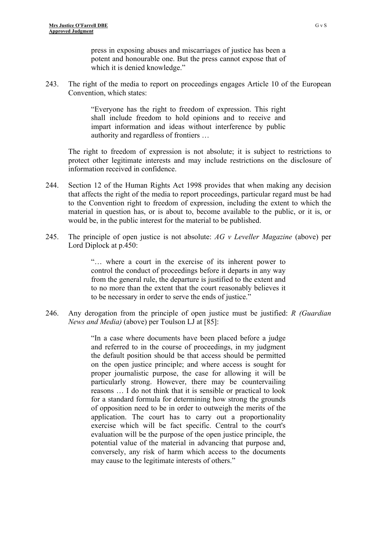press in exposing abuses and miscarriages of justice has been a potent and honourable one. But the press cannot expose that of which it is denied knowledge."

243. The right of the media to report on proceedings engages Article 10 of the European Convention, which states:

> "Everyone has the right to freedom of expression. This right shall include freedom to hold opinions and to receive and impart information and ideas without interference by public authority and regardless of frontiers …

The right to freedom of expression is not absolute; it is subject to restrictions to protect other legitimate interests and may include restrictions on the disclosure of information received in confidence.

- 244. Section 12 of the Human Rights Act 1998 provides that when making any decision that affects the right of the media to report proceedings, particular regard must be had to the Convention right to freedom of expression, including the extent to which the material in question has, or is about to, become available to the public, or it is, or would be, in the public interest for the material to be published.
- 245. The principle of open justice is not absolute: *AG v Leveller Magazine* (above) per Lord Diplock at p.450:

"… where a court in the exercise of its inherent power to control the conduct of proceedings before it departs in any way from the general rule, the departure is justified to the extent and to no more than the extent that the court reasonably believes it to be necessary in order to serve the ends of justice."

246. Any derogation from the principle of open justice must be justified: *R (Guardian News and Media)* (above) per Toulson LJ at [85]:

> "In a case where documents have been placed before a judge and referred to in the course of proceedings, in my judgment the default position should be that access should be permitted on the open justice principle; and where access is sought for proper journalistic purpose, the case for allowing it will be particularly strong. However, there may be countervailing reasons … I do not think that it is sensible or practical to look for a standard formula for determining how strong the grounds of opposition need to be in order to outweigh the merits of the application. The court has to carry out a proportionality exercise which will be fact specific. Central to the court's evaluation will be the purpose of the open justice principle, the potential value of the material in advancing that purpose and, conversely, any risk of harm which access to the documents may cause to the legitimate interests of others."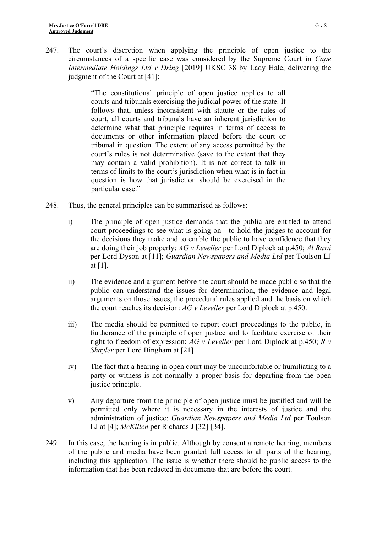247. The court's discretion when applying the principle of open justice to the circumstances of a specific case was considered by the Supreme Court in *Cape Intermediate Holdings Ltd v Dring* [2019] UKSC 38 by Lady Hale, delivering the judgment of the Court at [41]:

> "The constitutional principle of open justice applies to all courts and tribunals exercising the judicial power of the state. It follows that, unless inconsistent with statute or the rules of court, all courts and tribunals have an inherent jurisdiction to determine what that principle requires in terms of access to documents or other information placed before the court or tribunal in question. The extent of any access permitted by the court's rules is not determinative (save to the extent that they may contain a valid prohibition). It is not correct to talk in terms of limits to the court's jurisdiction when what is in fact in question is how that jurisdiction should be exercised in the particular case."

- 248. Thus, the general principles can be summarised as follows:
	- i) The principle of open justice demands that the public are entitled to attend court proceedings to see what is going on - to hold the judges to account for the decisions they make and to enable the public to have confidence that they are doing their job properly: *AG v Leveller* per Lord Diplock at p.450; *Al Rawi* per Lord Dyson at [11]; *Guardian Newspapers and Media Ltd* per Toulson LJ at [1].
	- ii) The evidence and argument before the court should be made public so that the public can understand the issues for determination, the evidence and legal arguments on those issues, the procedural rules applied and the basis on which the court reaches its decision: *AG v Leveller* per Lord Diplock at p.450.
	- iii) The media should be permitted to report court proceedings to the public, in furtherance of the principle of open justice and to facilitate exercise of their right to freedom of expression: *AG v Leveller* per Lord Diplock at p.450; *R v Shayler* per Lord Bingham at [21]
	- iv) The fact that a hearing in open court may be uncomfortable or humiliating to a party or witness is not normally a proper basis for departing from the open justice principle.
	- v) Any departure from the principle of open justice must be justified and will be permitted only where it is necessary in the interests of justice and the administration of justice: *Guardian Newspapers and Media Ltd* per Toulson LJ at [4]; *McKillen* per Richards J [32]-[34].
- 249. In this case, the hearing is in public. Although by consent a remote hearing, members of the public and media have been granted full access to all parts of the hearing, including this application. The issue is whether there should be public access to the information that has been redacted in documents that are before the court.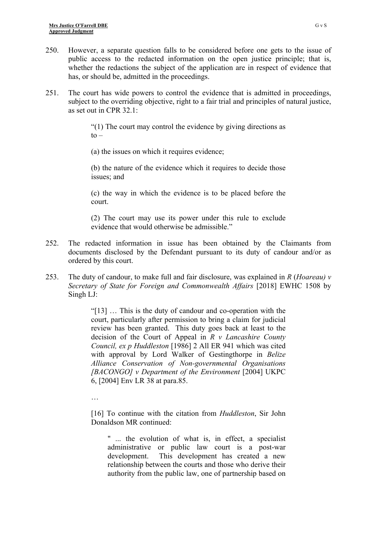- 250. However, a separate question falls to be considered before one gets to the issue of public access to the redacted information on the open justice principle; that is, whether the redactions the subject of the application are in respect of evidence that has, or should be, admitted in the proceedings.
- 251. The court has wide powers to control the evidence that is admitted in proceedings, subject to the overriding objective, right to a fair trial and principles of natural justice, as set out in CPR 32.1:

"(1) The court may control the evidence by giving directions as  $to -$ 

(a) the issues on which it requires evidence;

(b) the nature of the evidence which it requires to decide those issues; and

(c) the way in which the evidence is to be placed before the court.

(2) The court may use its power under this rule to exclude evidence that would otherwise be admissible."

- 252. The redacted information in issue has been obtained by the Claimants from documents disclosed by the Defendant pursuant to its duty of candour and/or as ordered by this court.
- 253. The duty of candour, to make full and fair disclosure, was explained in *R* (*Hoareau) v Secretary of State for Foreign and Commonwealth Affairs* [2018] EWHC 1508 by Singh LJ:

"[13] … This is the duty of candour and co-operation with the court, particularly after permission to bring a claim for judicial review has been granted. This duty goes back at least to the decision of the Court of Appeal in *R v Lancashire County Council, ex p Huddleston* [1986] 2 All ER 941 which was cited with approval by Lord Walker of Gestingthorpe in *Belize Alliance Conservation of Non-governmental Organisations [BACONGO] v Department of the Environment* [2004] UKPC 6, [2004] Env LR 38 at para.85.

…

[16] To continue with the citation from *Huddleston*, Sir John Donaldson MR continued:

" ... the evolution of what is, in effect, a specialist administrative or public law court is a post-war development. This development has created a new relationship between the courts and those who derive their authority from the public law, one of partnership based on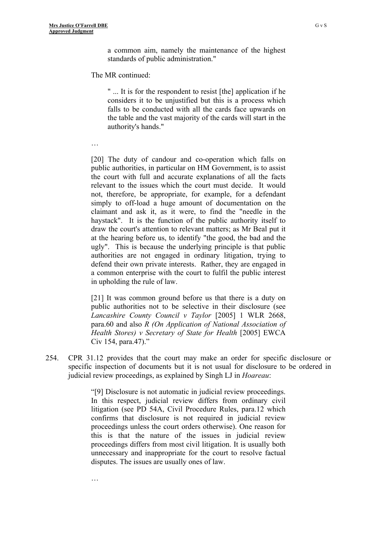…

…

a common aim, namely the maintenance of the highest standards of public administration."

The MR continued:

" ... It is for the respondent to resist [the] application if he considers it to be unjustified but this is a process which falls to be conducted with all the cards face upwards on the table and the vast majority of the cards will start in the authority's hands."

[20] The duty of candour and co-operation which falls on public authorities, in particular on HM Government, is to assist the court with full and accurate explanations of all the facts relevant to the issues which the court must decide. It would not, therefore, be appropriate, for example, for a defendant simply to off-load a huge amount of documentation on the claimant and ask it, as it were, to find the "needle in the haystack". It is the function of the public authority itself to draw the court's attention to relevant matters; as Mr Beal put it at the hearing before us, to identify "the good, the bad and the ugly". This is because the underlying principle is that public authorities are not engaged in ordinary litigation, trying to defend their own private interests. Rather, they are engaged in a common enterprise with the court to fulfil the public interest in upholding the rule of law.

[21] It was common ground before us that there is a duty on public authorities not to be selective in their disclosure (see *Lancashire County Council v Taylor* [2005] 1 WLR 2668, para.60 and also *R (On Application of National Association of Health Stores) v Secretary of State for Health* [2005] EWCA Civ 154, para.47)."

254. CPR 31.12 provides that the court may make an order for specific disclosure or specific inspection of documents but it is not usual for disclosure to be ordered in judicial review proceedings, as explained by Singh LJ in *Hoareau*:

> "[9] Disclosure is not automatic in judicial review proceedings. In this respect, judicial review differs from ordinary civil litigation (see PD 54A, Civil Procedure Rules, para.12 which confirms that disclosure is not required in judicial review proceedings unless the court orders otherwise). One reason for this is that the nature of the issues in judicial review proceedings differs from most civil litigation. It is usually both unnecessary and inappropriate for the court to resolve factual disputes. The issues are usually ones of law.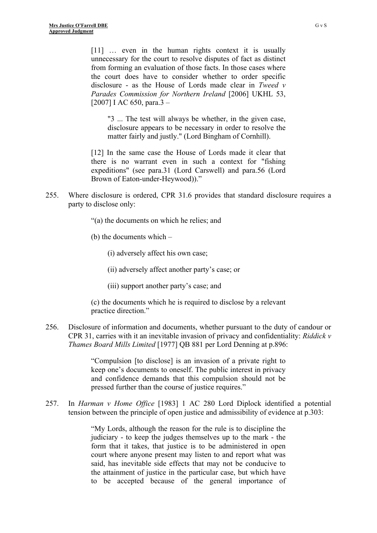[11] ... even in the human rights context it is usually unnecessary for the court to resolve disputes of fact as distinct from forming an evaluation of those facts. In those cases where the court does have to consider whether to order specific disclosure - as the House of Lords made clear in *Tweed v Parades Commission for Northern Ireland* [2006] UKHL 53, [2007] I AC 650, para.3 –

"3 ... The test will always be whether, in the given case, disclosure appears to be necessary in order to resolve the matter fairly and justly." (Lord Bingham of Cornhill).

[12] In the same case the House of Lords made it clear that there is no warrant even in such a context for "fishing expeditions" (see para.31 (Lord Carswell) and para.56 (Lord Brown of Eaton-under-Heywood))."

- 255. Where disclosure is ordered, CPR 31.6 provides that standard disclosure requires a party to disclose only:
	- "(a) the documents on which he relies; and
	- (b) the documents which –

(i) adversely affect his own case;

(ii) adversely affect another party's case; or

(iii) support another party's case; and

(c) the documents which he is required to disclose by a relevant practice direction."

256. Disclosure of information and documents, whether pursuant to the duty of candour or CPR 31, carries with it an inevitable invasion of privacy and confidentiality: *Riddick v Thames Board Mills Limited* [1977] QB 881 per Lord Denning at p.896:

> "Compulsion [to disclose] is an invasion of a private right to keep one's documents to oneself. The public interest in privacy and confidence demands that this compulsion should not be pressed further than the course of justice requires."

257. In *Harman v Home Office* [1983] 1 AC 280 Lord Diplock identified a potential tension between the principle of open justice and admissibility of evidence at p.303:

> "My Lords, although the reason for the rule is to discipline the judiciary - to keep the judges themselves up to the mark - the form that it takes, that justice is to be administered in open court where anyone present may listen to and report what was said, has inevitable side effects that may not be conducive to the attainment of justice in the particular case, but which have to be accepted because of the general importance of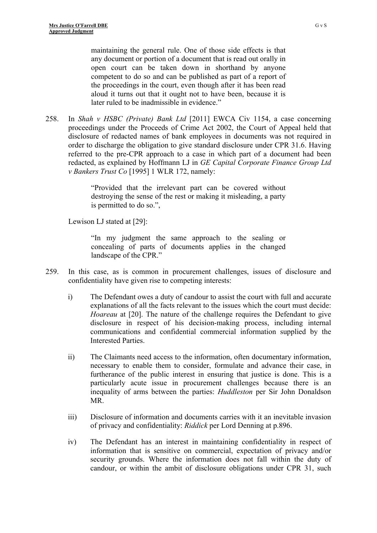maintaining the general rule. One of those side effects is that any document or portion of a document that is read out orally in open court can be taken down in shorthand by anyone competent to do so and can be published as part of a report of the proceedings in the court, even though after it has been read aloud it turns out that it ought not to have been, because it is later ruled to be inadmissible in evidence."

258. In *Shah v HSBC (Private) Bank Ltd* [2011] EWCA Civ 1154, a case concerning proceedings under the Proceeds of Crime Act 2002, the Court of Appeal held that disclosure of redacted names of bank employees in documents was not required in order to discharge the obligation to give standard disclosure under CPR 31.6. Having referred to the pre-CPR approach to a case in which part of a document had been redacted, as explained by Hoffmann LJ in *GE Capital Corporate Finance Group Ltd v Bankers Trust Co* [1995] 1 WLR 172, namely:

> "Provided that the irrelevant part can be covered without destroying the sense of the rest or making it misleading, a party is permitted to do so.",

Lewison LJ stated at [29]:

"In my judgment the same approach to the sealing or concealing of parts of documents applies in the changed landscape of the CPR."

- 259. In this case, as is common in procurement challenges, issues of disclosure and confidentiality have given rise to competing interests:
	- i) The Defendant owes a duty of candour to assist the court with full and accurate explanations of all the facts relevant to the issues which the court must decide: *Hoareau* at [20]. The nature of the challenge requires the Defendant to give disclosure in respect of his decision-making process, including internal communications and confidential commercial information supplied by the Interested Parties.
	- ii) The Claimants need access to the information, often documentary information, necessary to enable them to consider, formulate and advance their case, in furtherance of the public interest in ensuring that justice is done. This is a particularly acute issue in procurement challenges because there is an inequality of arms between the parties: *Huddleston* per Sir John Donaldson MR.
	- iii) Disclosure of information and documents carries with it an inevitable invasion of privacy and confidentiality: *Riddick* per Lord Denning at p.896.
	- iv) The Defendant has an interest in maintaining confidentiality in respect of information that is sensitive on commercial, expectation of privacy and/or security grounds. Where the information does not fall within the duty of candour, or within the ambit of disclosure obligations under CPR 31, such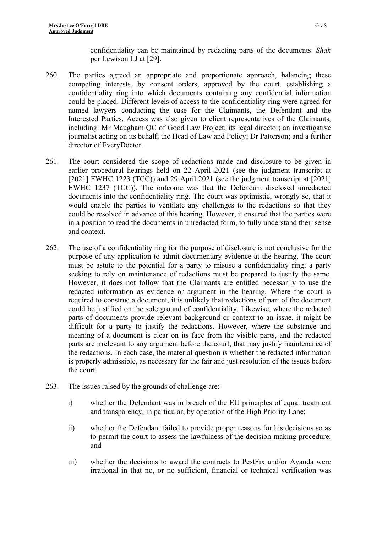confidentiality can be maintained by redacting parts of the documents: *Shah*  per Lewison LJ at [29].

- 260. The parties agreed an appropriate and proportionate approach, balancing these competing interests, by consent orders, approved by the court, establishing a confidentiality ring into which documents containing any confidential information could be placed. Different levels of access to the confidentiality ring were agreed for named lawyers conducting the case for the Claimants, the Defendant and the Interested Parties. Access was also given to client representatives of the Claimants, including: Mr Maugham QC of Good Law Project; its legal director; an investigative journalist acting on its behalf; the Head of Law and Policy; Dr Patterson; and a further director of EveryDoctor.
- 261. The court considered the scope of redactions made and disclosure to be given in earlier procedural hearings held on 22 April 2021 (see the judgment transcript at [2021] EWHC 1223 (TCC)) and 29 April 2021 (see the judgment transcript at [2021] EWHC 1237 (TCC)). The outcome was that the Defendant disclosed unredacted documents into the confidentiality ring. The court was optimistic, wrongly so, that it would enable the parties to ventilate any challenges to the redactions so that they could be resolved in advance of this hearing. However, it ensured that the parties were in a position to read the documents in unredacted form, to fully understand their sense and context.
- 262. The use of a confidentiality ring for the purpose of disclosure is not conclusive for the purpose of any application to admit documentary evidence at the hearing. The court must be astute to the potential for a party to misuse a confidentiality ring; a party seeking to rely on maintenance of redactions must be prepared to justify the same. However, it does not follow that the Claimants are entitled necessarily to use the redacted information as evidence or argument in the hearing. Where the court is required to construe a document, it is unlikely that redactions of part of the document could be justified on the sole ground of confidentiality. Likewise, where the redacted parts of documents provide relevant background or context to an issue, it might be difficult for a party to justify the redactions. However, where the substance and meaning of a document is clear on its face from the visible parts, and the redacted parts are irrelevant to any argument before the court, that may justify maintenance of the redactions. In each case, the material question is whether the redacted information is properly admissible, as necessary for the fair and just resolution of the issues before the court.
- 263. The issues raised by the grounds of challenge are:
	- i) whether the Defendant was in breach of the EU principles of equal treatment and transparency; in particular, by operation of the High Priority Lane;
	- ii) whether the Defendant failed to provide proper reasons for his decisions so as to permit the court to assess the lawfulness of the decision-making procedure; and
	- iii) whether the decisions to award the contracts to PestFix and/or Ayanda were irrational in that no, or no sufficient, financial or technical verification was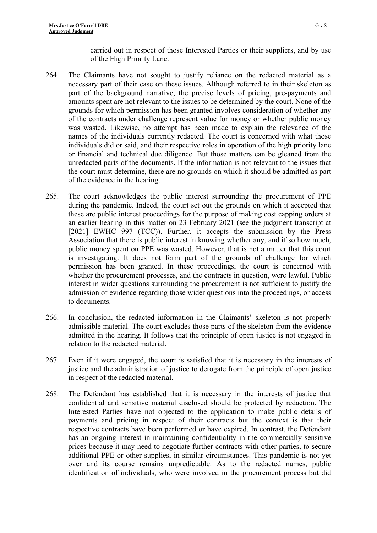carried out in respect of those Interested Parties or their suppliers, and by use of the High Priority Lane.

- 264. The Claimants have not sought to justify reliance on the redacted material as a necessary part of their case on these issues. Although referred to in their skeleton as part of the background narrative, the precise levels of pricing, pre-payments and amounts spent are not relevant to the issues to be determined by the court. None of the grounds for which permission has been granted involves consideration of whether any of the contracts under challenge represent value for money or whether public money was wasted. Likewise, no attempt has been made to explain the relevance of the names of the individuals currently redacted. The court is concerned with what those individuals did or said, and their respective roles in operation of the high priority lane or financial and technical due diligence. But those matters can be gleaned from the unredacted parts of the documents. If the information is not relevant to the issues that the court must determine, there are no grounds on which it should be admitted as part of the evidence in the hearing.
- 265. The court acknowledges the public interest surrounding the procurement of PPE during the pandemic. Indeed, the court set out the grounds on which it accepted that these are public interest proceedings for the purpose of making cost capping orders at an earlier hearing in this matter on 23 February 2021 (see the judgment transcript at [2021] EWHC 997 (TCC)). Further, it accepts the submission by the Press Association that there is public interest in knowing whether any, and if so how much, public money spent on PPE was wasted. However, that is not a matter that this court is investigating. It does not form part of the grounds of challenge for which permission has been granted. In these proceedings, the court is concerned with whether the procurement processes, and the contracts in question, were lawful. Public interest in wider questions surrounding the procurement is not sufficient to justify the admission of evidence regarding those wider questions into the proceedings, or access to documents.
- 266. In conclusion, the redacted information in the Claimants' skeleton is not properly admissible material. The court excludes those parts of the skeleton from the evidence admitted in the hearing. It follows that the principle of open justice is not engaged in relation to the redacted material.
- 267. Even if it were engaged, the court is satisfied that it is necessary in the interests of justice and the administration of justice to derogate from the principle of open justice in respect of the redacted material.
- 268. The Defendant has established that it is necessary in the interests of justice that confidential and sensitive material disclosed should be protected by redaction. The Interested Parties have not objected to the application to make public details of payments and pricing in respect of their contracts but the context is that their respective contracts have been performed or have expired. In contrast, the Defendant has an ongoing interest in maintaining confidentiality in the commercially sensitive prices because it may need to negotiate further contracts with other parties, to secure additional PPE or other supplies, in similar circumstances. This pandemic is not yet over and its course remains unpredictable. As to the redacted names, public identification of individuals, who were involved in the procurement process but did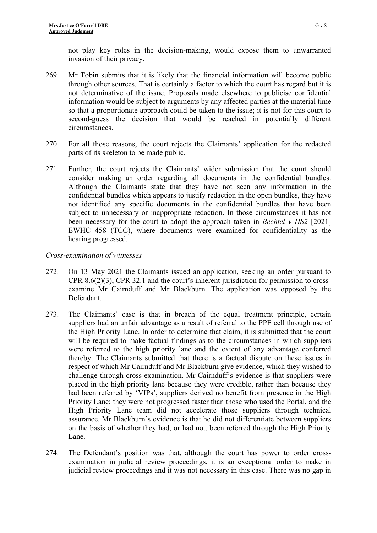not play key roles in the decision-making, would expose them to unwarranted invasion of their privacy.

- 269. Mr Tobin submits that it is likely that the financial information will become public through other sources. That is certainly a factor to which the court has regard but it is not determinative of the issue. Proposals made elsewhere to publicise confidential information would be subject to arguments by any affected parties at the material time so that a proportionate approach could be taken to the issue; it is not for this court to second-guess the decision that would be reached in potentially different circumstances.
- 270. For all those reasons, the court rejects the Claimants' application for the redacted parts of its skeleton to be made public.
- 271. Further, the court rejects the Claimants' wider submission that the court should consider making an order regarding all documents in the confidential bundles. Although the Claimants state that they have not seen any information in the confidential bundles which appears to justify redaction in the open bundles, they have not identified any specific documents in the confidential bundles that have been subject to unnecessary or inappropriate redaction. In those circumstances it has not been necessary for the court to adopt the approach taken in *Bechtel v HS2* [2021] EWHC 458 (TCC), where documents were examined for confidentiality as the hearing progressed.

### *Cross-examination of witnesses*

- 272. On 13 May 2021 the Claimants issued an application, seeking an order pursuant to CPR 8.6(2)(3), CPR 32.1 and the court's inherent jurisdiction for permission to crossexamine Mr Cairnduff and Mr Blackburn. The application was opposed by the Defendant.
- 273. The Claimants' case is that in breach of the equal treatment principle, certain suppliers had an unfair advantage as a result of referral to the PPE cell through use of the High Priority Lane. In order to determine that claim, it is submitted that the court will be required to make factual findings as to the circumstances in which suppliers were referred to the high priority lane and the extent of any advantage conferred thereby. The Claimants submitted that there is a factual dispute on these issues in respect of which Mr Cairnduff and Mr Blackburn give evidence, which they wished to challenge through cross-examination. Mr Cairnduff's evidence is that suppliers were placed in the high priority lane because they were credible, rather than because they had been referred by 'VIPs', suppliers derived no benefit from presence in the High Priority Lane; they were not progressed faster than those who used the Portal, and the High Priority Lane team did not accelerate those suppliers through technical assurance. Mr Blackburn's evidence is that he did not differentiate between suppliers on the basis of whether they had, or had not, been referred through the High Priority Lane.
- 274. The Defendant's position was that, although the court has power to order crossexamination in judicial review proceedings, it is an exceptional order to make in judicial review proceedings and it was not necessary in this case. There was no gap in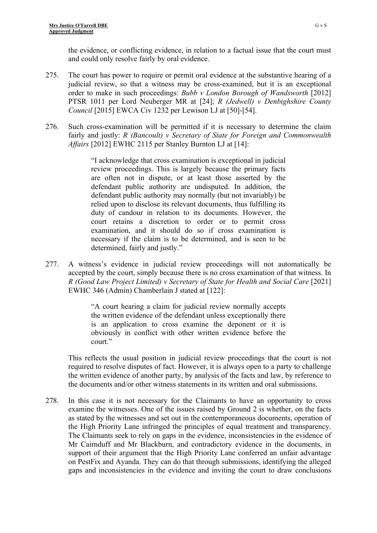the evidence, or conflicting evidence, in relation to a factual issue that the court must and could only resolve fairly by oral evidence.

- 275. The court has power to require or permit oral evidence at the substantive hearing of a judicial review, so that a witness may be cross-examined, but it is an exceptional order to make in such proceedings: *Bubb v London Borough of Wandsworth* [2012] PTSR 1011 per Lord Neuberger MR at [24]; *R (Jedwell) v Denbighshire County Council* [2015] EWCA Civ 1232 per Lewison LJ at [50]-[54].
- 276. Such cross-examination will be permitted if it is necessary to determine the claim fairly and justly: *R (Bancoult) v Secretary of State for Foreign and Commonwealth Affairs* [2012] EWHC 2115 per Stanley Burnton LJ at [14]:

"I acknowledge that cross examination is exceptional in judicial review proceedings. This is largely because the primary facts are often not in dispute, or at least those asserted by the defendant public authority are undisputed. In addition, the defendant public authority may normally (but not invariably) be relied upon to disclose its relevant documents, thus fulfilling its duty of candour in relation to its documents. However, the court retains a discretion to order or to permit cross examination, and it should do so if cross examination is necessary if the claim is to be determined, and is seen to be determined, fairly and justly."

277. A witness's evidence in judicial review proceedings will not automatically be accepted by the court, simply because there is no cross examination of that witness. In *R (Good Law Project Limited) v Secretary of State for Health and Social Care* [2021] EWHC 346 (Admin) Chamberlain J stated at [122]:

> "A court hearing a claim for judicial review normally accepts the written evidence of the defendant unless exceptionally there is an application to cross examine the deponent or it is obviously in conflict with other written evidence before the court."

This reflects the usual position in judicial review proceedings that the court is not required to resolve disputes of fact. However, it is always open to a party to challenge the written evidence of another party, by analysis of the facts and law, by reference to the documents and/or other witness statements in its written and oral submissions.

278. In this case it is not necessary for the Claimants to have an opportunity to cross examine the witnesses. One of the issues raised by Ground 2 is whether, on the facts as stated by the witnesses and set out in the contemporaneous documents, operation of the High Priority Lane infringed the principles of equal treatment and transparency. The Claimants seek to rely on gaps in the evidence, inconsistencies in the evidence of Mr Cairnduff and Mr Blackburn, and contradictory evidence in the documents, in support of their argument that the High Priority Lane conferred an unfair advantage on PestFix and Ayanda. They can do that through submissions, identifying the alleged gaps and inconsistencies in the evidence and inviting the court to draw conclusions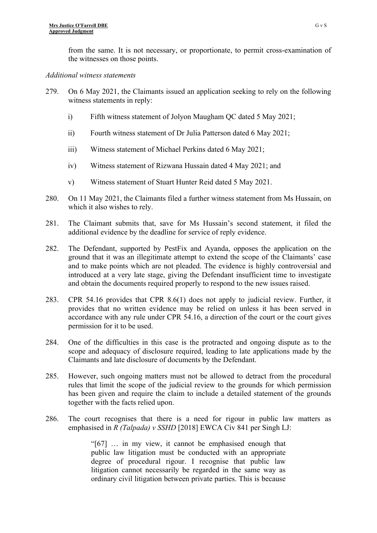from the same. It is not necessary, or proportionate, to permit cross-examination of the witnesses on those points.

### *Additional witness statements*

- 279. On 6 May 2021, the Claimants issued an application seeking to rely on the following witness statements in reply:
	- i) Fifth witness statement of Jolyon Maugham QC dated 5 May 2021;
	- ii) Fourth witness statement of Dr Julia Patterson dated 6 May 2021;
	- iii) Witness statement of Michael Perkins dated 6 May 2021;
	- iv) Witness statement of Rizwana Hussain dated 4 May 2021; and
	- v) Witness statement of Stuart Hunter Reid dated 5 May 2021.
- 280. On 11 May 2021, the Claimants filed a further witness statement from Ms Hussain, on which it also wishes to rely.
- 281. The Claimant submits that, save for Ms Hussain's second statement, it filed the additional evidence by the deadline for service of reply evidence.
- 282. The Defendant, supported by PestFix and Ayanda, opposes the application on the ground that it was an illegitimate attempt to extend the scope of the Claimants' case and to make points which are not pleaded. The evidence is highly controversial and introduced at a very late stage, giving the Defendant insufficient time to investigate and obtain the documents required properly to respond to the new issues raised.
- 283. CPR 54.16 provides that CPR 8.6(1) does not apply to judicial review. Further, it provides that no written evidence may be relied on unless it has been served in accordance with any rule under CPR 54.16, a direction of the court or the court gives permission for it to be used.
- 284. One of the difficulties in this case is the protracted and ongoing dispute as to the scope and adequacy of disclosure required, leading to late applications made by the Claimants and late disclosure of documents by the Defendant.
- 285. However, such ongoing matters must not be allowed to detract from the procedural rules that limit the scope of the judicial review to the grounds for which permission has been given and require the claim to include a detailed statement of the grounds together with the facts relied upon.
- 286. The court recognises that there is a need for rigour in public law matters as emphasised in *R (Talpada) v SSHD* [2018] EWCA Civ 841 per Singh LJ:

"[67] … in my view, it cannot be emphasised enough that public law litigation must be conducted with an appropriate degree of procedural rigour. I recognise that public law litigation cannot necessarily be regarded in the same way as ordinary civil litigation between private parties. This is because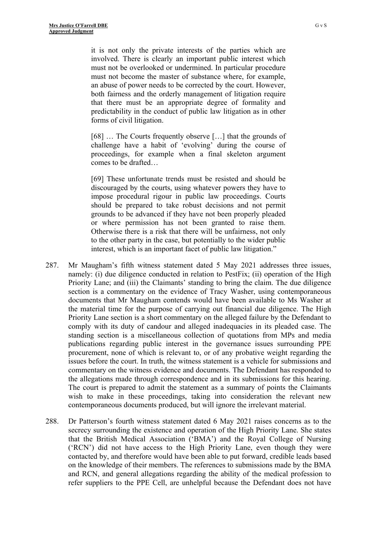it is not only the private interests of the parties which are involved. There is clearly an important public interest which must not be overlooked or undermined. In particular procedure must not become the master of substance where, for example, an abuse of power needs to be corrected by the court. However, both fairness and the orderly management of litigation require that there must be an appropriate degree of formality and predictability in the conduct of public law litigation as in other forms of civil litigation.

[68] … The Courts frequently observe […] that the grounds of challenge have a habit of 'evolving' during the course of proceedings, for example when a final skeleton argument comes to be drafted…

[69] These unfortunate trends must be resisted and should be discouraged by the courts, using whatever powers they have to impose procedural rigour in public law proceedings. Courts should be prepared to take robust decisions and not permit grounds to be advanced if they have not been properly pleaded or where permission has not been granted to raise them. Otherwise there is a risk that there will be unfairness, not only to the other party in the case, but potentially to the wider public interest, which is an important facet of public law litigation."

- 287. Mr Maugham's fifth witness statement dated 5 May 2021 addresses three issues, namely: (i) due diligence conducted in relation to PestFix; (ii) operation of the High Priority Lane; and (iii) the Claimants' standing to bring the claim. The due diligence section is a commentary on the evidence of Tracy Washer, using contemporaneous documents that Mr Maugham contends would have been available to Ms Washer at the material time for the purpose of carrying out financial due diligence. The High Priority Lane section is a short commentary on the alleged failure by the Defendant to comply with its duty of candour and alleged inadequacies in its pleaded case. The standing section is a miscellaneous collection of quotations from MPs and media publications regarding public interest in the governance issues surrounding PPE procurement, none of which is relevant to, or of any probative weight regarding the issues before the court. In truth, the witness statement is a vehicle for submissions and commentary on the witness evidence and documents. The Defendant has responded to the allegations made through correspondence and in its submissions for this hearing. The court is prepared to admit the statement as a summary of points the Claimants wish to make in these proceedings, taking into consideration the relevant new contemporaneous documents produced, but will ignore the irrelevant material.
- 288. Dr Patterson's fourth witness statement dated 6 May 2021 raises concerns as to the secrecy surrounding the existence and operation of the High Priority Lane. She states that the British Medical Association ('BMA') and the Royal College of Nursing ('RCN') did not have access to the High Priority Lane, even though they were contacted by, and therefore would have been able to put forward, credible leads based on the knowledge of their members. The references to submissions made by the BMA and RCN, and general allegations regarding the ability of the medical profession to refer suppliers to the PPE Cell, are unhelpful because the Defendant does not have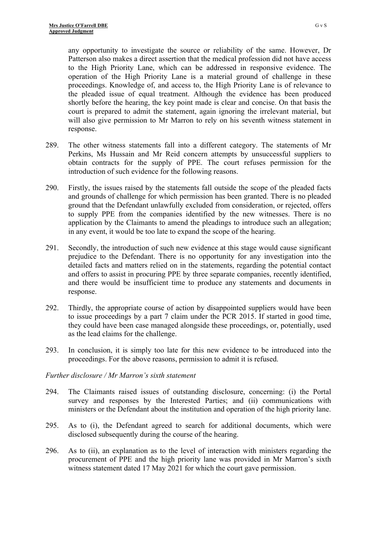any opportunity to investigate the source or reliability of the same. However, Dr Patterson also makes a direct assertion that the medical profession did not have access to the High Priority Lane, which can be addressed in responsive evidence. The operation of the High Priority Lane is a material ground of challenge in these proceedings. Knowledge of, and access to, the High Priority Lane is of relevance to the pleaded issue of equal treatment. Although the evidence has been produced shortly before the hearing, the key point made is clear and concise. On that basis the court is prepared to admit the statement, again ignoring the irrelevant material, but will also give permission to Mr Marron to rely on his seventh witness statement in response.

- 289. The other witness statements fall into a different category. The statements of Mr Perkins, Ms Hussain and Mr Reid concern attempts by unsuccessful suppliers to obtain contracts for the supply of PPE. The court refuses permission for the introduction of such evidence for the following reasons.
- 290. Firstly, the issues raised by the statements fall outside the scope of the pleaded facts and grounds of challenge for which permission has been granted. There is no pleaded ground that the Defendant unlawfully excluded from consideration, or rejected, offers to supply PPE from the companies identified by the new witnesses. There is no application by the Claimants to amend the pleadings to introduce such an allegation; in any event, it would be too late to expand the scope of the hearing.
- 291. Secondly, the introduction of such new evidence at this stage would cause significant prejudice to the Defendant. There is no opportunity for any investigation into the detailed facts and matters relied on in the statements, regarding the potential contact and offers to assist in procuring PPE by three separate companies, recently identified, and there would be insufficient time to produce any statements and documents in response.
- 292. Thirdly, the appropriate course of action by disappointed suppliers would have been to issue proceedings by a part 7 claim under the PCR 2015. If started in good time, they could have been case managed alongside these proceedings, or, potentially, used as the lead claims for the challenge.
- 293. In conclusion, it is simply too late for this new evidence to be introduced into the proceedings. For the above reasons, permission to admit it is refused.

## *Further disclosure / Mr Marron's sixth statement*

- 294. The Claimants raised issues of outstanding disclosure, concerning: (i) the Portal survey and responses by the Interested Parties; and (ii) communications with ministers or the Defendant about the institution and operation of the high priority lane.
- 295. As to (i), the Defendant agreed to search for additional documents, which were disclosed subsequently during the course of the hearing.
- 296. As to (ii), an explanation as to the level of interaction with ministers regarding the procurement of PPE and the high priority lane was provided in Mr Marron's sixth witness statement dated 17 May 2021 for which the court gave permission.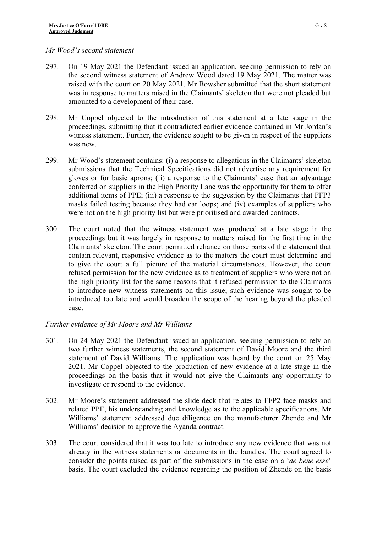### *Mr Wood's second statement*

- 297. On 19 May 2021 the Defendant issued an application, seeking permission to rely on the second witness statement of Andrew Wood dated 19 May 2021. The matter was raised with the court on 20 May 2021. Mr Bowsher submitted that the short statement was in response to matters raised in the Claimants' skeleton that were not pleaded but amounted to a development of their case.
- 298. Mr Coppel objected to the introduction of this statement at a late stage in the proceedings, submitting that it contradicted earlier evidence contained in Mr Jordan's witness statement. Further, the evidence sought to be given in respect of the suppliers was new
- 299. Mr Wood's statement contains: (i) a response to allegations in the Claimants' skeleton submissions that the Technical Specifications did not advertise any requirement for gloves or for basic aprons; (ii) a response to the Claimants' case that an advantage conferred on suppliers in the High Priority Lane was the opportunity for them to offer additional items of PPE; (iii) a response to the suggestion by the Claimants that FFP3 masks failed testing because they had ear loops; and (iv) examples of suppliers who were not on the high priority list but were prioritised and awarded contracts.
- 300. The court noted that the witness statement was produced at a late stage in the proceedings but it was largely in response to matters raised for the first time in the Claimants' skeleton. The court permitted reliance on those parts of the statement that contain relevant, responsive evidence as to the matters the court must determine and to give the court a full picture of the material circumstances. However, the court refused permission for the new evidence as to treatment of suppliers who were not on the high priority list for the same reasons that it refused permission to the Claimants to introduce new witness statements on this issue; such evidence was sought to be introduced too late and would broaden the scope of the hearing beyond the pleaded case.

## *Further evidence of Mr Moore and Mr Williams*

- 301. On 24 May 2021 the Defendant issued an application, seeking permission to rely on two further witness statements, the second statement of David Moore and the third statement of David Williams. The application was heard by the court on 25 May 2021. Mr Coppel objected to the production of new evidence at a late stage in the proceedings on the basis that it would not give the Claimants any opportunity to investigate or respond to the evidence.
- 302. Mr Moore's statement addressed the slide deck that relates to FFP2 face masks and related PPE, his understanding and knowledge as to the applicable specifications. Mr Williams' statement addressed due diligence on the manufacturer Zhende and Mr Williams' decision to approve the Ayanda contract.
- 303. The court considered that it was too late to introduce any new evidence that was not already in the witness statements or documents in the bundles. The court agreed to consider the points raised as part of the submissions in the case on a '*de bene esse*' basis. The court excluded the evidence regarding the position of Zhende on the basis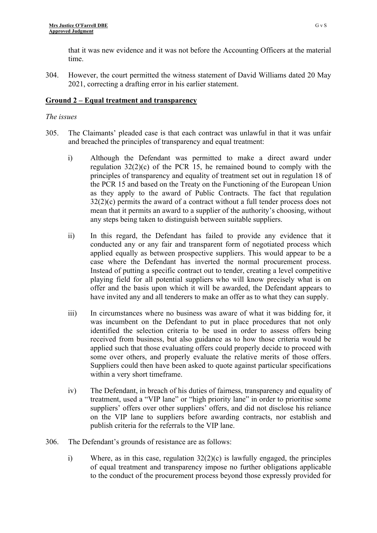that it was new evidence and it was not before the Accounting Officers at the material time.

304. However, the court permitted the witness statement of David Williams dated 20 May 2021, correcting a drafting error in his earlier statement.

### **Ground 2 – Equal treatment and transparency**

### *The issues*

- 305. The Claimants' pleaded case is that each contract was unlawful in that it was unfair and breached the principles of transparency and equal treatment:
	- i) Although the Defendant was permitted to make a direct award under regulation  $32(2)(c)$  of the PCR 15, he remained bound to comply with the principles of transparency and equality of treatment set out in regulation 18 of the PCR 15 and based on the Treaty on the Functioning of the European Union as they apply to the award of Public Contracts. The fact that regulation 32(2)(c) permits the award of a contract without a full tender process does not mean that it permits an award to a supplier of the authority's choosing, without any steps being taken to distinguish between suitable suppliers.
	- ii) In this regard, the Defendant has failed to provide any evidence that it conducted any or any fair and transparent form of negotiated process which applied equally as between prospective suppliers. This would appear to be a case where the Defendant has inverted the normal procurement process. Instead of putting a specific contract out to tender, creating a level competitive playing field for all potential suppliers who will know precisely what is on offer and the basis upon which it will be awarded, the Defendant appears to have invited any and all tenderers to make an offer as to what they can supply.
	- iii) In circumstances where no business was aware of what it was bidding for, it was incumbent on the Defendant to put in place procedures that not only identified the selection criteria to be used in order to assess offers being received from business, but also guidance as to how those criteria would be applied such that those evaluating offers could properly decide to proceed with some over others, and properly evaluate the relative merits of those offers. Suppliers could then have been asked to quote against particular specifications within a very short timeframe.
	- iv) The Defendant, in breach of his duties of fairness, transparency and equality of treatment, used a "VIP lane" or "high priority lane" in order to prioritise some suppliers' offers over other suppliers' offers, and did not disclose his reliance on the VIP lane to suppliers before awarding contracts, nor establish and publish criteria for the referrals to the VIP lane.
- 306. The Defendant's grounds of resistance are as follows:
	- i) Where, as in this case, regulation 32(2)(c) is lawfully engaged, the principles of equal treatment and transparency impose no further obligations applicable to the conduct of the procurement process beyond those expressly provided for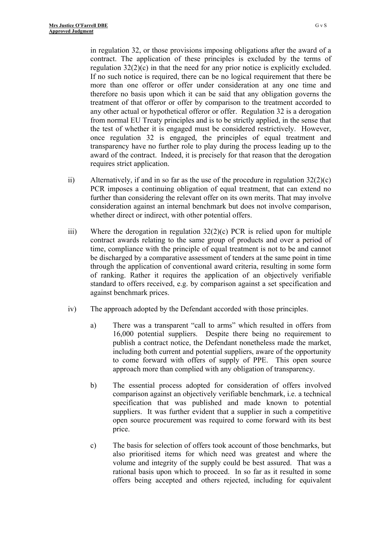in regulation 32, or those provisions imposing obligations after the award of a contract. The application of these principles is excluded by the terms of regulation 32(2)(c) in that the need for any prior notice is explicitly excluded. If no such notice is required, there can be no logical requirement that there be more than one offeror or offer under consideration at any one time and therefore no basis upon which it can be said that any obligation governs the treatment of that offeror or offer by comparison to the treatment accorded to any other actual or hypothetical offeror or offer. Regulation 32 is a derogation from normal EU Treaty principles and is to be strictly applied, in the sense that the test of whether it is engaged must be considered restrictively. However, once regulation 32 is engaged, the principles of equal treatment and transparency have no further role to play during the process leading up to the award of the contract. Indeed, it is precisely for that reason that the derogation requires strict application.

- ii) Alternatively, if and in so far as the use of the procedure in regulation  $32(2)(c)$ PCR imposes a continuing obligation of equal treatment, that can extend no further than considering the relevant offer on its own merits. That may involve consideration against an internal benchmark but does not involve comparison, whether direct or indirect, with other potential offers.
- iii) Where the derogation in regulation 32(2)(c) PCR is relied upon for multiple contract awards relating to the same group of products and over a period of time, compliance with the principle of equal treatment is not to be and cannot be discharged by a comparative assessment of tenders at the same point in time through the application of conventional award criteria, resulting in some form of ranking. Rather it requires the application of an objectively verifiable standard to offers received, e.g. by comparison against a set specification and against benchmark prices.
- iv) The approach adopted by the Defendant accorded with those principles.
	- a) There was a transparent "call to arms" which resulted in offers from 16,000 potential suppliers. Despite there being no requirement to publish a contract notice, the Defendant nonetheless made the market, including both current and potential suppliers, aware of the opportunity to come forward with offers of supply of PPE. This open source approach more than complied with any obligation of transparency.
	- b) The essential process adopted for consideration of offers involved comparison against an objectively verifiable benchmark, i.e. a technical specification that was published and made known to potential suppliers. It was further evident that a supplier in such a competitive open source procurement was required to come forward with its best price.
	- c) The basis for selection of offers took account of those benchmarks, but also prioritised items for which need was greatest and where the volume and integrity of the supply could be best assured. That was a rational basis upon which to proceed. In so far as it resulted in some offers being accepted and others rejected, including for equivalent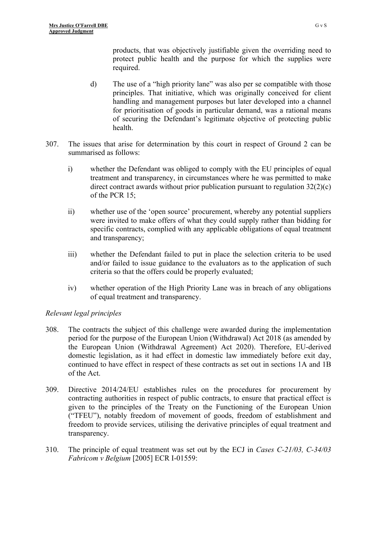products, that was objectively justifiable given the overriding need to protect public health and the purpose for which the supplies were required.

- d) The use of a "high priority lane" was also per se compatible with those principles. That initiative, which was originally conceived for client handling and management purposes but later developed into a channel for prioritisation of goods in particular demand, was a rational means of securing the Defendant's legitimate objective of protecting public health.
- 307. The issues that arise for determination by this court in respect of Ground 2 can be summarised as follows:
	- i) whether the Defendant was obliged to comply with the EU principles of equal treatment and transparency, in circumstances where he was permitted to make direct contract awards without prior publication pursuant to regulation 32(2)(c) of the PCR 15;
	- ii) whether use of the 'open source' procurement, whereby any potential suppliers were invited to make offers of what they could supply rather than bidding for specific contracts, complied with any applicable obligations of equal treatment and transparency;
	- iii) whether the Defendant failed to put in place the selection criteria to be used and/or failed to issue guidance to the evaluators as to the application of such criteria so that the offers could be properly evaluated;
	- iv) whether operation of the High Priority Lane was in breach of any obligations of equal treatment and transparency.

# *Relevant legal principles*

- 308. The contracts the subject of this challenge were awarded during the implementation period for the purpose of the European Union (Withdrawal) Act 2018 (as amended by the European Union (Withdrawal Agreement) Act 2020). Therefore, EU-derived domestic legislation, as it had effect in domestic law immediately before exit day, continued to have effect in respect of these contracts as set out in sections 1A and 1B of the Act.
- 309. Directive 2014/24/EU establishes rules on the procedures for procurement by contracting authorities in respect of public contracts, to ensure that practical effect is given to the principles of the Treaty on the Functioning of the European Union ("TFEU"), notably freedom of movement of goods, freedom of establishment and freedom to provide services, utilising the derivative principles of equal treatment and transparency.
- 310. The principle of equal treatment was set out by the ECJ in *Cases C-21/03, C-34/03 Fabricom v Belgium* [2005] ECR I-01559: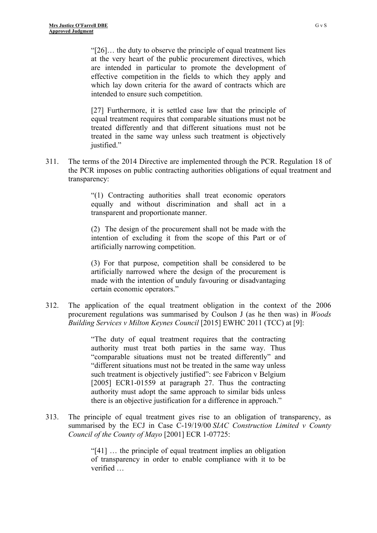"[26]… the duty to observe the principle of equal treatment lies at the very heart of the public procurement directives, which are intended in particular to promote the development of effective competition in the fields to which they apply and which lay down criteria for the award of contracts which are intended to ensure such competition.

[27] Furthermore, it is settled case law that the principle of equal treatment requires that comparable situations must not be treated differently and that different situations must not be treated in the same way unless such treatment is objectively justified."

311. The terms of the 2014 Directive are implemented through the PCR. Regulation 18 of the PCR imposes on public contracting authorities obligations of equal treatment and transparency:

> "(1) Contracting authorities shall treat economic operators equally and without discrimination and shall act in a transparent and proportionate manner.

> (2) The design of the procurement shall not be made with the intention of excluding it from the scope of this Part or of artificially narrowing competition.

> (3) For that purpose, competition shall be considered to be artificially narrowed where the design of the procurement is made with the intention of unduly favouring or disadvantaging certain economic operators."

312. The application of the equal treatment obligation in the context of the 2006 procurement regulations was summarised by Coulson J (as he then was) in *Woods Building Services v Milton Keynes Council* [2015] EWHC 2011 (TCC) at [9]:

> "The duty of equal treatment requires that the contracting authority must treat both parties in the same way. Thus "comparable situations must not be treated differently" and "different situations must not be treated in the same way unless such treatment is objectively justified": see Fabricon v Belgium [2005] ECR1-01559 at paragraph 27. Thus the contracting authority must adopt the same approach to similar bids unless there is an objective justification for a difference in approach."

313. The principle of equal treatment gives rise to an obligation of transparency, as summarised by the ECJ in Case C-19/19/00 *SIAC Construction Limited v County Council of the County of Mayo* [2001] ECR 1-07725:

> "[41] … the principle of equal treatment implies an obligation of transparency in order to enable compliance with it to be verified …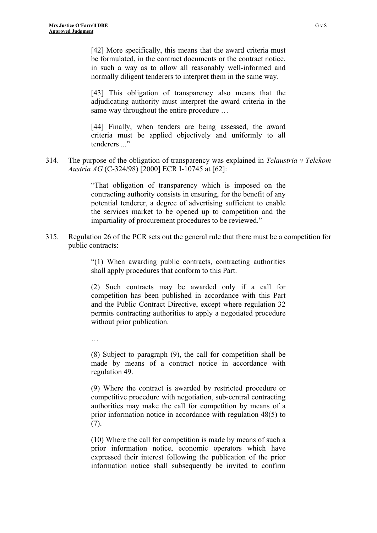[42] More specifically, this means that the award criteria must be formulated, in the contract documents or the contract notice, in such a way as to allow all reasonably well-informed and normally diligent tenderers to interpret them in the same way.

[43] This obligation of transparency also means that the adjudicating authority must interpret the award criteria in the same way throughout the entire procedure …

[44] Finally, when tenders are being assessed, the award criteria must be applied objectively and uniformly to all tenderers "

314. The purpose of the obligation of transparency was explained in *Telaustria v Telekom Austria AG* (C-324/98) [2000] ECR I-10745 at [62]:

> "That obligation of transparency which is imposed on the contracting authority consists in ensuring, for the benefit of any potential tenderer, a degree of advertising sufficient to enable the services market to be opened up to competition and the impartiality of procurement procedures to be reviewed."

315. Regulation 26 of the PCR sets out the general rule that there must be a competition for public contracts:

> "(1) When awarding public contracts, contracting authorities shall apply procedures that conform to this Part.

> (2) Such contracts may be awarded only if a call for competition has been published in accordance with this Part and the Public Contract Directive, except where regulation 32 permits contracting authorities to apply a negotiated procedure without prior publication.

…

(8) Subject to paragraph (9), the call for competition shall be made by means of a contract notice in accordance with regulation 49.

(9) Where the contract is awarded by restricted procedure or competitive procedure with negotiation, sub-central contracting authorities may make the call for competition by means of a prior information notice in accordance with regulation 48(5) to  $(7).$ 

(10) Where the call for competition is made by means of such a prior information notice, economic operators which have expressed their interest following the publication of the prior information notice shall subsequently be invited to confirm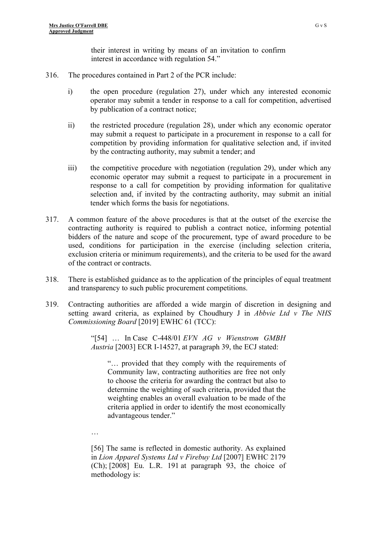their interest in writing by means of an invitation to confirm interest in accordance with regulation 54."

- 316. The procedures contained in Part 2 of the PCR include:
	- i) the open procedure (regulation 27), under which any interested economic operator may submit a tender in response to a call for competition, advertised by publication of a contract notice;
	- ii) the restricted procedure (regulation 28), under which any economic operator may submit a request to participate in a procurement in response to a call for competition by providing information for qualitative selection and, if invited by the contracting authority, may submit a tender; and
	- iii) the competitive procedure with negotiation (regulation 29), under which any economic operator may submit a request to participate in a procurement in response to a call for competition by providing information for qualitative selection and, if invited by the contracting authority, may submit an initial tender which forms the basis for negotiations.
- 317. A common feature of the above procedures is that at the outset of the exercise the contracting authority is required to publish a contract notice, informing potential bidders of the nature and scope of the procurement, type of award procedure to be used, conditions for participation in the exercise (including selection criteria, exclusion criteria or minimum requirements), and the criteria to be used for the award of the contract or contracts.
- 318. There is established guidance as to the application of the principles of equal treatment and transparency to such public procurement competitions.
- 319. Contracting authorities are afforded a wide margin of discretion in designing and setting award criteria, as explained by Choudhury J in *Abbvie Ltd v The NHS Commissioning Board* [\[2019\] EWHC 61 \(TCC\)](https://www.bailii.org/ew/cases/EWHC/TCC/2019/61.html):

"[54] … In Case C-448/01 *EVN AG v Wienstrom GMBH Austria* [\[2003\] ECR I-14527,](https://www.bailii.org/cgi-bin/redirect.cgi?path=/eu/cases/EUECJ/2003/C44801.html) at paragraph 39, the ECJ stated:

"… provided that they comply with the requirements of Community law, contracting authorities are free not only to choose the criteria for awarding the contract but also to determine the weighting of such criteria, provided that the weighting enables an overall evaluation to be made of the criteria applied in order to identify the most economically advantageous tender."

…

[56] The same is reflected in domestic authority. As explained in *Lion Apparel Systems Ltd v Firebuy Ltd* [\[2007\] EWHC 2179](https://www.bailii.org/ew/cases/EWHC/Ch/2007/2179.html)  [\(Ch\);](https://www.bailii.org/ew/cases/EWHC/Ch/2007/2179.html) [2008] Eu. L.R. 191 at paragraph 93, the choice of methodology is: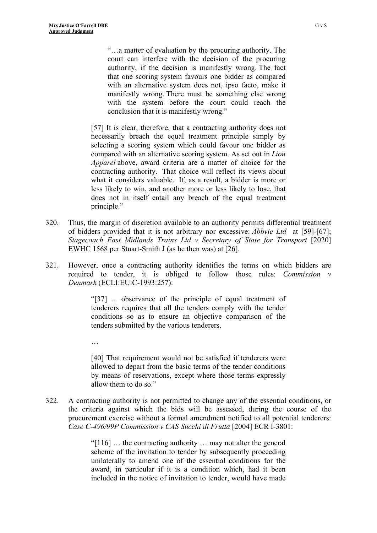…

"…a matter of evaluation by the procuring authority. The court can interfere with the decision of the procuring authority, if the decision is manifestly wrong. The fact that one scoring system favours one bidder as compared with an alternative system does not, ipso facto, make it manifestly wrong. There must be something else wrong with the system before the court could reach the conclusion that it is manifestly wrong."

[57] It is clear, therefore, that a contracting authority does not necessarily breach the equal treatment principle simply by selecting a scoring system which could favour one bidder as compared with an alternative scoring system. As set out in *Lion Apparel* above, award criteria are a matter of choice for the contracting authority. That choice will reflect its views about what it considers valuable. If, as a result, a bidder is more or less likely to win, and another more or less likely to lose, that does not in itself entail any breach of the equal treatment principle."

- 320. Thus, the margin of discretion available to an authority permits differential treatment of bidders provided that it is not arbitrary nor excessive: *Abbvie Ltd* at [59]-[67]; *Stagecoach East Midlands Trains Ltd v Secretary of State for Transport* [2020] EWHC 1568 per Stuart-Smith J (as he then was) at [26].
- 321. However, once a contracting authority identifies the terms on which bidders are required to tender, it is obliged to follow those rules: *Commission v Denmark* ([ECLI:EU:C-1993:257](https://www.bailii.org/eu/cases/EUECJ/1993/C24389.html)):

"[37] ... observance of the principle of equal treatment of tenderers requires that all the tenders comply with the tender conditions so as to ensure an objective comparison of the tenders submitted by the various tenderers.

[40] That requirement would not be satisfied if tenderers were allowed to depart from the basic terms of the tender conditions by means of reservations, except where those terms expressly allow them to do so."

322. A contracting authority is not permitted to change any of the essential conditions, or the criteria against which the bids will be assessed, during the course of the procurement exercise without a formal amendment notified to all potential tenderers: *Case C-496/99P Commission v CAS Succhi di Frutta* [2004] ECR I-3801:

> "[116] … the contracting authority … may not alter the general scheme of the invitation to tender by subsequently proceeding unilaterally to amend one of the essential conditions for the award, in particular if it is a condition which, had it been included in the notice of invitation to tender, would have made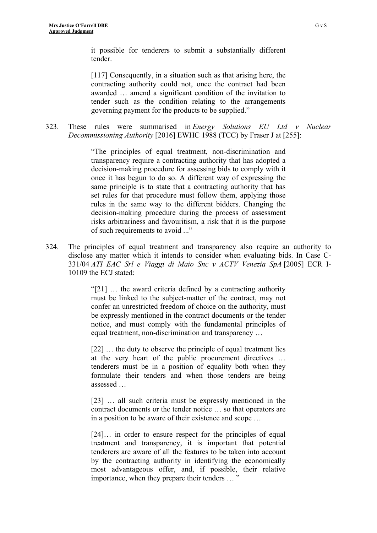it possible for tenderers to submit a substantially different tender.

[117] Consequently, in a situation such as that arising here, the contracting authority could not, once the contract had been awarded … amend a significant condition of the invitation to tender such as the condition relating to the arrangements governing payment for the products to be supplied."

323. These rules were summarised in *Energy Solutions EU Ltd v Nuclear Decommissioning Authority* [\[2016\] EWHC 1988 \(TCC\)](https://www.bailii.org/ew/cases/EWHC/TCC/2016/1988.html) by Fraser J at [255]:

> "The principles of equal treatment, non-discrimination and transparency require a contracting authority that has adopted a decision-making procedure for assessing bids to comply with it once it has begun to do so. A different way of expressing the same principle is to state that a contracting authority that has set rules for that procedure must follow them, applying those rules in the same way to the different bidders. Changing the decision-making procedure during the process of assessment risks arbitrariness and favouritism, a risk that it is the purpose of such requirements to avoid ..."

324. The principles of equal treatment and transparency also require an authority to disclose any matter which it intends to consider when evaluating bids. In Case C-331/04 *ATI EAC Srl e Viaggi di Maio Snc v ACTV Venezia SpA* [\[2005\] ECR I-](https://www.bailii.org/cgi-bin/redirect.cgi?path=/eu/cases/EUECJ/2005/C33104.html)[10109](https://www.bailii.org/cgi-bin/redirect.cgi?path=/eu/cases/EUECJ/2005/C33104.html) the ECJ stated:

> "[21] … the award criteria defined by a contracting authority must be linked to the subject-matter of the contract, may not confer an unrestricted freedom of choice on the authority, must be expressly mentioned in the contract documents or the tender notice, and must comply with the fundamental principles of equal treatment, non-discrimination and transparency …

> [22] ... the duty to observe the principle of equal treatment lies at the very heart of the public procurement directives … tenderers must be in a position of equality both when they formulate their tenders and when those tenders are being assessed …

> [23] ... all such criteria must be expressly mentioned in the contract documents or the tender notice … so that operators are in a position to be aware of their existence and scope …

> [24]... in order to ensure respect for the principles of equal treatment and transparency, it is important that potential tenderers are aware of all the features to be taken into account by the contracting authority in identifying the economically most advantageous offer, and, if possible, their relative importance, when they prepare their tenders … "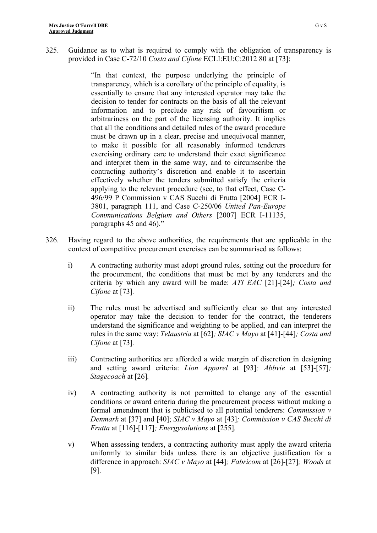325. Guidance as to what is required to comply with the obligation of transparency is provided in Case C-72/10 *Costa and Cifone* ECLI:EU:C:2012 80 at [73]:

> "In that context, the purpose underlying the principle of transparency, which is a corollary of the principle of equality, is essentially to ensure that any interested operator may take the decision to tender for contracts on the basis of all the relevant information and to preclude any risk of favouritism or arbitrariness on the part of the licensing authority. It implies that all the conditions and detailed rules of the award procedure must be drawn up in a clear, precise and unequivocal manner, to make it possible for all reasonably informed tenderers exercising ordinary care to understand their exact significance and interpret them in the same way, and to circumscribe the contracting authority's discretion and enable it to ascertain effectively whether the tenders submitted satisfy the criteria applying to the relevant procedure (see, to that effect, Case C-496/99 P Commission v CAS Succhi di Frutta [2004] ECR I-3801, paragraph 111, and Case C-250/06 *United Pan-Europe Communications Belgium and Others* [2007] ECR I-11135, paragraphs 45 and 46)."

- 326. Having regard to the above authorities, the requirements that are applicable in the context of competitive procurement exercises can be summarised as follows:
	- i) A contracting authority must adopt ground rules, setting out the procedure for the procurement, the conditions that must be met by any tenderers and the criteria by which any award will be made: *ATI EAC* [21]-[24]*; Costa and Cifone* at [73]*.*
	- ii) The rules must be advertised and sufficiently clear so that any interested operator may take the decision to tender for the contract, the tenderers understand the significance and weighting to be applied, and can interpret the rules in the same way: *Telaustria* at [62]*; SIAC v Mayo* at [41]-[44]*; Costa and Cifone* at [73]*.*
	- iii) Contracting authorities are afforded a wide margin of discretion in designing and setting award criteria: *Lion Apparel* at [93]*; Abbvie* at [53]-[57]*; Stagecoach* at [26]*.*
	- iv) A contracting authority is not permitted to change any of the essential conditions or award criteria during the procurement process without making a formal amendment that is publicised to all potential tenderers: *Commission v Denmark* at [37] and [40]; *SIAC v Mayo* at [43]*; Commission v CAS Succhi di Frutta* at [116]-[117]*; Energysolutions* at [255]*.*
	- v) When assessing tenders, a contracting authority must apply the award criteria uniformly to similar bids unless there is an objective justification for a difference in approach: *SIAC v Mayo* at [44]*; Fabricom* at [26]-[27]*; Woods* at [9].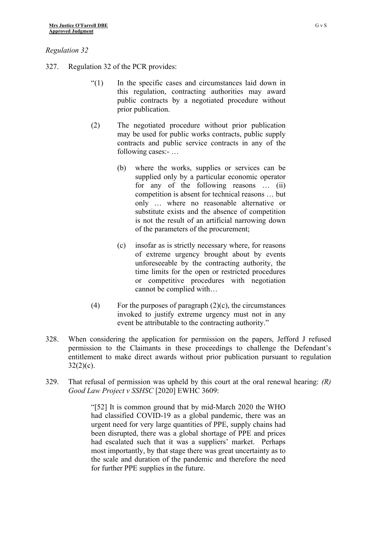## *Regulation 32*

- 327. Regulation 32 of the PCR provides:
	- "(1) In the specific cases and circumstances laid down in this regulation, contracting authorities may award public contracts by a negotiated procedure without prior publication.
	- (2) The negotiated procedure without prior publication may be used for public works contracts, public supply contracts and public service contracts in any of the following cases:- …
		- (b) where the works, supplies or services can be supplied only by a particular economic operator for any of the following reasons … (ii) competition is absent for technical reasons … but only … where no reasonable alternative or substitute exists and the absence of competition is not the result of an artificial narrowing down of the parameters of the procurement;
		- (c) insofar as is strictly necessary where, for reasons of extreme urgency brought about by events unforeseeable by the contracting authority, the time limits for the open or restricted procedures or competitive procedures with negotiation cannot be complied with…
	- (4) For the purposes of paragraph  $(2)(c)$ , the circumstances invoked to justify extreme urgency must not in any event be attributable to the contracting authority."
- 328. When considering the application for permission on the papers, Jefford J refused permission to the Claimants in these proceedings to challenge the Defendant's entitlement to make direct awards without prior publication pursuant to regulation  $32(2)(c)$ .
- 329. That refusal of permission was upheld by this court at the oral renewal hearing: *(R) Good Law Project v SSHSC* [2020] EWHC 3609:

"[52] It is common ground that by mid-March 2020 the WHO had classified COVID-19 as a global pandemic, there was an urgent need for very large quantities of PPE, supply chains had been disrupted, there was a global shortage of PPE and prices had escalated such that it was a suppliers' market. Perhaps most importantly, by that stage there was great uncertainty as to the scale and duration of the pandemic and therefore the need for further PPE supplies in the future.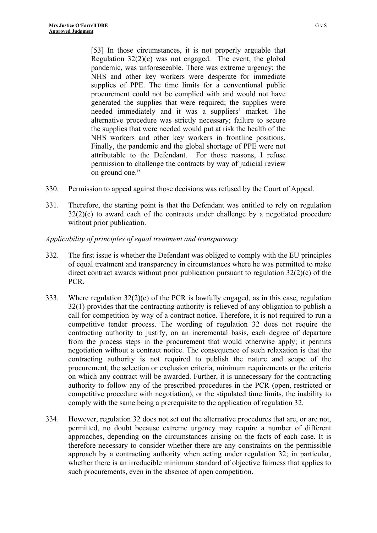[53] In those circumstances, it is not properly arguable that Regulation  $32(2)(c)$  was not engaged. The event, the global pandemic, was unforeseeable. There was extreme urgency; the NHS and other key workers were desperate for immediate supplies of PPE. The time limits for a conventional public procurement could not be complied with and would not have generated the supplies that were required; the supplies were needed immediately and it was a suppliers' market. The alternative procedure was strictly necessary; failure to secure the supplies that were needed would put at risk the health of the NHS workers and other key workers in frontline positions. Finally, the pandemic and the global shortage of PPE were not attributable to the Defendant. For those reasons, I refuse permission to challenge the contracts by way of judicial review on ground one."

- 330. Permission to appeal against those decisions was refused by the Court of Appeal.
- 331. Therefore, the starting point is that the Defendant was entitled to rely on regulation 32(2)(c) to award each of the contracts under challenge by a negotiated procedure without prior publication.

## *Applicability of principles of equal treatment and transparency*

- 332. The first issue is whether the Defendant was obliged to comply with the EU principles of equal treatment and transparency in circumstances where he was permitted to make direct contract awards without prior publication pursuant to regulation 32(2)(c) of the PCR.
- 333. Where regulation  $32(2)(c)$  of the PCR is lawfully engaged, as in this case, regulation 32(1) provides that the contracting authority is relieved of any obligation to publish a call for competition by way of a contract notice. Therefore, it is not required to run a competitive tender process. The wording of regulation 32 does not require the contracting authority to justify, on an incremental basis, each degree of departure from the process steps in the procurement that would otherwise apply; it permits negotiation without a contract notice. The consequence of such relaxation is that the contracting authority is not required to publish the nature and scope of the procurement, the selection or exclusion criteria, minimum requirements or the criteria on which any contract will be awarded. Further, it is unnecessary for the contracting authority to follow any of the prescribed procedures in the PCR (open, restricted or competitive procedure with negotiation), or the stipulated time limits, the inability to comply with the same being a prerequisite to the application of regulation 32.
- 334. However, regulation 32 does not set out the alternative procedures that are, or are not, permitted, no doubt because extreme urgency may require a number of different approaches, depending on the circumstances arising on the facts of each case. It is therefore necessary to consider whether there are any constraints on the permissible approach by a contracting authority when acting under regulation 32; in particular, whether there is an irreducible minimum standard of objective fairness that applies to such procurements, even in the absence of open competition.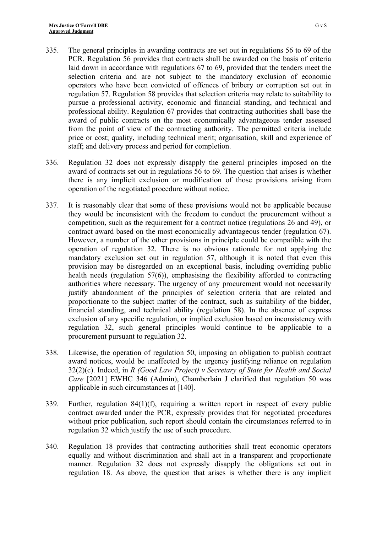- 335. The general principles in awarding contracts are set out in regulations 56 to 69 of the PCR. Regulation 56 provides that contracts shall be awarded on the basis of criteria laid down in accordance with regulations 67 to 69, provided that the tenders meet the selection criteria and are not subject to the mandatory exclusion of economic operators who have been convicted of offences of bribery or corruption set out in regulation 57. Regulation 58 provides that selection criteria may relate to suitability to pursue a professional activity, economic and financial standing, and technical and professional ability. Regulation 67 provides that contracting authorities shall base the award of public contracts on the most economically advantageous tender assessed from the point of view of the contracting authority. The permitted criteria include price or cost; quality, including technical merit; organisation, skill and experience of staff; and delivery process and period for completion.
- 336. Regulation 32 does not expressly disapply the general principles imposed on the award of contracts set out in regulations 56 to 69. The question that arises is whether there is any implicit exclusion or modification of those provisions arising from operation of the negotiated procedure without notice.
- 337. It is reasonably clear that some of these provisions would not be applicable because they would be inconsistent with the freedom to conduct the procurement without a competition, such as the requirement for a contract notice (regulations 26 and 49), or contract award based on the most economically advantageous tender (regulation 67). However, a number of the other provisions in principle could be compatible with the operation of regulation 32. There is no obvious rationale for not applying the mandatory exclusion set out in regulation 57, although it is noted that even this provision may be disregarded on an exceptional basis, including overriding public health needs (regulation 57(6)), emphasising the flexibility afforded to contracting authorities where necessary. The urgency of any procurement would not necessarily justify abandonment of the principles of selection criteria that are related and proportionate to the subject matter of the contract, such as suitability of the bidder, financial standing, and technical ability (regulation 58). In the absence of express exclusion of any specific regulation, or implied exclusion based on inconsistency with regulation 32, such general principles would continue to be applicable to a procurement pursuant to regulation 32.
- 338. Likewise, the operation of regulation 50, imposing an obligation to publish contract award notices, would be unaffected by the urgency justifying reliance on regulation 32(2)(c). Indeed, in *R (Good Law Project) v Secretary of State for Health and Social Care* [2021] EWHC 346 (Admin), Chamberlain J clarified that regulation 50 was applicable in such circumstances at [140].
- 339. Further, regulation 84(1)(f), requiring a written report in respect of every public contract awarded under the PCR, expressly provides that for negotiated procedures without prior publication, such report should contain the circumstances referred to in regulation 32 which justify the use of such procedure.
- 340. Regulation 18 provides that contracting authorities shall treat economic operators equally and without discrimination and shall act in a transparent and proportionate manner. Regulation 32 does not expressly disapply the obligations set out in regulation 18. As above, the question that arises is whether there is any implicit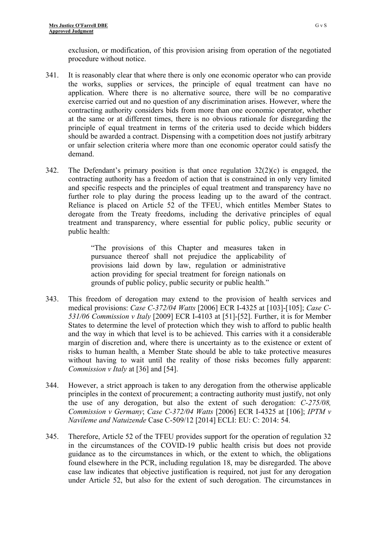exclusion, or modification, of this provision arising from operation of the negotiated procedure without notice.

- 341. It is reasonably clear that where there is only one economic operator who can provide the works, supplies or services, the principle of equal treatment can have no application. Where there is no alternative source, there will be no comparative exercise carried out and no question of any discrimination arises. However, where the contracting authority considers bids from more than one economic operator, whether at the same or at different times, there is no obvious rationale for disregarding the principle of equal treatment in terms of the criteria used to decide which bidders should be awarded a contract. Dispensing with a competition does not justify arbitrary or unfair selection criteria where more than one economic operator could satisfy the demand.
- 342. The Defendant's primary position is that once regulation  $32(2)(c)$  is engaged, the contracting authority has a freedom of action that is constrained in only very limited and specific respects and the principles of equal treatment and transparency have no further role to play during the process leading up to the award of the contract. Reliance is placed on Article 52 of the TFEU, which entitles Member States to derogate from the Treaty freedoms, including the derivative principles of equal treatment and transparency, where essential for public policy, public security or public health:

"The provisions of this Chapter and measures taken in pursuance thereof shall not prejudice the applicability of provisions laid down by law, regulation or administrative action providing for special treatment for foreign nationals on grounds of public policy, public security or public health."

- 343. This freedom of derogation may extend to the provision of health services and medical provisions: *Case C-372/04 Watts* [2006] ECR I-4325 at [103]-[105]; *Case C-531/06 Commission v Italy* [2009] ECR I-4103 at [51]-[52]. Further, it is for Member States to determine the level of protection which they wish to afford to public health and the way in which that level is to be achieved. This carries with it a considerable margin of discretion and, where there is uncertainty as to the existence or extent of risks to human health, a Member State should be able to take protective measures without having to wait until the reality of those risks becomes fully apparent: *Commission v Italy* at [36] and [54].
- 344. However, a strict approach is taken to any derogation from the otherwise applicable principles in the context of procurement; a contracting authority must justify, not only the use of any derogation, but also the extent of such derogation: *C-275/08, Commission v Germany*; *Case C-372/04 Watts* [2006] ECR I-4325 at [106]; *IPTM v Navileme and Natuizende* Case C-509/12 [2014] ECLI: EU: C: 2014: 54.
- 345. Therefore, Article 52 of the TFEU provides support for the operation of regulation 32 in the circumstances of the COVID-19 public health crisis but does not provide guidance as to the circumstances in which, or the extent to which, the obligations found elsewhere in the PCR, including regulation 18, may be disregarded. The above case law indicates that objective justification is required, not just for any derogation under Article 52, but also for the extent of such derogation. The circumstances in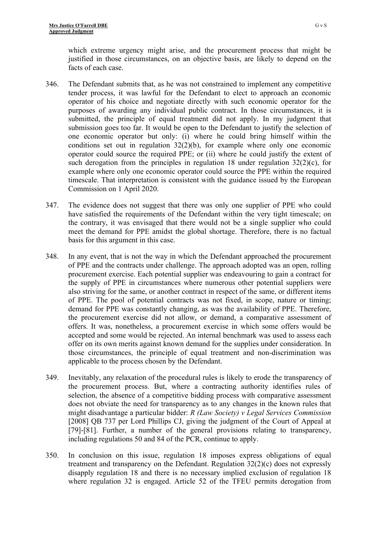which extreme urgency might arise, and the procurement process that might be justified in those circumstances, on an objective basis, are likely to depend on the facts of each case.

- 346. The Defendant submits that, as he was not constrained to implement any competitive tender process, it was lawful for the Defendant to elect to approach an economic operator of his choice and negotiate directly with such economic operator for the purposes of awarding any individual public contract. In those circumstances, it is submitted, the principle of equal treatment did not apply. In my judgment that submission goes too far. It would be open to the Defendant to justify the selection of one economic operator but only: (i) where he could bring himself within the conditions set out in regulation  $32(2)(b)$ , for example where only one economic operator could source the required PPE; or (ii) where he could justify the extent of such derogation from the principles in regulation 18 under regulation  $32(2)(c)$ , for example where only one economic operator could source the PPE within the required timescale. That interpretation is consistent with the guidance issued by the European Commission on 1 April 2020.
- 347. The evidence does not suggest that there was only one supplier of PPE who could have satisfied the requirements of the Defendant within the very tight timescale; on the contrary, it was envisaged that there would not be a single supplier who could meet the demand for PPE amidst the global shortage. Therefore, there is no factual basis for this argument in this case.
- 348. In any event, that is not the way in which the Defendant approached the procurement of PPE and the contracts under challenge. The approach adopted was an open, rolling procurement exercise. Each potential supplier was endeavouring to gain a contract for the supply of PPE in circumstances where numerous other potential suppliers were also striving for the same, or another contract in respect of the same, or different items of PPE. The pool of potential contracts was not fixed, in scope, nature or timing; demand for PPE was constantly changing, as was the availability of PPE. Therefore, the procurement exercise did not allow, or demand, a comparative assessment of offers. It was, nonetheless, a procurement exercise in which some offers would be accepted and some would be rejected. An internal benchmark was used to assess each offer on its own merits against known demand for the supplies under consideration. In those circumstances, the principle of equal treatment and non-discrimination was applicable to the process chosen by the Defendant.
- 349. Inevitably, any relaxation of the procedural rules is likely to erode the transparency of the procurement process. But, where a contracting authority identifies rules of selection, the absence of a competitive bidding process with comparative assessment does not obviate the need for transparency as to any changes in the known rules that might disadvantage a particular bidder: *R (Law Society) v Legal Services Commission*  [2008] QB 737 per Lord Phillips CJ, giving the judgment of the Court of Appeal at [79]-[81]. Further, a number of the general provisions relating to transparency, including regulations 50 and 84 of the PCR, continue to apply.
- 350. In conclusion on this issue, regulation 18 imposes express obligations of equal treatment and transparency on the Defendant. Regulation 32(2)(c) does not expressly disapply regulation 18 and there is no necessary implied exclusion of regulation 18 where regulation 32 is engaged. Article 52 of the TFEU permits derogation from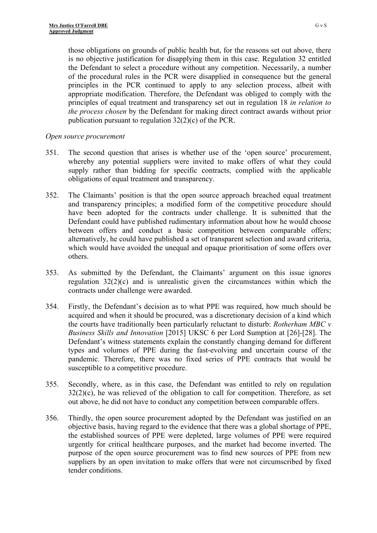those obligations on grounds of public health but, for the reasons set out above, there is no objective justification for disapplying them in this case. Regulation 32 entitled the Defendant to select a procedure without any competition. Necessarily, a number of the procedural rules in the PCR were disapplied in consequence but the general principles in the PCR continued to apply to any selection process, albeit with appropriate modification. Therefore, the Defendant was obliged to comply with the principles of equal treatment and transparency set out in regulation 18 *in relation to the process chosen* by the Defendant for making direct contract awards without prior publication pursuant to regulation 32(2)(c) of the PCR.

## *Open source procurement*

- 351. The second question that arises is whether use of the 'open source' procurement, whereby any potential suppliers were invited to make offers of what they could supply rather than bidding for specific contracts, complied with the applicable obligations of equal treatment and transparency.
- 352. The Claimants' position is that the open source approach breached equal treatment and transparency principles; a modified form of the competitive procedure should have been adopted for the contracts under challenge. It is submitted that the Defendant could have published rudimentary information about how he would choose between offers and conduct a basic competition between comparable offers; alternatively, he could have published a set of transparent selection and award criteria, which would have avoided the unequal and opaque prioritisation of some offers over others.
- 353. As submitted by the Defendant, the Claimants' argument on this issue ignores regulation 32(2)(c) and is unrealistic given the circumstances within which the contracts under challenge were awarded.
- 354. Firstly, the Defendant's decision as to what PPE was required, how much should be acquired and when it should be procured, was a discretionary decision of a kind which the courts have traditionally been particularly reluctant to disturb: *Rotherham MBC v Business Skills and Innovation* [2015] UKSC 6 per Lord Sumption at [26]-[28]. The Defendant's witness statements explain the constantly changing demand for different types and volumes of PPE during the fast-evolving and uncertain course of the pandemic. Therefore, there was no fixed series of PPE contracts that would be susceptible to a competitive procedure.
- 355. Secondly, where, as in this case, the Defendant was entitled to rely on regulation  $32(2)(c)$ , he was relieved of the obligation to call for competition. Therefore, as set out above, he did not have to conduct any competition between comparable offers.
- 356. Thirdly, the open source procurement adopted by the Defendant was justified on an objective basis, having regard to the evidence that there was a global shortage of PPE, the established sources of PPE were depleted, large volumes of PPE were required urgently for critical healthcare purposes, and the market had become inverted. The purpose of the open source procurement was to find new sources of PPE from new suppliers by an open invitation to make offers that were not circumscribed by fixed tender conditions.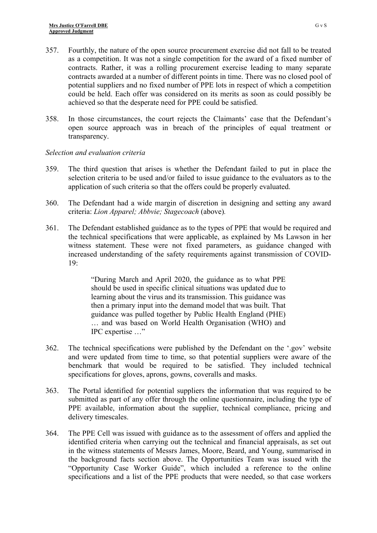- 357. Fourthly, the nature of the open source procurement exercise did not fall to be treated as a competition. It was not a single competition for the award of a fixed number of contracts. Rather, it was a rolling procurement exercise leading to many separate contracts awarded at a number of different points in time. There was no closed pool of potential suppliers and no fixed number of PPE lots in respect of which a competition could be held. Each offer was considered on its merits as soon as could possibly be achieved so that the desperate need for PPE could be satisfied.
- 358. In those circumstances, the court rejects the Claimants' case that the Defendant's open source approach was in breach of the principles of equal treatment or transparency.

## *Selection and evaluation criteria*

- 359. The third question that arises is whether the Defendant failed to put in place the selection criteria to be used and/or failed to issue guidance to the evaluators as to the application of such criteria so that the offers could be properly evaluated.
- 360. The Defendant had a wide margin of discretion in designing and setting any award criteria: *Lion Apparel; Abbvie; Stagecoach* (above)*.*
- 361. The Defendant established guidance as to the types of PPE that would be required and the technical specifications that were applicable, as explained by Ms Lawson in her witness statement. These were not fixed parameters, as guidance changed with increased understanding of the safety requirements against transmission of COVID-19:

"During March and April 2020, the guidance as to what PPE should be used in specific clinical situations was updated due to learning about the virus and its transmission. This guidance was then a primary input into the demand model that was built. That guidance was pulled together by Public Health England (PHE) … and was based on World Health Organisation (WHO) and IPC expertise …"

- 362. The technical specifications were published by the Defendant on the '.gov' website and were updated from time to time, so that potential suppliers were aware of the benchmark that would be required to be satisfied. They included technical specifications for gloves, aprons, gowns, coveralls and masks.
- 363. The Portal identified for potential suppliers the information that was required to be submitted as part of any offer through the online questionnaire, including the type of PPE available, information about the supplier, technical compliance, pricing and delivery timescales.
- 364. The PPE Cell was issued with guidance as to the assessment of offers and applied the identified criteria when carrying out the technical and financial appraisals, as set out in the witness statements of Messrs James, Moore, Beard, and Young, summarised in the background facts section above. The Opportunities Team was issued with the "Opportunity Case Worker Guide", which included a reference to the online specifications and a list of the PPE products that were needed, so that case workers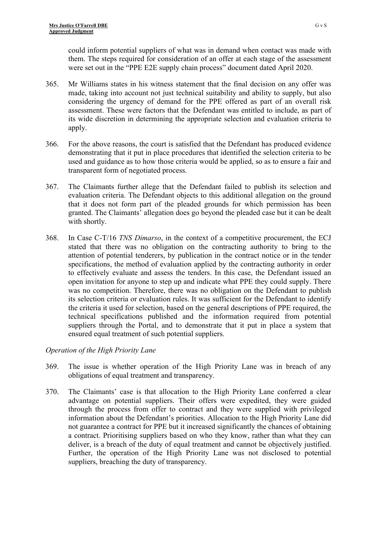could inform potential suppliers of what was in demand when contact was made with them. The steps required for consideration of an offer at each stage of the assessment were set out in the "PPE E2E supply chain process" document dated April 2020.

- 365. Mr Williams states in his witness statement that the final decision on any offer was made, taking into account not just technical suitability and ability to supply, but also considering the urgency of demand for the PPE offered as part of an overall risk assessment. These were factors that the Defendant was entitled to include, as part of its wide discretion in determining the appropriate selection and evaluation criteria to apply.
- 366. For the above reasons, the court is satisfied that the Defendant has produced evidence demonstrating that it put in place procedures that identified the selection criteria to be used and guidance as to how those criteria would be applied, so as to ensure a fair and transparent form of negotiated process.
- 367. The Claimants further allege that the Defendant failed to publish its selection and evaluation criteria. The Defendant objects to this additional allegation on the ground that it does not form part of the pleaded grounds for which permission has been granted. The Claimants' allegation does go beyond the pleaded case but it can be dealt with shortly.
- 368. In Case C-T/16 *TNS Dimarso*, in the context of a competitive procurement, the ECJ stated that there was no obligation on the contracting authority to bring to the attention of potential tenderers, by publication in the contract notice or in the tender specifications, the method of evaluation applied by the contracting authority in order to effectively evaluate and assess the tenders. In this case, the Defendant issued an open invitation for anyone to step up and indicate what PPE they could supply. There was no competition. Therefore, there was no obligation on the Defendant to publish its selection criteria or evaluation rules. It was sufficient for the Defendant to identify the criteria it used for selection, based on the general descriptions of PPE required, the technical specifications published and the information required from potential suppliers through the Portal, and to demonstrate that it put in place a system that ensured equal treatment of such potential suppliers.

# *Operation of the High Priority Lane*

- 369. The issue is whether operation of the High Priority Lane was in breach of any obligations of equal treatment and transparency.
- 370. The Claimants' case is that allocation to the High Priority Lane conferred a clear advantage on potential suppliers. Their offers were expedited, they were guided through the process from offer to contract and they were supplied with privileged information about the Defendant's priorities. Allocation to the High Priority Lane did not guarantee a contract for PPE but it increased significantly the chances of obtaining a contract. Prioritising suppliers based on who they know, rather than what they can deliver, is a breach of the duty of equal treatment and cannot be objectively justified. Further, the operation of the High Priority Lane was not disclosed to potential suppliers, breaching the duty of transparency.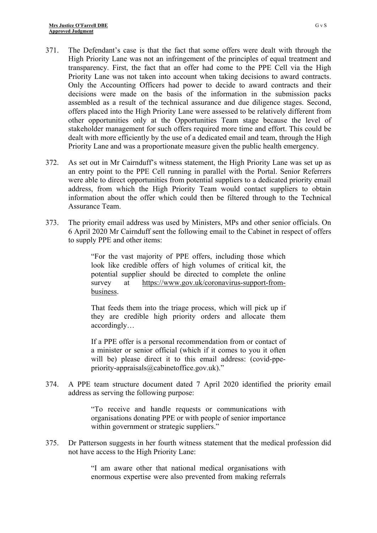- 371. The Defendant's case is that the fact that some offers were dealt with through the High Priority Lane was not an infringement of the principles of equal treatment and transparency. First, the fact that an offer had come to the PPE Cell via the High Priority Lane was not taken into account when taking decisions to award contracts. Only the Accounting Officers had power to decide to award contracts and their decisions were made on the basis of the information in the submission packs assembled as a result of the technical assurance and due diligence stages. Second, offers placed into the High Priority Lane were assessed to be relatively different from other opportunities only at the Opportunities Team stage because the level of stakeholder management for such offers required more time and effort. This could be dealt with more efficiently by the use of a dedicated email and team, through the High Priority Lane and was a proportionate measure given the public health emergency.
- 372. As set out in Mr Cairnduff's witness statement, the High Priority Lane was set up as an entry point to the PPE Cell running in parallel with the Portal. Senior Referrers were able to direct opportunities from potential suppliers to a dedicated priority email address, from which the High Priority Team would contact suppliers to obtain information about the offer which could then be filtered through to the Technical Assurance Team.
- 373. The priority email address was used by Ministers, MPs and other senior officials. On 6 April 2020 Mr Cairnduff sent the following email to the Cabinet in respect of offers to supply PPE and other items:

"For the vast majority of PPE offers, including those which look like credible offers of high volumes of critical kit, the potential supplier should be directed to complete the online survey at [https://www.gov.uk/coronavirus-support-from](https://www.gov.uk/coronavirus-support-from-business)[business.](https://www.gov.uk/coronavirus-support-from-business)

That feeds them into the triage process, which will pick up if they are credible high priority orders and allocate them accordingly…

If a PPE offer is a personal recommendation from or contact of a minister or senior official (which if it comes to you it often will be) please direct it to this email address: (covid-ppepriority-appraisals@cabinetoffice.gov.uk)."

374. A PPE team structure document dated 7 April 2020 identified the priority email address as serving the following purpose:

> "To receive and handle requests or communications with organisations donating PPE or with people of senior importance within government or strategic suppliers."

375. Dr Patterson suggests in her fourth witness statement that the medical profession did not have access to the High Priority Lane:

> "I am aware other that national medical organisations with enormous expertise were also prevented from making referrals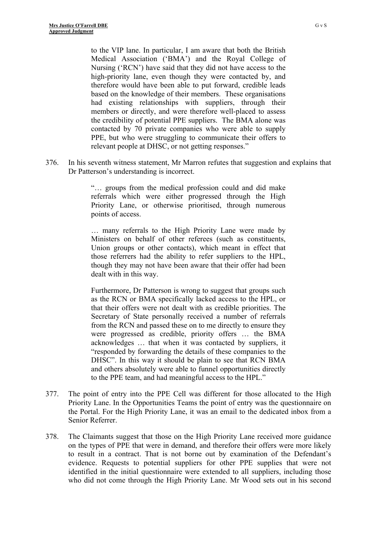to the VIP lane. In particular, I am aware that both the British Medical Association ('BMA') and the Royal College of Nursing ('RCN') have said that they did not have access to the high-priority lane, even though they were contacted by, and therefore would have been able to put forward, credible leads based on the knowledge of their members. These organisations had existing relationships with suppliers, through their members or directly, and were therefore well-placed to assess the credibility of potential PPE suppliers. The BMA alone was contacted by 70 private companies who were able to supply PPE, but who were struggling to communicate their offers to relevant people at DHSC, or not getting responses."

376. In his seventh witness statement, Mr Marron refutes that suggestion and explains that Dr Patterson's understanding is incorrect.

> "… groups from the medical profession could and did make referrals which were either progressed through the High Priority Lane, or otherwise prioritised, through numerous points of access.

> … many referrals to the High Priority Lane were made by Ministers on behalf of other referees (such as constituents, Union groups or other contacts), which meant in effect that those referrers had the ability to refer suppliers to the HPL, though they may not have been aware that their offer had been dealt with in this way.

> Furthermore, Dr Patterson is wrong to suggest that groups such as the RCN or BMA specifically lacked access to the HPL, or that their offers were not dealt with as credible priorities. The Secretary of State personally received a number of referrals from the RCN and passed these on to me directly to ensure they were progressed as credible, priority offers … the BMA acknowledges … that when it was contacted by suppliers, it "responded by forwarding the details of these companies to the DHSC". In this way it should be plain to see that RCN BMA and others absolutely were able to funnel opportunities directly to the PPE team, and had meaningful access to the HPL."

- 377. The point of entry into the PPE Cell was different for those allocated to the High Priority Lane. In the Opportunities Teams the point of entry was the questionnaire on the Portal. For the High Priority Lane, it was an email to the dedicated inbox from a Senior Referrer.
- 378. The Claimants suggest that those on the High Priority Lane received more guidance on the types of PPE that were in demand, and therefore their offers were more likely to result in a contract. That is not borne out by examination of the Defendant's evidence. Requests to potential suppliers for other PPE supplies that were not identified in the initial questionnaire were extended to all suppliers, including those who did not come through the High Priority Lane. Mr Wood sets out in his second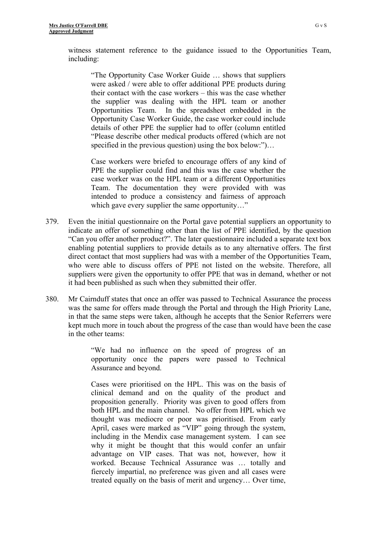witness statement reference to the guidance issued to the Opportunities Team, including:

"The Opportunity Case Worker Guide … shows that suppliers were asked / were able to offer additional PPE products during their contact with the case workers – this was the case whether the supplier was dealing with the HPL team or another Opportunities Team. In the spreadsheet embedded in the Opportunity Case Worker Guide, the case worker could include details of other PPE the supplier had to offer (column entitled "Please describe other medical products offered (which are not specified in the previous question) using the box below:")...

Case workers were briefed to encourage offers of any kind of PPE the supplier could find and this was the case whether the case worker was on the HPL team or a different Opportunities Team. The documentation they were provided with was intended to produce a consistency and fairness of approach which gave every supplier the same opportunity..."

- 379. Even the initial questionnaire on the Portal gave potential suppliers an opportunity to indicate an offer of something other than the list of PPE identified, by the question "Can you offer another product?". The later questionnaire included a separate text box enabling potential suppliers to provide details as to any alternative offers. The first direct contact that most suppliers had was with a member of the Opportunities Team, who were able to discuss offers of PPE not listed on the website. Therefore, all suppliers were given the opportunity to offer PPE that was in demand, whether or not it had been published as such when they submitted their offer.
- 380. Mr Cairnduff states that once an offer was passed to Technical Assurance the process was the same for offers made through the Portal and through the High Priority Lane, in that the same steps were taken, although he accepts that the Senior Referrers were kept much more in touch about the progress of the case than would have been the case in the other teams:

"We had no influence on the speed of progress of an opportunity once the papers were passed to Technical Assurance and beyond.

Cases were prioritised on the HPL. This was on the basis of clinical demand and on the quality of the product and proposition generally. Priority was given to good offers from both HPL and the main channel. No offer from HPL which we thought was mediocre or poor was prioritised. From early April, cases were marked as "VIP" going through the system, including in the Mendix case management system. I can see why it might be thought that this would confer an unfair advantage on VIP cases. That was not, however, how it worked. Because Technical Assurance was … totally and fiercely impartial, no preference was given and all cases were treated equally on the basis of merit and urgency… Over time,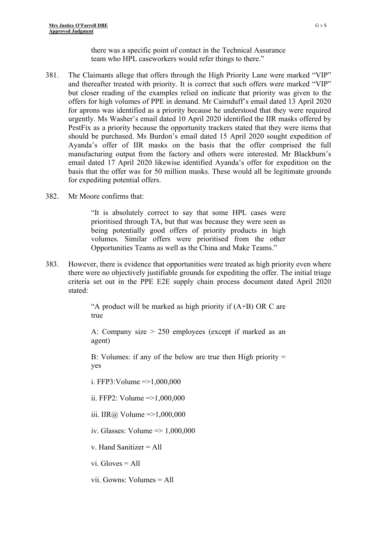there was a specific point of contact in the Technical Assurance team who HPL caseworkers would refer things to there."

- 381. The Claimants allege that offers through the High Priority Lane were marked "VIP" and thereafter treated with priority. It is correct that such offers were marked "VIP" but closer reading of the examples relied on indicate that priority was given to the offers for high volumes of PPE in demand. Mr Cairnduff's email dated 13 April 2020 for aprons was identified as a priority because he understood that they were required urgently. Ms Washer's email dated 10 April 2020 identified the IIR masks offered by PestFix as a priority because the opportunity trackers stated that they were items that should be purchased. Ms Burdon's email dated 15 April 2020 sought expedition of Ayanda's offer of IIR masks on the basis that the offer comprised the full manufacturing output from the factory and others were interested. Mr Blackburn's email dated 17 April 2020 likewise identified Ayanda's offer for expedition on the basis that the offer was for 50 million masks. These would all be legitimate grounds for expediting potential offers.
- 382. Mr Moore confirms that:

"It is absolutely correct to say that some HPL cases were prioritised through TA, but that was because they were seen as being potentially good offers of priority products in high volumes. Similar offers were prioritised from the other Opportunities Teams as well as the China and Make Teams."

383. However, there is evidence that opportunities were treated as high priority even where there were no objectively justifiable grounds for expediting the offer. The initial triage criteria set out in the PPE E2E supply chain process document dated April 2020 stated:

> "A product will be marked as high priority if  $(A+B)$  OR C are true

> A: Company size > 250 employees (except if marked as an agent)

> B: Volumes: if any of the below are true then High priority = yes

i. FFP3: Volume  $=$   $>$ 1,000,000

ii. FFP2: Volume  $\approx$  1,000,000

iii. IIR@ Volume =  $>1,000,000$ 

iv. Glasses: Volume => 1,000,000

v. Hand Sanitizer = All

vi. Gloves = All

vii. Gowns: Volumes = All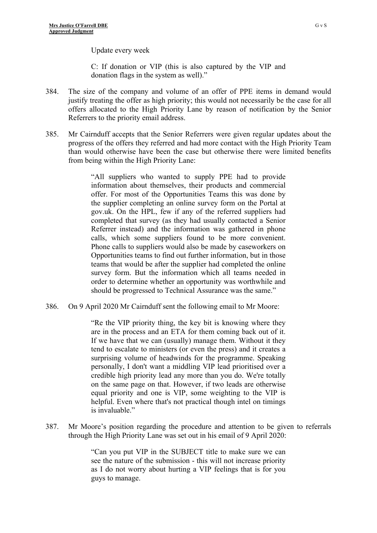Update every week

C: If donation or VIP (this is also captured by the VIP and donation flags in the system as well)."

- 384. The size of the company and volume of an offer of PPE items in demand would justify treating the offer as high priority; this would not necessarily be the case for all offers allocated to the High Priority Lane by reason of notification by the Senior Referrers to the priority email address.
- 385. Mr Cairnduff accepts that the Senior Referrers were given regular updates about the progress of the offers they referred and had more contact with the High Priority Team than would otherwise have been the case but otherwise there were limited benefits from being within the High Priority Lane:

"All suppliers who wanted to supply PPE had to provide information about themselves, their products and commercial offer. For most of the Opportunities Teams this was done by the supplier completing an online survey form on the Portal at gov.uk. On the HPL, few if any of the referred suppliers had completed that survey (as they had usually contacted a Senior Referrer instead) and the information was gathered in phone calls, which some suppliers found to be more convenient. Phone calls to suppliers would also be made by caseworkers on Opportunities teams to find out further information, but in those teams that would be after the supplier had completed the online survey form. But the information which all teams needed in order to determine whether an opportunity was worthwhile and should be progressed to Technical Assurance was the same."

386. On 9 April 2020 Mr Cairnduff sent the following email to Mr Moore:

"Re the VIP priority thing, the key bit is knowing where they are in the process and an ETA for them coming back out of it. If we have that we can (usually) manage them. Without it they tend to escalate to ministers (or even the press) and it creates a surprising volume of headwinds for the programme. Speaking personally, I don't want a middling VIP lead prioritised over a credible high priority lead any more than you do. We're totally on the same page on that. However, if two leads are otherwise equal priority and one is VIP, some weighting to the VIP is helpful. Even where that's not practical though intel on timings is invaluable."

387. Mr Moore's position regarding the procedure and attention to be given to referrals through the High Priority Lane was set out in his email of 9 April 2020:

> "Can you put VIP in the SUBJECT title to make sure we can see the nature of the submission - this will not increase priority as I do not worry about hurting a VIP feelings that is for you guys to manage.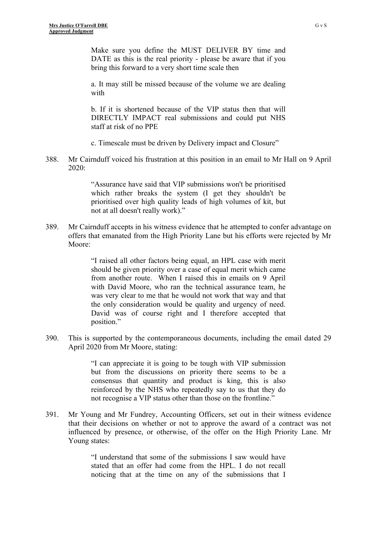Make sure you define the MUST DELIVER BY time and DATE as this is the real priority - please be aware that if you bring this forward to a very short time scale then

a. It may still be missed because of the volume we are dealing with

b. If it is shortened because of the VIP status then that will DIRECTLY IMPACT real submissions and could put NHS staff at risk of no PPE

c. Timescale must be driven by Delivery impact and Closure"

388. Mr Cairnduff voiced his frustration at this position in an email to Mr Hall on 9 April 2020:

> "Assurance have said that VIP submissions won't be prioritised which rather breaks the system (I get they shouldn't be prioritised over high quality leads of high volumes of kit, but not at all doesn't really work)."

389. Mr Cairnduff accepts in his witness evidence that he attempted to confer advantage on offers that emanated from the High Priority Lane but his efforts were rejected by Mr Moore:

> "I raised all other factors being equal, an HPL case with merit should be given priority over a case of equal merit which came from another route. When I raised this in emails on 9 April with David Moore, who ran the technical assurance team, he was very clear to me that he would not work that way and that the only consideration would be quality and urgency of need. David was of course right and I therefore accepted that position."

390. This is supported by the contemporaneous documents, including the email dated 29 April 2020 from Mr Moore, stating:

> "I can appreciate it is going to be tough with VIP submission but from the discussions on priority there seems to be a consensus that quantity and product is king, this is also reinforced by the NHS who repeatedly say to us that they do not recognise a VIP status other than those on the frontline."

391. Mr Young and Mr Fundrey, Accounting Officers, set out in their witness evidence that their decisions on whether or not to approve the award of a contract was not influenced by presence, or otherwise, of the offer on the High Priority Lane. Mr Young states:

> "I understand that some of the submissions I saw would have stated that an offer had come from the HPL. I do not recall noticing that at the time on any of the submissions that I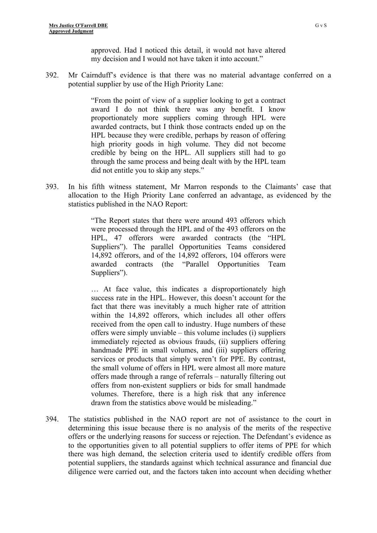392. Mr Cairnduff's evidence is that there was no material advantage conferred on a potential supplier by use of the High Priority Lane:

> "From the point of view of a supplier looking to get a contract award I do not think there was any benefit. I know proportionately more suppliers coming through HPL were awarded contracts, but I think those contracts ended up on the HPL because they were credible, perhaps by reason of offering high priority goods in high volume. They did not become credible by being on the HPL. All suppliers still had to go through the same process and being dealt with by the HPL team did not entitle you to skip any steps."

393. In his fifth witness statement, Mr Marron responds to the Claimants' case that allocation to the High Priority Lane conferred an advantage, as evidenced by the statistics published in the NAO Report:

> "The Report states that there were around 493 offerors which were processed through the HPL and of the 493 offerors on the HPL, 47 offerors were awarded contracts (the "HPL Suppliers"). The parallel Opportunities Teams considered 14,892 offerors, and of the 14,892 offerors, 104 offerors were awarded contracts (the "Parallel Opportunities Team Suppliers").

> … At face value, this indicates a disproportionately high success rate in the HPL. However, this doesn't account for the fact that there was inevitably a much higher rate of attrition within the 14,892 offerors, which includes all other offers received from the open call to industry. Huge numbers of these offers were simply unviable – this volume includes (i) suppliers immediately rejected as obvious frauds, (ii) suppliers offering handmade PPE in small volumes, and (iii) suppliers offering services or products that simply weren't for PPE. By contrast, the small volume of offers in HPL were almost all more mature offers made through a range of referrals – naturally filtering out offers from non-existent suppliers or bids for small handmade volumes. Therefore, there is a high risk that any inference drawn from the statistics above would be misleading."

394. The statistics published in the NAO report are not of assistance to the court in determining this issue because there is no analysis of the merits of the respective offers or the underlying reasons for success or rejection. The Defendant's evidence as to the opportunities given to all potential suppliers to offer items of PPE for which there was high demand, the selection criteria used to identify credible offers from potential suppliers, the standards against which technical assurance and financial due diligence were carried out, and the factors taken into account when deciding whether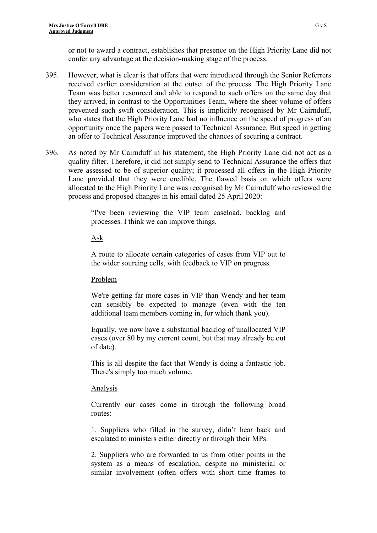or not to award a contract, establishes that presence on the High Priority Lane did not confer any advantage at the decision-making stage of the process.

- 395. However, what is clear is that offers that were introduced through the Senior Referrers received earlier consideration at the outset of the process. The High Priority Lane Team was better resourced and able to respond to such offers on the same day that they arrived, in contrast to the Opportunities Team, where the sheer volume of offers prevented such swift consideration. This is implicitly recognised by Mr Cairnduff, who states that the High Priority Lane had no influence on the speed of progress of an opportunity once the papers were passed to Technical Assurance. But speed in getting an offer to Technical Assurance improved the chances of securing a contract.
- 396. As noted by Mr Cairnduff in his statement, the High Priority Lane did not act as a quality filter. Therefore, it did not simply send to Technical Assurance the offers that were assessed to be of superior quality; it processed all offers in the High Priority Lane provided that they were credible. The flawed basis on which offers were allocated to the High Priority Lane was recognised by Mr Cairnduff who reviewed the process and proposed changes in his email dated 25 April 2020:

"I've been reviewing the VIP team caseload, backlog and processes. I think we can improve things.

### Ask

A route to allocate certain categories of cases from VIP out to the wider sourcing cells, with feedback to VIP on progress.

## Problem

We're getting far more cases in VIP than Wendy and her team can sensibly be expected to manage (even with the ten additional team members coming in, for which thank you).

Equally, we now have a substantial backlog of unallocated VIP cases (over 80 by my current count, but that may already be out of date).

This is all despite the fact that Wendy is doing a fantastic job. There's simply too much volume.

## Analysis

Currently our cases come in through the following broad routes:

1. Suppliers who filled in the survey, didn't hear back and escalated to ministers either directly or through their MPs.

2. Suppliers who are forwarded to us from other points in the system as a means of escalation, despite no ministerial or similar involvement (often offers with short time frames to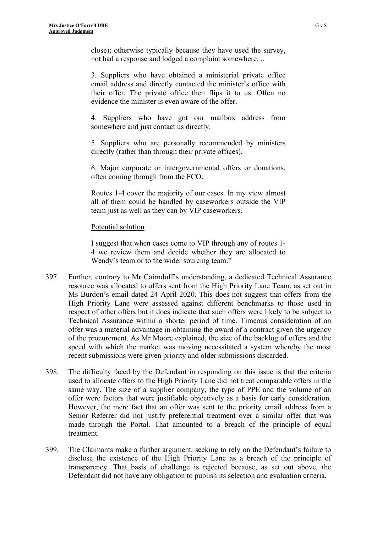close); otherwise typically because they have used the survey, not had a response and lodged a complaint somewhere. ..

3. Suppliers who have obtained a ministerial private office email address and directly contacted the minister's office with their offer. The private office then flips it to us. Often no evidence the minister is even aware of the offer.

4. Suppliers who have got our mailbox address from somewhere and just contact us directly.

5. Suppliers who are personally recommended by ministers directly (rather than through their private offices).

6. Major corporate or intergovernmental offers or donations, often coming through from the FCO.

Routes 1-4 cover the majority of our cases. In my view almost all of them could be handled by caseworkers outside the VIP team just as well as they can by VIP caseworkers.

### Potential solution

I suggest that when cases come to VIP through any of routes 1- 4 we review them and decide whether they are allocated to Wendy's team or to the wider sourcing team."

- 397. Further, contrary to Mr Cairnduff's understanding, a dedicated Technical Assurance resource was allocated to offers sent from the High Priority Lane Team, as set out in Ms Burdon's email dated 24 April 2020. This does not suggest that offers from the High Priority Lane were assessed against different benchmarks to those used in respect of other offers but it does indicate that such offers were likely to be subject to Technical Assurance within a shorter period of time. Timeous consideration of an offer was a material advantage in obtaining the award of a contract given the urgency of the procurement. As Mr Moore explained, the size of the backlog of offers and the speed with which the market was moving necessitated a system whereby the most recent submissions were given priority and older submissions discarded.
- 398. The difficulty faced by the Defendant in responding on this issue is that the criteria used to allocate offers to the High Priority Lane did not treat comparable offers in the same way. The size of a supplier company, the type of PPE and the volume of an offer were factors that were justifiable objectively as a basis for early consideration. However, the mere fact that an offer was sent to the priority email address from a Senior Referrer did not justify preferential treatment over a similar offer that was made through the Portal. That amounted to a breach of the principle of equal treatment.
- 399. The Claimants make a further argument, seeking to rely on the Defendant's failure to disclose the existence of the High Priority Lane as a breach of the principle of transparency. That basis of challenge is rejected because, as set out above, the Defendant did not have any obligation to publish its selection and evaluation criteria.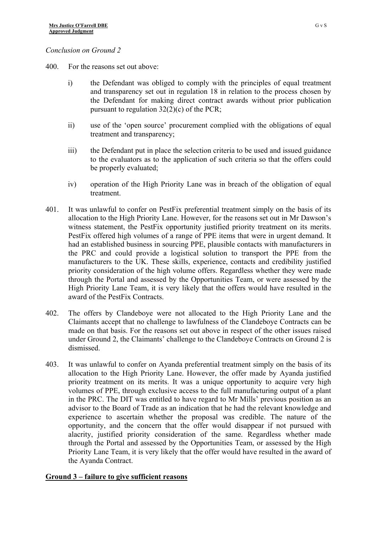### *Conclusion on Ground 2*

- 400. For the reasons set out above:
	- i) the Defendant was obliged to comply with the principles of equal treatment and transparency set out in regulation 18 in relation to the process chosen by the Defendant for making direct contract awards without prior publication pursuant to regulation 32(2)(c) of the PCR;
	- ii) use of the 'open source' procurement complied with the obligations of equal treatment and transparency;
	- iii) the Defendant put in place the selection criteria to be used and issued guidance to the evaluators as to the application of such criteria so that the offers could be properly evaluated;
	- iv) operation of the High Priority Lane was in breach of the obligation of equal treatment.
- 401. It was unlawful to confer on PestFix preferential treatment simply on the basis of its allocation to the High Priority Lane. However, for the reasons set out in Mr Dawson's witness statement, the PestFix opportunity justified priority treatment on its merits. PestFix offered high volumes of a range of PPE items that were in urgent demand. It had an established business in sourcing PPE, plausible contacts with manufacturers in the PRC and could provide a logistical solution to transport the PPE from the manufacturers to the UK. These skills, experience, contacts and credibility justified priority consideration of the high volume offers. Regardless whether they were made through the Portal and assessed by the Opportunities Team, or were assessed by the High Priority Lane Team, it is very likely that the offers would have resulted in the award of the PestFix Contracts.
- 402. The offers by Clandeboye were not allocated to the High Priority Lane and the Claimants accept that no challenge to lawfulness of the Clandeboye Contracts can be made on that basis. For the reasons set out above in respect of the other issues raised under Ground 2, the Claimants' challenge to the Clandeboye Contracts on Ground 2 is dismissed.
- 403. It was unlawful to confer on Ayanda preferential treatment simply on the basis of its allocation to the High Priority Lane. However, the offer made by Ayanda justified priority treatment on its merits. It was a unique opportunity to acquire very high volumes of PPE, through exclusive access to the full manufacturing output of a plant in the PRC. The DIT was entitled to have regard to Mr Mills' previous position as an advisor to the Board of Trade as an indication that he had the relevant knowledge and experience to ascertain whether the proposal was credible. The nature of the opportunity, and the concern that the offer would disappear if not pursued with alacrity, justified priority consideration of the same. Regardless whether made through the Portal and assessed by the Opportunities Team, or assessed by the High Priority Lane Team, it is very likely that the offer would have resulted in the award of the Ayanda Contract.

# **Ground 3 – failure to give sufficient reasons**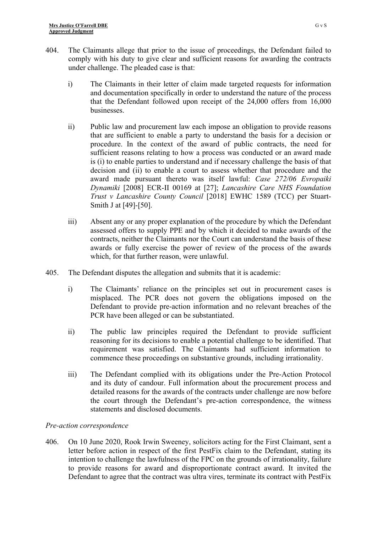- 404. The Claimants allege that prior to the issue of proceedings, the Defendant failed to comply with his duty to give clear and sufficient reasons for awarding the contracts under challenge. The pleaded case is that:
	- i) The Claimants in their letter of claim made targeted requests for information and documentation specifically in order to understand the nature of the process that the Defendant followed upon receipt of the 24,000 offers from 16,000 **businesses**
	- ii) Public law and procurement law each impose an obligation to provide reasons that are sufficient to enable a party to understand the basis for a decision or procedure. In the context of the award of public contracts, the need for sufficient reasons relating to how a process was conducted or an award made is (i) to enable parties to understand and if necessary challenge the basis of that decision and (ii) to enable a court to assess whether that procedure and the award made pursuant thereto was itself lawful: *Case 272/06 Evropaiki Dynamiki* [2008] ECR-II 00169 at [27]; *Lancashire Care NHS Foundation Trust v Lancashire County Council* [2018] EWHC 1589 (TCC) per Stuart-Smith J at [49]-[50].
	- iii) Absent any or any proper explanation of the procedure by which the Defendant assessed offers to supply PPE and by which it decided to make awards of the contracts, neither the Claimants nor the Court can understand the basis of these awards or fully exercise the power of review of the process of the awards which, for that further reason, were unlawful.
- 405. The Defendant disputes the allegation and submits that it is academic:
	- i) The Claimants' reliance on the principles set out in procurement cases is misplaced. The PCR does not govern the obligations imposed on the Defendant to provide pre-action information and no relevant breaches of the PCR have been alleged or can be substantiated.
	- ii) The public law principles required the Defendant to provide sufficient reasoning for its decisions to enable a potential challenge to be identified. That requirement was satisfied. The Claimants had sufficient information to commence these proceedings on substantive grounds, including irrationality.
	- iii) The Defendant complied with its obligations under the Pre-Action Protocol and its duty of candour. Full information about the procurement process and detailed reasons for the awards of the contracts under challenge are now before the court through the Defendant's pre-action correspondence, the witness statements and disclosed documents.

## *Pre-action correspondence*

406. On 10 June 2020, Rook Irwin Sweeney, solicitors acting for the First Claimant, sent a letter before action in respect of the first PestFix claim to the Defendant, stating its intention to challenge the lawfulness of the FPC on the grounds of irrationality, failure to provide reasons for award and disproportionate contract award. It invited the Defendant to agree that the contract was ultra vires, terminate its contract with PestFix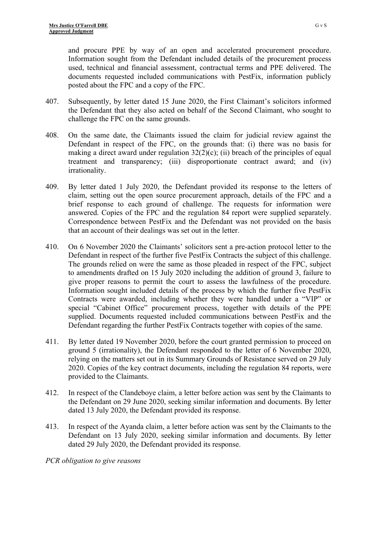and procure PPE by way of an open and accelerated procurement procedure. Information sought from the Defendant included details of the procurement process used, technical and financial assessment, contractual terms and PPE delivered. The documents requested included communications with PestFix, information publicly posted about the FPC and a copy of the FPC.

- 407. Subsequently, by letter dated 15 June 2020, the First Claimant's solicitors informed the Defendant that they also acted on behalf of the Second Claimant, who sought to challenge the FPC on the same grounds.
- 408. On the same date, the Claimants issued the claim for judicial review against the Defendant in respect of the FPC, on the grounds that: (i) there was no basis for making a direct award under regulation  $32(2)(c)$ ; (ii) breach of the principles of equal treatment and transparency; (iii) disproportionate contract award; and (iv) irrationality.
- 409. By letter dated 1 July 2020, the Defendant provided its response to the letters of claim, setting out the open source procurement approach, details of the FPC and a brief response to each ground of challenge. The requests for information were answered. Copies of the FPC and the regulation 84 report were supplied separately. Correspondence between PestFix and the Defendant was not provided on the basis that an account of their dealings was set out in the letter.
- 410. On 6 November 2020 the Claimants' solicitors sent a pre-action protocol letter to the Defendant in respect of the further five PestFix Contracts the subject of this challenge. The grounds relied on were the same as those pleaded in respect of the FPC, subject to amendments drafted on 15 July 2020 including the addition of ground 3, failure to give proper reasons to permit the court to assess the lawfulness of the procedure. Information sought included details of the process by which the further five PestFix Contracts were awarded, including whether they were handled under a "VIP" or special "Cabinet Office" procurement process, together with details of the PPE supplied. Documents requested included communications between PestFix and the Defendant regarding the further PestFix Contracts together with copies of the same.
- 411. By letter dated 19 November 2020, before the court granted permission to proceed on ground 5 (irrationality), the Defendant responded to the letter of 6 November 2020, relying on the matters set out in its Summary Grounds of Resistance served on 29 July 2020. Copies of the key contract documents, including the regulation 84 reports, were provided to the Claimants.
- 412. In respect of the Clandeboye claim, a letter before action was sent by the Claimants to the Defendant on 29 June 2020, seeking similar information and documents. By letter dated 13 July 2020, the Defendant provided its response.
- 413. In respect of the Ayanda claim, a letter before action was sent by the Claimants to the Defendant on 13 July 2020, seeking similar information and documents. By letter dated 29 July 2020, the Defendant provided its response.

*PCR obligation to give reasons*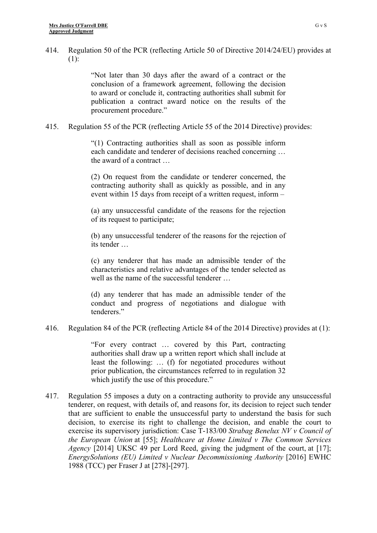414. Regulation 50 of the PCR (reflecting Article 50 of Directive 2014/24/EU) provides at (1):

> "Not later than 30 days after the award of a contract or the conclusion of a framework agreement, following the decision to award or conclude it, contracting authorities shall submit for publication a contract award notice on the results of the procurement procedure."

415. Regulation 55 of the PCR (reflecting Article 55 of the 2014 Directive) provides:

"(1) Contracting authorities shall as soon as possible inform each candidate and tenderer of decisions reached concerning … the award of a contract …

(2) On request from the candidate or tenderer concerned, the contracting authority shall as quickly as possible, and in any event within 15 days from receipt of a written request, inform –

(a) any unsuccessful candidate of the reasons for the rejection of its request to participate;

(b) any unsuccessful tenderer of the reasons for the rejection of its tender …

(c) any tenderer that has made an admissible tender of the characteristics and relative advantages of the tender selected as well as the name of the successful tenderer …

(d) any tenderer that has made an admissible tender of the conduct and progress of negotiations and dialogue with tenderers."

416. Regulation 84 of the PCR (reflecting Article 84 of the 2014 Directive) provides at (1):

"For every contract … covered by this Part, contracting authorities shall draw up a written report which shall include at least the following: … (f) for negotiated procedures without prior publication, the circumstances referred to in regulation 32 which justify the use of this procedure."

417. Regulation 55 imposes a duty on a contracting authority to provide any unsuccessful tenderer, on request, with details of, and reasons for, its decision to reject such tender that are sufficient to enable the unsuccessful party to understand the basis for such decision, to exercise its right to challenge the decision, and enable the court to exercise its supervisory jurisdiction: Case T-183/00 *Strabag Benelux NV v Council of the European Union* at [55]; *Healthcare at Home Limited v The Common Services Agency* [2014] UKSC 49 per Lord Reed, giving the judgment of the court, at [17]; *EnergySolutions (EU) Limited v Nuclear Decommissioning Authority* [2016] EWHC 1988 (TCC) per Fraser J at [278]-[297].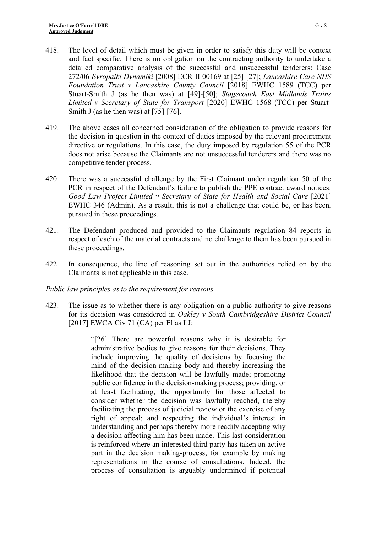- 418. The level of detail which must be given in order to satisfy this duty will be context and fact specific. There is no obligation on the contracting authority to undertake a detailed comparative analysis of the successful and unsuccessful tenderers: Case 272/06 *Evropaiki Dynamiki* [2008] ECR-II 00169 at [25]-[27]; *Lancashire Care NHS Foundation Trust v Lancashire County Council* [2018] EWHC 1589 (TCC) per Stuart-Smith J (as he then was) at [49]-[50]; *Stagecoach East Midlands Trains Limited v Secretary of State for Transport* [2020] EWHC 1568 (TCC) per Stuart-Smith J (as he then was) at [75]-[76].
- 419. The above cases all concerned consideration of the obligation to provide reasons for the decision in question in the context of duties imposed by the relevant procurement directive or regulations. In this case, the duty imposed by regulation 55 of the PCR does not arise because the Claimants are not unsuccessful tenderers and there was no competitive tender process.
- 420. There was a successful challenge by the First Claimant under regulation 50 of the PCR in respect of the Defendant's failure to publish the PPE contract award notices: *Good Law Project Limited v Secretary of State for Health and Social Care* [2021] EWHC 346 (Admin). As a result, this is not a challenge that could be, or has been, pursued in these proceedings.
- 421. The Defendant produced and provided to the Claimants regulation 84 reports in respect of each of the material contracts and no challenge to them has been pursued in these proceedings.
- 422. In consequence, the line of reasoning set out in the authorities relied on by the Claimants is not applicable in this case.

## *Public law principles as to the requirement for reasons*

423. The issue as to whether there is any obligation on a public authority to give reasons for its decision was considered in *Oakley v South Cambridgeshire District Council* [2017] EWCA Civ 71 (CA) per Elias LJ:

> "[26] There are powerful reasons why it is desirable for administrative bodies to give reasons for their decisions. They include improving the quality of decisions by focusing the mind of the decision-making body and thereby increasing the likelihood that the decision will be lawfully made; promoting public confidence in the decision-making process; providing, or at least facilitating, the opportunity for those affected to consider whether the decision was lawfully reached, thereby facilitating the process of judicial review or the exercise of any right of appeal; and respecting the individual's interest in understanding and perhaps thereby more readily accepting why a decision affecting him has been made. This last consideration is reinforced where an interested third party has taken an active part in the decision making-process, for example by making representations in the course of consultations. Indeed, the process of consultation is arguably undermined if potential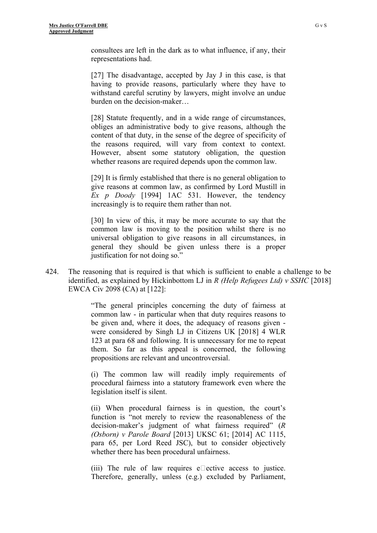consultees are left in the dark as to what influence, if any, their representations had.

[27] The disadvantage, accepted by Jay J in this case, is that having to provide reasons, particularly where they have to withstand careful scrutiny by lawyers, might involve an undue burden on the decision-maker…

[28] Statute frequently, and in a wide range of circumstances, obliges an administrative body to give reasons, although the content of that duty, in the sense of the degree of specificity of the reasons required, will vary from context to context. However, absent some statutory obligation, the question whether reasons are required depends upon the common law.

[29] It is firmly established that there is no general obligation to give reasons at common law, as confirmed by Lord Mustill in *Ex p Doody* [1994] 1AC 531. However, the tendency increasingly is to require them rather than not.

[30] In view of this, it may be more accurate to say that the common law is moving to the position whilst there is no universal obligation to give reasons in all circumstances, in general they should be given unless there is a proper justification for not doing so."

424. The reasoning that is required is that which is sufficient to enable a challenge to be identified, as explained by Hickinbottom LJ in *R (Help Refugees Ltd) v SSHC* [2018] EWCA Civ 2098 (CA) at [122]:

> "The general principles concerning the duty of fairness at common law - in particular when that duty requires reasons to be given and, where it does, the adequacy of reasons given were considered by Singh LJ in Citizens UK [2018] 4 WLR 123 at para 68 and following. It is unnecessary for me to repeat them. So far as this appeal is concerned, the following propositions are relevant and uncontroversial.

> (i) The common law will readily imply requirements of procedural fairness into a statutory framework even where the legislation itself is silent.

> (ii) When procedural fairness is in question, the court's function is "not merely to review the reasonableness of the decision-maker's judgment of what fairness required" (*R (Osborn) v Parole Board* [2013] UKSC 61; [2014] AC 1115, para 65, per Lord Reed JSC), but to consider objectively whether there has been procedural unfairness.

> (iii) The rule of law requires e $\Box$  ective access to justice. Therefore, generally, unless (e.g.) excluded by Parliament,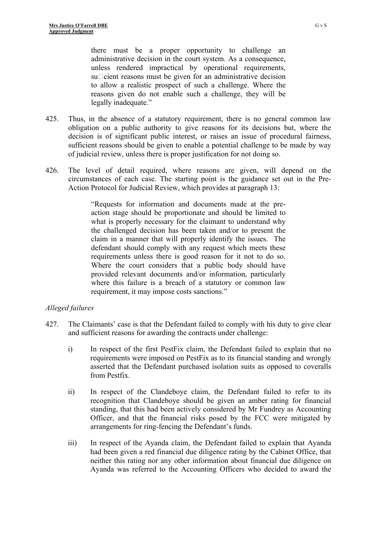there must be a proper opportunity to challenge an administrative decision in the court system. As a consequence, unless rendered impractical by operational requirements,  $su\Box$  cient reasons must be given for an administrative decision to allow a realistic prospect of such a challenge. Where the reasons given do not enable such a challenge, they will be legally inadequate."

- 425. Thus, in the absence of a statutory requirement, there is no general common law obligation on a public authority to give reasons for its decisions but, where the decision is of significant public interest, or raises an issue of procedural fairness, sufficient reasons should be given to enable a potential challenge to be made by way of judicial review, unless there is proper justification for not doing so.
- 426. The level of detail required, where reasons are given, will depend on the circumstances of each case. The starting point is the guidance set out in the Pre-Action Protocol for Judicial Review, which provides at paragraph 13:

"Requests for information and documents made at the preaction stage should be proportionate and should be limited to what is properly necessary for the claimant to understand why the challenged decision has been taken and/or to present the claim in a manner that will properly identify the issues. The defendant should comply with any request which meets these requirements unless there is good reason for it not to do so. Where the court considers that a public body should have provided relevant documents and/or information, particularly where this failure is a breach of a statutory or common law requirement, it may impose costs sanctions."

## *Alleged failures*

- 427. The Claimants' case is that the Defendant failed to comply with his duty to give clear and sufficient reasons for awarding the contracts under challenge:
	- i) In respect of the first PestFix claim, the Defendant failed to explain that no requirements were imposed on PestFix as to its financial standing and wrongly asserted that the Defendant purchased isolation suits as opposed to coveralls from Pestfix.
	- ii) In respect of the Clandeboye claim, the Defendant failed to refer to its recognition that Clandeboye should be given an amber rating for financial standing, that this had been actively considered by Mr Fundrey as Accounting Officer, and that the financial risks posed by the FCC were mitigated by arrangements for ring-fencing the Defendant's funds.
	- iii) In respect of the Ayanda claim, the Defendant failed to explain that Ayanda had been given a red financial due diligence rating by the Cabinet Office, that neither this rating nor any other information about financial due diligence on Ayanda was referred to the Accounting Officers who decided to award the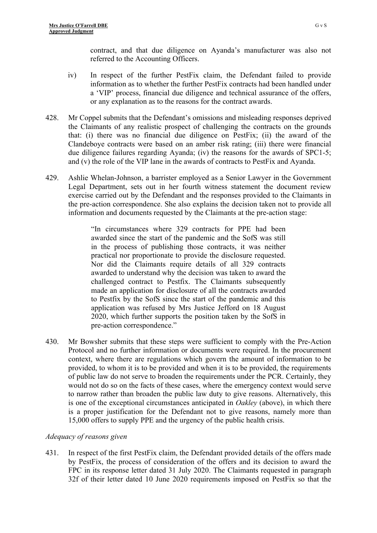contract, and that due diligence on Ayanda's manufacturer was also not referred to the Accounting Officers.

- iv) In respect of the further PestFix claim, the Defendant failed to provide information as to whether the further PestFix contracts had been handled under a 'VIP' process, financial due diligence and technical assurance of the offers, or any explanation as to the reasons for the contract awards.
- 428. Mr Coppel submits that the Defendant's omissions and misleading responses deprived the Claimants of any realistic prospect of challenging the contracts on the grounds that: (i) there was no financial due diligence on PestFix; (ii) the award of the Clandeboye contracts were based on an amber risk rating; (iii) there were financial due diligence failures regarding Ayanda; (iv) the reasons for the awards of SPC1-5; and (v) the role of the VIP lane in the awards of contracts to PestFix and Ayanda.
- 429. Ashlie Whelan-Johnson, a barrister employed as a Senior Lawyer in the Government Legal Department, sets out in her fourth witness statement the document review exercise carried out by the Defendant and the responses provided to the Claimants in the pre-action correspondence. She also explains the decision taken not to provide all information and documents requested by the Claimants at the pre-action stage:

"In circumstances where 329 contracts for PPE had been awarded since the start of the pandemic and the SofS was still in the process of publishing those contracts, it was neither practical nor proportionate to provide the disclosure requested. Nor did the Claimants require details of all 329 contracts awarded to understand why the decision was taken to award the challenged contract to Pestfix. The Claimants subsequently made an application for disclosure of all the contracts awarded to Pestfix by the SofS since the start of the pandemic and this application was refused by Mrs Justice Jefford on 18 August 2020, which further supports the position taken by the SofS in pre-action correspondence."

430. Mr Bowsher submits that these steps were sufficient to comply with the Pre-Action Protocol and no further information or documents were required. In the procurement context, where there are regulations which govern the amount of information to be provided, to whom it is to be provided and when it is to be provided, the requirements of public law do not serve to broaden the requirements under the PCR. Certainly, they would not do so on the facts of these cases, where the emergency context would serve to narrow rather than broaden the public law duty to give reasons. Alternatively, this is one of the exceptional circumstances anticipated in *Oakley* (above), in which there is a proper justification for the Defendant not to give reasons, namely more than 15,000 offers to supply PPE and the urgency of the public health crisis.

### *Adequacy of reasons given*

431. In respect of the first PestFix claim, the Defendant provided details of the offers made by PestFix, the process of consideration of the offers and its decision to award the FPC in its response letter dated 31 July 2020. The Claimants requested in paragraph 32f of their letter dated 10 June 2020 requirements imposed on PestFix so that the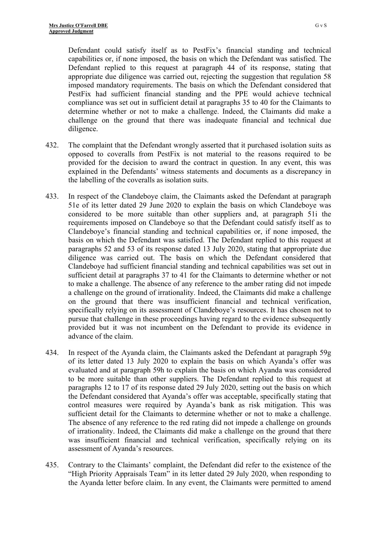Defendant could satisfy itself as to PestFix's financial standing and technical capabilities or, if none imposed, the basis on which the Defendant was satisfied. The Defendant replied to this request at paragraph 44 of its response, stating that appropriate due diligence was carried out, rejecting the suggestion that regulation 58 imposed mandatory requirements. The basis on which the Defendant considered that PestFix had sufficient financial standing and the PPE would achieve technical compliance was set out in sufficient detail at paragraphs 35 to 40 for the Claimants to determine whether or not to make a challenge. Indeed, the Claimants did make a challenge on the ground that there was inadequate financial and technical due diligence.

- 432. The complaint that the Defendant wrongly asserted that it purchased isolation suits as opposed to coveralls from PestFix is not material to the reasons required to be provided for the decision to award the contract in question. In any event, this was explained in the Defendants' witness statements and documents as a discrepancy in the labelling of the coveralls as isolation suits.
- 433. In respect of the Clandeboye claim, the Claimants asked the Defendant at paragraph 51e of its letter dated 29 June 2020 to explain the basis on which Clandeboye was considered to be more suitable than other suppliers and, at paragraph 51i the requirements imposed on Clandeboye so that the Defendant could satisfy itself as to Clandeboye's financial standing and technical capabilities or, if none imposed, the basis on which the Defendant was satisfied. The Defendant replied to this request at paragraphs 52 and 53 of its response dated 13 July 2020, stating that appropriate due diligence was carried out. The basis on which the Defendant considered that Clandeboye had sufficient financial standing and technical capabilities was set out in sufficient detail at paragraphs 37 to 41 for the Claimants to determine whether or not to make a challenge. The absence of any reference to the amber rating did not impede a challenge on the ground of irrationality. Indeed, the Claimants did make a challenge on the ground that there was insufficient financial and technical verification, specifically relying on its assessment of Clandeboye's resources. It has chosen not to pursue that challenge in these proceedings having regard to the evidence subsequently provided but it was not incumbent on the Defendant to provide its evidence in advance of the claim.
- 434. In respect of the Ayanda claim, the Claimants asked the Defendant at paragraph 59g of its letter dated 13 July 2020 to explain the basis on which Ayanda's offer was evaluated and at paragraph 59h to explain the basis on which Ayanda was considered to be more suitable than other suppliers. The Defendant replied to this request at paragraphs 12 to 17 of its response dated 29 July 2020, setting out the basis on which the Defendant considered that Ayanda's offer was acceptable, specifically stating that control measures were required by Ayanda's bank as risk mitigation. This was sufficient detail for the Claimants to determine whether or not to make a challenge. The absence of any reference to the red rating did not impede a challenge on grounds of irrationality. Indeed, the Claimants did make a challenge on the ground that there was insufficient financial and technical verification, specifically relying on its assessment of Ayanda's resources.
- 435. Contrary to the Claimants' complaint, the Defendant did refer to the existence of the "High Priority Appraisals Team" in its letter dated 29 July 2020, when responding to the Ayanda letter before claim. In any event, the Claimants were permitted to amend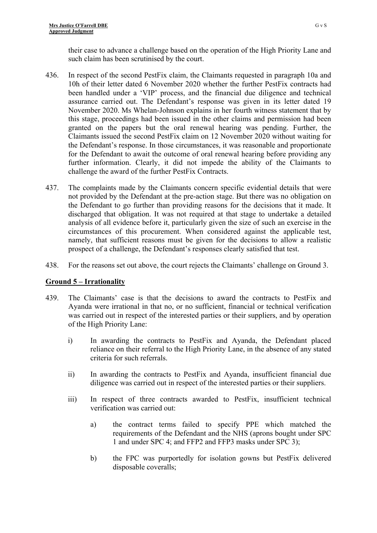their case to advance a challenge based on the operation of the High Priority Lane and such claim has been scrutinised by the court.

- 436. In respect of the second PestFix claim, the Claimants requested in paragraph 10a and 10h of their letter dated 6 November 2020 whether the further PestFix contracts had been handled under a 'VIP' process, and the financial due diligence and technical assurance carried out. The Defendant's response was given in its letter dated 19 November 2020. Ms Whelan-Johnson explains in her fourth witness statement that by this stage, proceedings had been issued in the other claims and permission had been granted on the papers but the oral renewal hearing was pending. Further, the Claimants issued the second PestFix claim on 12 November 2020 without waiting for the Defendant's response. In those circumstances, it was reasonable and proportionate for the Defendant to await the outcome of oral renewal hearing before providing any further information. Clearly, it did not impede the ability of the Claimants to challenge the award of the further PestFix Contracts.
- 437. The complaints made by the Claimants concern specific evidential details that were not provided by the Defendant at the pre-action stage. But there was no obligation on the Defendant to go further than providing reasons for the decisions that it made. It discharged that obligation. It was not required at that stage to undertake a detailed analysis of all evidence before it, particularly given the size of such an exercise in the circumstances of this procurement. When considered against the applicable test, namely, that sufficient reasons must be given for the decisions to allow a realistic prospect of a challenge, the Defendant's responses clearly satisfied that test.
- 438. For the reasons set out above, the court rejects the Claimants' challenge on Ground 3.

# **Ground 5 – Irrationality**

- 439. The Claimants' case is that the decisions to award the contracts to PestFix and Ayanda were irrational in that no, or no sufficient, financial or technical verification was carried out in respect of the interested parties or their suppliers, and by operation of the High Priority Lane:
	- i) In awarding the contracts to PestFix and Ayanda, the Defendant placed reliance on their referral to the High Priority Lane, in the absence of any stated criteria for such referrals.
	- ii) In awarding the contracts to PestFix and Ayanda, insufficient financial due diligence was carried out in respect of the interested parties or their suppliers.
	- iii) In respect of three contracts awarded to PestFix, insufficient technical verification was carried out:
		- a) the contract terms failed to specify PPE which matched the requirements of the Defendant and the NHS (aprons bought under SPC 1 and under SPC 4; and FFP2 and FFP3 masks under SPC 3);
		- b) the FPC was purportedly for isolation gowns but PestFix delivered disposable coveralls;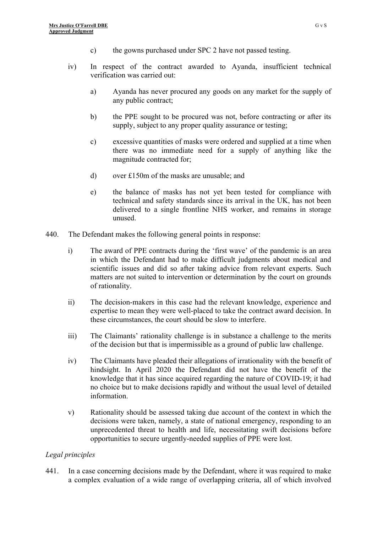- c) the gowns purchased under SPC 2 have not passed testing.
- iv) In respect of the contract awarded to Ayanda, insufficient technical verification was carried out:
	- a) Ayanda has never procured any goods on any market for the supply of any public contract;
	- b) the PPE sought to be procured was not, before contracting or after its supply, subject to any proper quality assurance or testing;
	- c) excessive quantities of masks were ordered and supplied at a time when there was no immediate need for a supply of anything like the magnitude contracted for;
	- d) over £150m of the masks are unusable; and
	- e) the balance of masks has not yet been tested for compliance with technical and safety standards since its arrival in the UK, has not been delivered to a single frontline NHS worker, and remains in storage unused.
- 440. The Defendant makes the following general points in response:
	- i) The award of PPE contracts during the 'first wave' of the pandemic is an area in which the Defendant had to make difficult judgments about medical and scientific issues and did so after taking advice from relevant experts. Such matters are not suited to intervention or determination by the court on grounds of rationality.
	- ii) The decision-makers in this case had the relevant knowledge, experience and expertise to mean they were well-placed to take the contract award decision. In these circumstances, the court should be slow to interfere.
	- iii) The Claimants' rationality challenge is in substance a challenge to the merits of the decision but that is impermissible as a ground of public law challenge.
	- iv) The Claimants have pleaded their allegations of irrationality with the benefit of hindsight. In April 2020 the Defendant did not have the benefit of the knowledge that it has since acquired regarding the nature of COVID-19; it had no choice but to make decisions rapidly and without the usual level of detailed information.
	- v) Rationality should be assessed taking due account of the context in which the decisions were taken, namely, a state of national emergency, responding to an unprecedented threat to health and life, necessitating swift decisions before opportunities to secure urgently-needed supplies of PPE were lost.

### *Legal principles*

441. In a case concerning decisions made by the Defendant, where it was required to make a complex evaluation of a wide range of overlapping criteria, all of which involved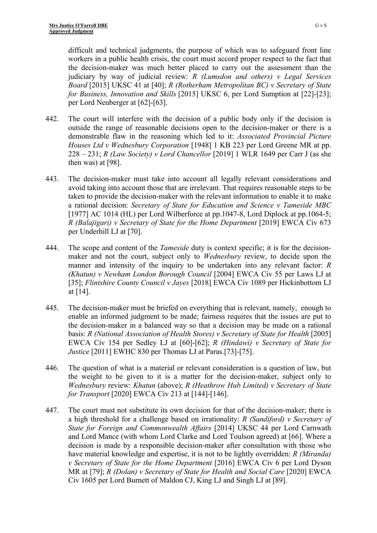difficult and technical judgments, the purpose of which was to safeguard front line workers in a public health crisis, the court must accord proper respect to the fact that the decision-maker was much better placed to carry out the assessment than the judiciary by way of judicial review: *R (Lumsdon and others) v Legal Services Board* [\[2015\] UKSC 41](https://www.bailii.org/uk/cases/UKSC/2015/41.html) at [40]; *R (Rotherham Metropolitan BC) v Secretary of State for Business, Innovation and Skills* [\[2015\] UKSC 6,](https://www.bailii.org/uk/cases/UKSC/2015/6.html) per Lord Sumption at [22]-[23]; per Lord Neuberger at [62]-[63].

- 442. The court will interfere with the decision of a public body only if the decision is outside the range of reasonable decisions open to the decision-maker or there is a demonstrable flaw in the reasoning which led to it: *Associated Provincial Picture Houses Ltd v Wednesbury Corporation* [1948] 1 KB 223 per Lord Greene MR at pp. 228 – 231; *R (Law Society) v Lord Chancellor* [2019] 1 WLR 1649 per Carr J (as she then was) at [98].
- 443. The decision-maker must take into account all legally relevant considerations and avoid taking into account those that are irrelevant. That requires reasonable steps to be taken to provide the decision-maker with the relevant information to enable it to make a rational decision: *Secretary of State for Education and Science v Tameside MBC* [1977] AC 1014 (HL) per Lord Wilberforce at pp.1047-8, Lord Diplock at pp.1064-5; *R (Balajigari) v Secretary of State for the Home Department* [2019] EWCA Civ 673 per Underhill LJ at [70].
- 444. The scope and content of the *Tameside* duty is context specific; it is for the decisionmaker and not the court, subject only to *Wednesbury* review, to decide upon the manner and intensity of the inquiry to be undertaken into any relevant factor: *R (Khatun) v Newham London Borough Council* [2004] EWCA Civ 55 per Laws LJ at [35]; *Flintshire County Council v Jayes* [2018] EWCA Civ 1089 per Hickinbottom LJ at [14].
- 445. The decision-maker must be briefed on everything that is relevant, namely, enough to enable an informed judgment to be made; fairness requires that the issues are put to the decision-maker in a balanced way so that a decision may be made on a rational basis: *R* (National Association of Health Stores) *v* Secretary of State for Health [2005] EWCA Civ 154 per Sedley LJ at [60]-[62]; *R (Hindawi) v Secretary of State for Justice* [2011] EWHC 830 per Thomas LJ at Paras.[73]-[75].
- 446. The question of what is a material or relevant consideration is a question of law, but the weight to be given to it is a matter for the decision-maker, subject only to *Wednesbury* review: *Khatun* (above); *R (Heathrow Hub Limited) v Secretary of State for Transport* [2020] EWCA Civ 213 at [144]-[146].
- 447. The court must not substitute its own decision for that of the decision-maker; there is a high threshold for a challenge based on irrationality: *R (Sandiford) v Secretary of State for Foreign and Commonwealth Affairs* [2014] UKSC 44 per Lord Carnwath and Lord Mance (with whom Lord Clarke and Lord Toulson agreed) at [66]. Where a decision is made by a responsible decision-maker after consultation with those who have material knowledge and expertise, it is not to be lightly overridden: *R (Miranda) v Secretary of State for the Home Department* [2016] EWCA Civ 6 per Lord Dyson MR at [79]; *R (Dolan) v Secretary of State for Health and Social Care* [2020] EWCA Civ 1605 per Lord Burnett of Maldon CJ, King LJ and Singh LJ at [89].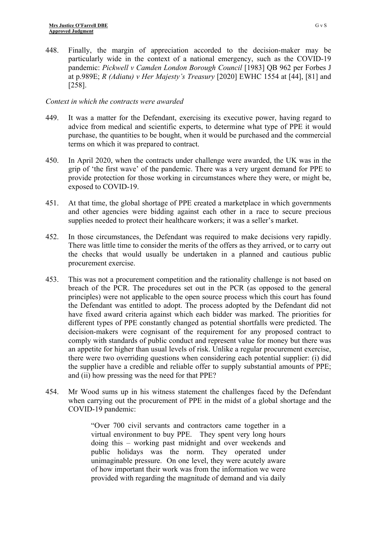448. Finally, the margin of appreciation accorded to the decision-maker may be particularly wide in the context of a national emergency, such as the COVID-19 pandemic: *Pickwell v Camden London Borough Council* [1983] QB 962 per Forbes J at p.989E; *R (Adiatu) v Her Majesty's Treasury* [2020] EWHC 1554 at [44], [81] and [258].

### *Context in which the contracts were awarded*

- 449. It was a matter for the Defendant, exercising its executive power, having regard to advice from medical and scientific experts, to determine what type of PPE it would purchase, the quantities to be bought, when it would be purchased and the commercial terms on which it was prepared to contract.
- 450. In April 2020, when the contracts under challenge were awarded, the UK was in the grip of 'the first wave' of the pandemic. There was a very urgent demand for PPE to provide protection for those working in circumstances where they were, or might be, exposed to COVID-19.
- 451. At that time, the global shortage of PPE created a marketplace in which governments and other agencies were bidding against each other in a race to secure precious supplies needed to protect their healthcare workers; it was a seller's market.
- 452. In those circumstances, the Defendant was required to make decisions very rapidly. There was little time to consider the merits of the offers as they arrived, or to carry out the checks that would usually be undertaken in a planned and cautious public procurement exercise.
- 453. This was not a procurement competition and the rationality challenge is not based on breach of the PCR. The procedures set out in the PCR (as opposed to the general principles) were not applicable to the open source process which this court has found the Defendant was entitled to adopt. The process adopted by the Defendant did not have fixed award criteria against which each bidder was marked. The priorities for different types of PPE constantly changed as potential shortfalls were predicted. The decision-makers were cognisant of the requirement for any proposed contract to comply with standards of public conduct and represent value for money but there was an appetite for higher than usual levels of risk. Unlike a regular procurement exercise, there were two overriding questions when considering each potential supplier: (i) did the supplier have a credible and reliable offer to supply substantial amounts of PPE; and (ii) how pressing was the need for that PPE?
- 454. Mr Wood sums up in his witness statement the challenges faced by the Defendant when carrying out the procurement of PPE in the midst of a global shortage and the COVID-19 pandemic:

"Over 700 civil servants and contractors came together in a virtual environment to buy PPE. They spent very long hours doing this – working past midnight and over weekends and public holidays was the norm. They operated under unimaginable pressure. On one level, they were acutely aware of how important their work was from the information we were provided with regarding the magnitude of demand and via daily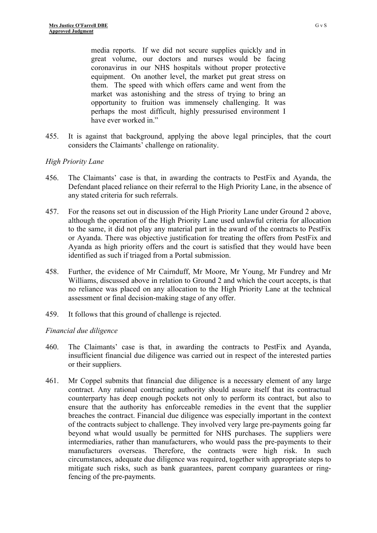media reports. If we did not secure supplies quickly and in great volume, our doctors and nurses would be facing coronavirus in our NHS hospitals without proper protective equipment. On another level, the market put great stress on them. The speed with which offers came and went from the market was astonishing and the stress of trying to bring an opportunity to fruition was immensely challenging. It was perhaps the most difficult, highly pressurised environment I have ever worked in."

455. It is against that background, applying the above legal principles, that the court considers the Claimants' challenge on rationality.

## *High Priority Lane*

- 456. The Claimants' case is that, in awarding the contracts to PestFix and Ayanda, the Defendant placed reliance on their referral to the High Priority Lane, in the absence of any stated criteria for such referrals.
- 457. For the reasons set out in discussion of the High Priority Lane under Ground 2 above, although the operation of the High Priority Lane used unlawful criteria for allocation to the same, it did not play any material part in the award of the contracts to PestFix or Ayanda. There was objective justification for treating the offers from PestFix and Ayanda as high priority offers and the court is satisfied that they would have been identified as such if triaged from a Portal submission.
- 458. Further, the evidence of Mr Cairnduff, Mr Moore, Mr Young, Mr Fundrey and Mr Williams, discussed above in relation to Ground 2 and which the court accepts, is that no reliance was placed on any allocation to the High Priority Lane at the technical assessment or final decision-making stage of any offer.
- 459. It follows that this ground of challenge is rejected.

# *Financial due diligence*

- 460. The Claimants' case is that, in awarding the contracts to PestFix and Ayanda, insufficient financial due diligence was carried out in respect of the interested parties or their suppliers.
- 461. Mr Coppel submits that financial due diligence is a necessary element of any large contract. Any rational contracting authority should assure itself that its contractual counterparty has deep enough pockets not only to perform its contract, but also to ensure that the authority has enforceable remedies in the event that the supplier breaches the contract. Financial due diligence was especially important in the context of the contracts subject to challenge. They involved very large pre-payments going far beyond what would usually be permitted for NHS purchases. The suppliers were intermediaries, rather than manufacturers, who would pass the pre-payments to their manufacturers overseas. Therefore, the contracts were high risk. In such circumstances, adequate due diligence was required, together with appropriate steps to mitigate such risks, such as bank guarantees, parent company guarantees or ringfencing of the pre-payments.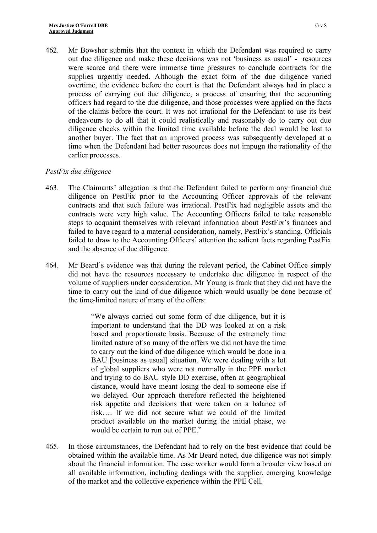462. Mr Bowsher submits that the context in which the Defendant was required to carry out due diligence and make these decisions was not 'business as usual' - resources were scarce and there were immense time pressures to conclude contracts for the supplies urgently needed. Although the exact form of the due diligence varied overtime, the evidence before the court is that the Defendant always had in place a process of carrying out due diligence, a process of ensuring that the accounting officers had regard to the due diligence, and those processes were applied on the facts of the claims before the court. It was not irrational for the Defendant to use its best endeavours to do all that it could realistically and reasonably do to carry out due diligence checks within the limited time available before the deal would be lost to another buyer. The fact that an improved process was subsequently developed at a time when the Defendant had better resources does not impugn the rationality of the earlier processes.

### *PestFix due diligence*

- 463. The Claimants' allegation is that the Defendant failed to perform any financial due diligence on PestFix prior to the Accounting Officer approvals of the relevant contracts and that such failure was irrational. PestFix had negligible assets and the contracts were very high value. The Accounting Officers failed to take reasonable steps to acquaint themselves with relevant information about PestFix's finances and failed to have regard to a material consideration, namely, PestFix's standing. Officials failed to draw to the Accounting Officers' attention the salient facts regarding PestFix and the absence of due diligence.
- 464. Mr Beard's evidence was that during the relevant period, the Cabinet Office simply did not have the resources necessary to undertake due diligence in respect of the volume of suppliers under consideration. Mr Young is frank that they did not have the time to carry out the kind of due diligence which would usually be done because of the time-limited nature of many of the offers:

"We always carried out some form of due diligence, but it is important to understand that the DD was looked at on a risk based and proportionate basis. Because of the extremely time limited nature of so many of the offers we did not have the time to carry out the kind of due diligence which would be done in a BAU [business as usual] situation. We were dealing with a lot of global suppliers who were not normally in the PPE market and trying to do BAU style DD exercise, often at geographical distance, would have meant losing the deal to someone else if we delayed. Our approach therefore reflected the heightened risk appetite and decisions that were taken on a balance of risk…. If we did not secure what we could of the limited product available on the market during the initial phase, we would be certain to run out of PPE."

465. In those circumstances, the Defendant had to rely on the best evidence that could be obtained within the available time. As Mr Beard noted, due diligence was not simply about the financial information. The case worker would form a broader view based on all available information, including dealings with the supplier, emerging knowledge of the market and the collective experience within the PPE Cell.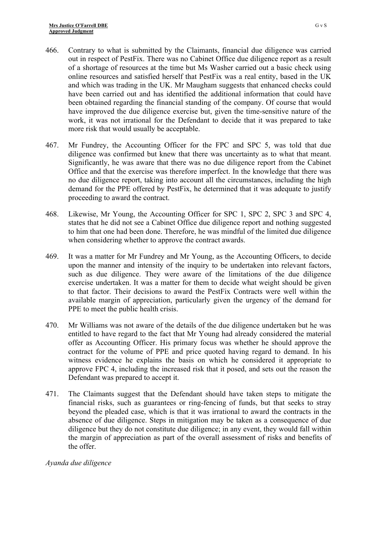- 466. Contrary to what is submitted by the Claimants, financial due diligence was carried out in respect of PestFix. There was no Cabinet Office due diligence report as a result of a shortage of resources at the time but Ms Washer carried out a basic check using online resources and satisfied herself that PestFix was a real entity, based in the UK and which was trading in the UK. Mr Maugham suggests that enhanced checks could have been carried out and has identified the additional information that could have been obtained regarding the financial standing of the company. Of course that would have improved the due diligence exercise but, given the time-sensitive nature of the work, it was not irrational for the Defendant to decide that it was prepared to take more risk that would usually be acceptable.
- 467. Mr Fundrey, the Accounting Officer for the FPC and SPC 5, was told that due diligence was confirmed but knew that there was uncertainty as to what that meant. Significantly, he was aware that there was no due diligence report from the Cabinet Office and that the exercise was therefore imperfect. In the knowledge that there was no due diligence report, taking into account all the circumstances, including the high demand for the PPE offered by PestFix, he determined that it was adequate to justify proceeding to award the contract.
- 468. Likewise, Mr Young, the Accounting Officer for SPC 1, SPC 2, SPC 3 and SPC 4, states that he did not see a Cabinet Office due diligence report and nothing suggested to him that one had been done. Therefore, he was mindful of the limited due diligence when considering whether to approve the contract awards.
- 469. It was a matter for Mr Fundrey and Mr Young, as the Accounting Officers, to decide upon the manner and intensity of the inquiry to be undertaken into relevant factors, such as due diligence. They were aware of the limitations of the due diligence exercise undertaken. It was a matter for them to decide what weight should be given to that factor. Their decisions to award the PestFix Contracts were well within the available margin of appreciation, particularly given the urgency of the demand for PPE to meet the public health crisis.
- 470. Mr Williams was not aware of the details of the due diligence undertaken but he was entitled to have regard to the fact that Mr Young had already considered the material offer as Accounting Officer. His primary focus was whether he should approve the contract for the volume of PPE and price quoted having regard to demand. In his witness evidence he explains the basis on which he considered it appropriate to approve FPC 4, including the increased risk that it posed, and sets out the reason the Defendant was prepared to accept it.
- 471. The Claimants suggest that the Defendant should have taken steps to mitigate the financial risks, such as guarantees or ring-fencing of funds, but that seeks to stray beyond the pleaded case, which is that it was irrational to award the contracts in the absence of due diligence. Steps in mitigation may be taken as a consequence of due diligence but they do not constitute due diligence; in any event, they would fall within the margin of appreciation as part of the overall assessment of risks and benefits of the offer.

*Ayanda due diligence*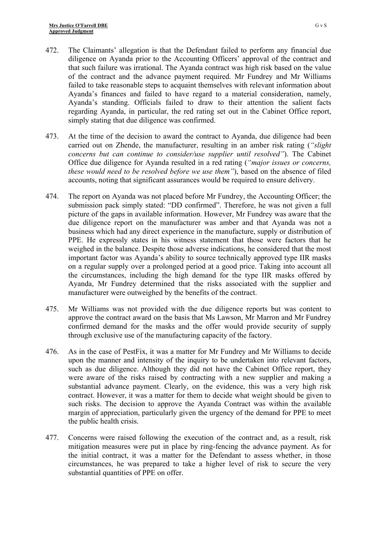- 472. The Claimants' allegation is that the Defendant failed to perform any financial due diligence on Ayanda prior to the Accounting Officers' approval of the contract and that such failure was irrational. The Ayanda contract was high risk based on the value of the contract and the advance payment required. Mr Fundrey and Mr Williams failed to take reasonable steps to acquaint themselves with relevant information about Ayanda's finances and failed to have regard to a material consideration, namely, Ayanda's standing. Officials failed to draw to their attention the salient facts regarding Ayanda, in particular, the red rating set out in the Cabinet Office report, simply stating that due diligence was confirmed.
- 473. At the time of the decision to award the contract to Ayanda, due diligence had been carried out on Zhende, the manufacturer, resulting in an amber risk rating (*"slight concerns but can continue to consider/use supplier until resolved"*). The Cabinet Office due diligence for Ayanda resulted in a red rating (*"major issues or concerns, these would need to be resolved before we use them"*), based on the absence of filed accounts, noting that significant assurances would be required to ensure delivery.
- 474. The report on Ayanda was not placed before Mr Fundrey, the Accounting Officer; the submission pack simply stated: "DD confirmed". Therefore, he was not given a full picture of the gaps in available information. However, Mr Fundrey was aware that the due diligence report on the manufacturer was amber and that Ayanda was not a business which had any direct experience in the manufacture, supply or distribution of PPE. He expressly states in his witness statement that those were factors that he weighed in the balance. Despite those adverse indications, he considered that the most important factor was Ayanda's ability to source technically approved type IIR masks on a regular supply over a prolonged period at a good price. Taking into account all the circumstances, including the high demand for the type IIR masks offered by Ayanda, Mr Fundrey determined that the risks associated with the supplier and manufacturer were outweighed by the benefits of the contract.
- 475. Mr Williams was not provided with the due diligence reports but was content to approve the contract award on the basis that Ms Lawson, Mr Marron and Mr Fundrey confirmed demand for the masks and the offer would provide security of supply through exclusive use of the manufacturing capacity of the factory.
- 476. As in the case of PestFix, it was a matter for Mr Fundrey and Mr Williams to decide upon the manner and intensity of the inquiry to be undertaken into relevant factors, such as due diligence. Although they did not have the Cabinet Office report, they were aware of the risks raised by contracting with a new supplier and making a substantial advance payment. Clearly, on the evidence, this was a very high risk contract. However, it was a matter for them to decide what weight should be given to such risks. The decision to approve the Ayanda Contract was within the available margin of appreciation, particularly given the urgency of the demand for PPE to meet the public health crisis.
- 477. Concerns were raised following the execution of the contract and, as a result, risk mitigation measures were put in place by ring-fencing the advance payment. As for the initial contract, it was a matter for the Defendant to assess whether, in those circumstances, he was prepared to take a higher level of risk to secure the very substantial quantities of PPE on offer.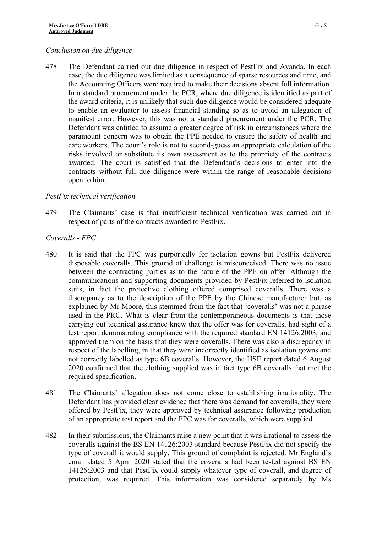#### *Conclusion on due diligence*

478. The Defendant carried out due diligence in respect of PestFix and Ayanda. In each case, the due diligence was limited as a consequence of sparse resources and time, and the Accounting Officers were required to make their decisions absent full information. In a standard procurement under the PCR, where due diligence is identified as part of the award criteria, it is unlikely that such due diligence would be considered adequate to enable an evaluator to assess financial standing so as to avoid an allegation of manifest error. However, this was not a standard procurement under the PCR. The Defendant was entitled to assume a greater degree of risk in circumstances where the paramount concern was to obtain the PPE needed to ensure the safety of health and care workers. The court's role is not to second-guess an appropriate calculation of the risks involved or substitute its own assessment as to the propriety of the contracts awarded. The court is satisfied that the Defendant's decisions to enter into the contracts without full due diligence were within the range of reasonable decisions open to him.

## *PestFix technical verification*

479. The Claimants' case is that insufficient technical verification was carried out in respect of parts of the contracts awarded to PestFix.

## *Coveralls - FPC*

- 480. It is said that the FPC was purportedly for isolation gowns but PestFix delivered disposable coveralls. This ground of challenge is misconceived. There was no issue between the contracting parties as to the nature of the PPE on offer. Although the communications and supporting documents provided by PestFix referred to isolation suits, in fact the protective clothing offered comprised coveralls. There was a discrepancy as to the description of the PPE by the Chinese manufacturer but, as explained by Mr Moore, this stemmed from the fact that 'coveralls' was not a phrase used in the PRC. What is clear from the contemporaneous documents is that those carrying out technical assurance knew that the offer was for coveralls, had sight of a test report demonstrating compliance with the required standard EN 14126:2003, and approved them on the basis that they were coveralls. There was also a discrepancy in respect of the labelling, in that they were incorrectly identified as isolation gowns and not correctly labelled as type 6B coveralls. However, the HSE report dated 6 August 2020 confirmed that the clothing supplied was in fact type 6B coveralls that met the required specification.
- 481. The Claimants' allegation does not come close to establishing irrationality. The Defendant has provided clear evidence that there was demand for coveralls, they were offered by PestFix, they were approved by technical assurance following production of an appropriate test report and the FPC was for coveralls, which were supplied.
- 482. In their submissions, the Claimants raise a new point that it was irrational to assess the coveralls against the BS EN 14126:2003 standard because PestFix did not specify the type of coverall it would supply. This ground of complaint is rejected. Mr England's email dated 5 April 2020 stated that the coveralls had been tested against BS EN 14126:2003 and that PestFix could supply whatever type of coverall, and degree of protection, was required. This information was considered separately by Ms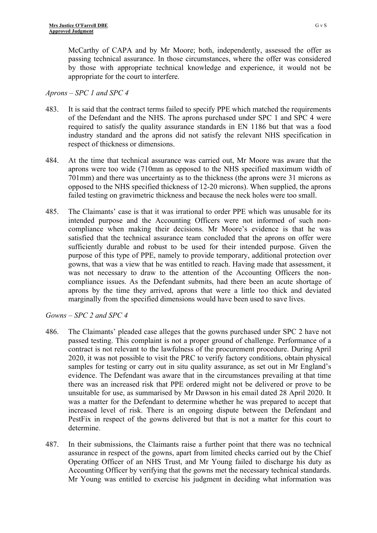McCarthy of CAPA and by Mr Moore; both, independently, assessed the offer as passing technical assurance. In those circumstances, where the offer was considered by those with appropriate technical knowledge and experience, it would not be appropriate for the court to interfere.

### *Aprons – SPC 1 and SPC 4*

- 483. It is said that the contract terms failed to specify PPE which matched the requirements of the Defendant and the NHS. The aprons purchased under SPC 1 and SPC 4 were required to satisfy the quality assurance standards in EN 1186 but that was a food industry standard and the aprons did not satisfy the relevant NHS specification in respect of thickness or dimensions.
- 484. At the time that technical assurance was carried out, Mr Moore was aware that the aprons were too wide (710mm as opposed to the NHS specified maximum width of 701mm) and there was uncertainty as to the thickness (the aprons were 31 microns as opposed to the NHS specified thickness of 12-20 microns). When supplied, the aprons failed testing on gravimetric thickness and because the neck holes were too small.
- 485. The Claimants' case is that it was irrational to order PPE which was unusable for its intended purpose and the Accounting Officers were not informed of such noncompliance when making their decisions. Mr Moore's evidence is that he was satisfied that the technical assurance team concluded that the aprons on offer were sufficiently durable and robust to be used for their intended purpose. Given the purpose of this type of PPE, namely to provide temporary, additional protection over gowns, that was a view that he was entitled to reach. Having made that assessment, it was not necessary to draw to the attention of the Accounting Officers the noncompliance issues. As the Defendant submits, had there been an acute shortage of aprons by the time they arrived, aprons that were a little too thick and deviated marginally from the specified dimensions would have been used to save lives.

*Gowns – SPC 2 and SPC 4*

- 486. The Claimants' pleaded case alleges that the gowns purchased under SPC 2 have not passed testing. This complaint is not a proper ground of challenge. Performance of a contract is not relevant to the lawfulness of the procurement procedure. During April 2020, it was not possible to visit the PRC to verify factory conditions, obtain physical samples for testing or carry out in situ quality assurance, as set out in Mr England's evidence. The Defendant was aware that in the circumstances prevailing at that time there was an increased risk that PPE ordered might not be delivered or prove to be unsuitable for use, as summarised by Mr Dawson in his email dated 28 April 2020. It was a matter for the Defendant to determine whether he was prepared to accept that increased level of risk. There is an ongoing dispute between the Defendant and PestFix in respect of the gowns delivered but that is not a matter for this court to determine.
- 487. In their submissions, the Claimants raise a further point that there was no technical assurance in respect of the gowns, apart from limited checks carried out by the Chief Operating Officer of an NHS Trust, and Mr Young failed to discharge his duty as Accounting Officer by verifying that the gowns met the necessary technical standards. Mr Young was entitled to exercise his judgment in deciding what information was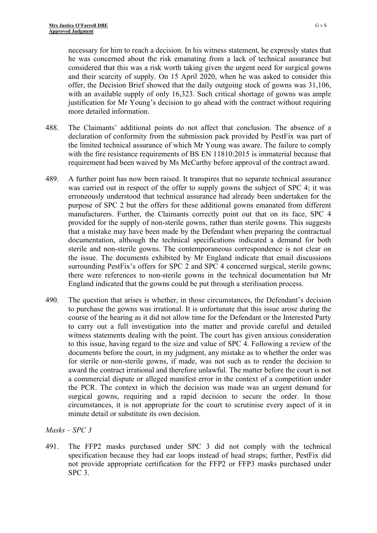necessary for him to reach a decision. In his witness statement, he expressly states that he was concerned about the risk emanating from a lack of technical assurance but considered that this was a risk worth taking given the urgent need for surgical gowns and their scarcity of supply. On 15 April 2020, when he was asked to consider this offer, the Decision Brief showed that the daily outgoing stock of gowns was 31,106, with an available supply of only 16,323. Such critical shortage of gowns was ample justification for Mr Young's decision to go ahead with the contract without requiring more detailed information.

- 488. The Claimants' additional points do not affect that conclusion. The absence of a declaration of conformity from the submission pack provided by PestFix was part of the limited technical assurance of which Mr Young was aware. The failure to comply with the fire resistance requirements of BS EN 11810:2015 is immaterial because that requirement had been waived by Ms McCarthy before approval of the contract award.
- 489. A further point has now been raised. It transpires that no separate technical assurance was carried out in respect of the offer to supply gowns the subject of SPC 4; it was erroneously understood that technical assurance had already been undertaken for the purpose of SPC 2 but the offers for these additional gowns emanated from different manufacturers. Further, the Claimants correctly point out that on its face, SPC 4 provided for the supply of non-sterile gowns, rather than sterile gowns. This suggests that a mistake may have been made by the Defendant when preparing the contractual documentation, although the technical specifications indicated a demand for both sterile and non-sterile gowns. The contemporaneous correspondence is not clear on the issue. The documents exhibited by Mr England indicate that email discussions surrounding PestFix's offers for SPC 2 and SPC 4 concerned surgical, sterile gowns; there were references to non-sterile gowns in the technical documentation but Mr England indicated that the gowns could be put through a sterilisation process.
- 490. The question that arises is whether, in those circumstances, the Defendant's decision to purchase the gowns was irrational. It is unfortunate that this issue arose during the course of the hearing as it did not allow time for the Defendant or the Interested Party to carry out a full investigation into the matter and provide careful and detailed witness statements dealing with the point. The court has given anxious consideration to this issue, having regard to the size and value of SPC 4. Following a review of the documents before the court, in my judgment, any mistake as to whether the order was for sterile or non-sterile gowns, if made, was not such as to render the decision to award the contract irrational and therefore unlawful. The matter before the court is not a commercial dispute or alleged manifest error in the context of a competition under the PCR. The context in which the decision was made was an urgent demand for surgical gowns, requiring and a rapid decision to secure the order. In those circumstances, it is not appropriate for the court to scrutinise every aspect of it in minute detail or substitute its own decision.

# *Masks – SPC 3*

491. The FFP2 masks purchased under SPC 3 did not comply with the technical specification because they had ear loops instead of head straps; further, PestFix did not provide appropriate certification for the FFP2 or FFP3 masks purchased under SPC 3.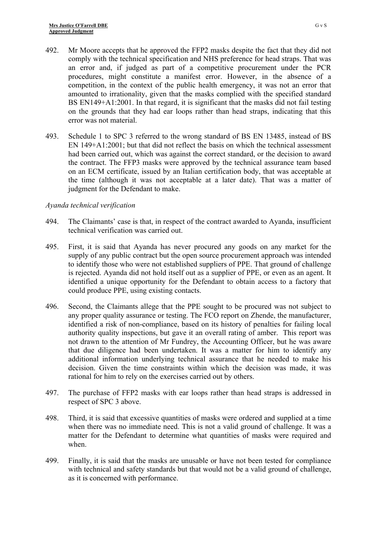- 492. Mr Moore accepts that he approved the FFP2 masks despite the fact that they did not comply with the technical specification and NHS preference for head straps. That was an error and, if judged as part of a competitive procurement under the PCR procedures, might constitute a manifest error. However, in the absence of a competition, in the context of the public health emergency, it was not an error that amounted to irrationality, given that the masks complied with the specified standard BS EN149+A1:2001. In that regard, it is significant that the masks did not fail testing on the grounds that they had ear loops rather than head straps, indicating that this error was not material.
- 493. Schedule 1 to SPC 3 referred to the wrong standard of BS EN 13485, instead of BS EN 149+A1:2001; but that did not reflect the basis on which the technical assessment had been carried out, which was against the correct standard, or the decision to award the contract. The FFP3 masks were approved by the technical assurance team based on an ECM certificate, issued by an Italian certification body, that was acceptable at the time (although it was not acceptable at a later date). That was a matter of judgment for the Defendant to make.

### *Ayanda technical verification*

- 494. The Claimants' case is that, in respect of the contract awarded to Ayanda, insufficient technical verification was carried out.
- 495. First, it is said that Ayanda has never procured any goods on any market for the supply of any public contract but the open source procurement approach was intended to identify those who were not established suppliers of PPE. That ground of challenge is rejected. Ayanda did not hold itself out as a supplier of PPE, or even as an agent. It identified a unique opportunity for the Defendant to obtain access to a factory that could produce PPE, using existing contacts.
- 496. Second, the Claimants allege that the PPE sought to be procured was not subject to any proper quality assurance or testing. The FCO report on Zhende, the manufacturer, identified a risk of non-compliance, based on its history of penalties for failing local authority quality inspections, but gave it an overall rating of amber. This report was not drawn to the attention of Mr Fundrey, the Accounting Officer, but he was aware that due diligence had been undertaken. It was a matter for him to identify any additional information underlying technical assurance that he needed to make his decision. Given the time constraints within which the decision was made, it was rational for him to rely on the exercises carried out by others.
- 497. The purchase of FFP2 masks with ear loops rather than head straps is addressed in respect of SPC 3 above.
- 498. Third, it is said that excessive quantities of masks were ordered and supplied at a time when there was no immediate need. This is not a valid ground of challenge. It was a matter for the Defendant to determine what quantities of masks were required and when.
- 499. Finally, it is said that the masks are unusable or have not been tested for compliance with technical and safety standards but that would not be a valid ground of challenge, as it is concerned with performance.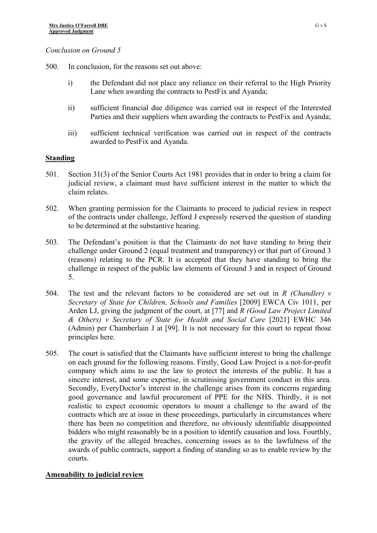#### *Conclusion on Ground 5*

- 500. In conclusion, for the reasons set out above:
	- i) the Defendant did not place any reliance on their referral to the High Priority Lane when awarding the contracts to PestFix and Ayanda;
	- ii) sufficient financial due diligence was carried out in respect of the Interested Parties and their suppliers when awarding the contracts to PestFix and Ayanda;
	- iii) sufficient technical verification was carried out in respect of the contracts awarded to PestFix and Ayanda.

#### **Standing**

- 501. Section 31(3) of the Senior Courts Act 1981 provides that in order to bring a claim for judicial review, a claimant must have sufficient interest in the matter to which the claim relates.
- 502. When granting permission for the Claimants to proceed to judicial review in respect of the contracts under challenge, Jefford J expressly reserved the question of standing to be determined at the substantive hearing.
- 503. The Defendant's position is that the Claimants do not have standing to bring their challenge under Ground 2 (equal treatment and transparency) or that part of Ground 3 (reasons) relating to the PCR. It is accepted that they have standing to bring the challenge in respect of the public law elements of Ground 3 and in respect of Ground 5.
- 504. The test and the relevant factors to be considered are set out in *R (Chandler) v Secretary of State for Children, Schools and Families* [2009] EWCA Civ 1011, per Arden LJ, giving the judgment of the court, at [77] and *R (Good Law Project Limited & Others) v Secretary of State for Health and Social Care* [2021] EWHC 346 (Admin) per Chamberlain J at [99]. It is not necessary for this court to repeat those principles here.
- 505. The court is satisfied that the Claimants have sufficient interest to bring the challenge on each ground for the following reasons. Firstly, Good Law Project is a not-for-profit company which aims to use the law to protect the interests of the public. It has a sincere interest, and some expertise, in scrutinising government conduct in this area. Secondly, EveryDoctor's interest in the challenge arises from its concerns regarding good governance and lawful procurement of PPE for the NHS. Thirdly, it is not realistic to expect economic operators to mount a challenge to the award of the contracts which are at issue in these proceedings, particularly in circumstances where there has been no competition and therefore, no obviously identifiable disappointed bidders who might reasonably be in a position to identify causation and loss. Fourthly, the gravity of the alleged breaches, concerning issues as to the lawfulness of the awards of public contracts, support a finding of standing so as to enable review by the courts.

### **Amenability to judicial review**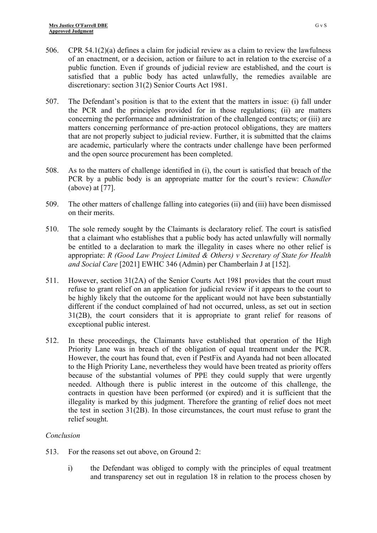- 506. CPR 54.1(2)(a) defines a claim for judicial review as a claim to review the lawfulness of an enactment, or a decision, action or failure to act in relation to the exercise of a public function. Even if grounds of judicial review are established, and the court is satisfied that a public body has acted unlawfully, the remedies available are discretionary: section 31(2) Senior Courts Act 1981.
- 507. The Defendant's position is that to the extent that the matters in issue: (i) fall under the PCR and the principles provided for in those regulations; (ii) are matters concerning the performance and administration of the challenged contracts; or (iii) are matters concerning performance of pre-action protocol obligations, they are matters that are not properly subject to judicial review. Further, it is submitted that the claims are academic, particularly where the contracts under challenge have been performed and the open source procurement has been completed.
- 508. As to the matters of challenge identified in (i), the court is satisfied that breach of the PCR by a public body is an appropriate matter for the court's review: *Chandler*  (above) at [77].
- 509. The other matters of challenge falling into categories (ii) and (iii) have been dismissed on their merits.
- 510. The sole remedy sought by the Claimants is declaratory relief. The court is satisfied that a claimant who establishes that a public body has acted unlawfully will normally be entitled to a declaration to mark the illegality in cases where no other relief is appropriate: *R (Good Law Project Limited & Others) v Secretary of State for Health and Social Care* [2021] EWHC 346 (Admin) per Chamberlain J at [152].
- 511. However, section 31(2A) of the Senior Courts Act 1981 provides that the court must refuse to grant relief on an application for judicial review if it appears to the court to be highly likely that the outcome for the applicant would not have been substantially different if the conduct complained of had not occurred, unless, as set out in section 31(2B), the court considers that it is appropriate to grant relief for reasons of exceptional public interest.
- 512. In these proceedings, the Claimants have established that operation of the High Priority Lane was in breach of the obligation of equal treatment under the PCR. However, the court has found that, even if PestFix and Ayanda had not been allocated to the High Priority Lane, nevertheless they would have been treated as priority offers because of the substantial volumes of PPE they could supply that were urgently needed. Although there is public interest in the outcome of this challenge, the contracts in question have been performed (or expired) and it is sufficient that the illegality is marked by this judgment. Therefore the granting of relief does not meet the test in section 31(2B). In those circumstances, the court must refuse to grant the relief sought.

### *Conclusion*

- 513. For the reasons set out above, on Ground 2:
	- i) the Defendant was obliged to comply with the principles of equal treatment and transparency set out in regulation 18 in relation to the process chosen by